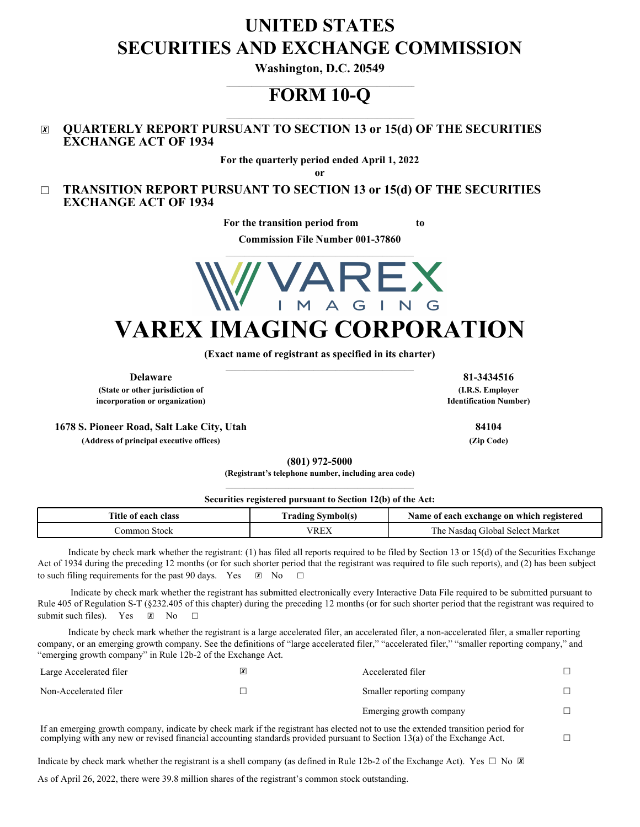# **UNITED STATES SECURITIES AND EXCHANGE COMMISSION**

**Washington, D.C. 20549**

## \_\_\_\_\_\_\_\_\_\_\_\_\_\_\_\_\_\_\_\_\_\_\_\_\_\_\_\_\_\_\_\_\_\_\_\_\_\_\_\_\_\_\_\_\_\_\_\_\_\_\_\_\_\_\_\_\_\_\_\_ **FORM 10-Q**

\_\_\_\_\_\_\_\_\_\_\_\_\_\_\_\_\_\_\_\_\_\_\_\_\_\_\_\_\_\_\_\_\_\_\_\_\_\_\_\_\_\_\_\_\_\_\_\_\_\_\_\_\_\_\_\_\_\_\_\_

## ☒ **QUARTERLY REPORT PURSUANT TO SECTION 13 or 15(d) OF THE SECURITIES EXCHANGE ACT OF 1934**

**For the quarterly period ended April 1, 2022**

**or**

☐ **TRANSITION REPORT PURSUANT TO SECTION 13 or 15(d) OF THE SECURITIES EXCHANGE ACT OF 1934**

**For the transition period from to** 

**Commission File Number 001-37860**



**(Exact name of registrant as specified in its charter)** \_\_\_\_\_\_\_\_\_\_\_\_\_\_\_\_\_\_\_\_\_\_\_\_\_\_\_\_\_\_\_\_\_\_\_\_\_\_\_\_\_\_\_\_\_\_\_\_\_\_\_\_\_\_\_\_\_\_\_\_

**(State or other jurisdiction of incorporation or organization)**

**1678 S. Pioneer Road, Salt Lake City, Utah 84104**

**(Address of principal executive offices) (Zip Code)**

**(801) 972-5000**

**(Registrant's telephone number, including area code)**

#### **Securities registered pursuant to Section 12(b) of the Act:**

| Title<br>class<br>each<br>-01 | vmbol(s<br>rading | registered<br>exchange on<br>Name of<br>which<br>each |
|-------------------------------|-------------------|-------------------------------------------------------|
| . Stock<br>ommon              | VREX              | Market<br>Select<br>1 he<br>Jlobal.<br>Nasdag         |

Indicate by check mark whether the registrant: (1) has filed all reports required to be filed by Section 13 or 15(d) of the Securities Exchange Act of 1934 during the preceding 12 months (or for such shorter period that the registrant was required to file such reports), and (2) has been subject to such filing requirements for the past 90 days. Yes  $\boxtimes$  No  $\Box$ 

Indicate by check mark whether the registrant has submitted electronically every Interactive Data File required to be submitted pursuant to Rule 405 of Regulation S-T (§232.405 of this chapter) during the preceding 12 months (or for such shorter period that the registrant was required to submit such files). Yes  $\boxtimes$  No  $\Box$ 

Indicate by check mark whether the registrant is a large accelerated filer, an accelerated filer, a non-accelerated filer, a smaller reporting company, or an emerging growth company. See the definitions of "large accelerated filer," "accelerated filer," "smaller reporting company," and "emerging growth company" in Rule 12b-2 of the Exchange Act.

| Large Accelerated filer                                                                                                          | <u> X</u> | Accelerated filer         |  |
|----------------------------------------------------------------------------------------------------------------------------------|-----------|---------------------------|--|
| Non-Accelerated filer                                                                                                            |           | Smaller reporting company |  |
|                                                                                                                                  |           | Emerging growth company   |  |
| If an amarging growth company indicate by ghoak mark if the registrant has elected not to use the oxtanded transition period for |           |                           |  |

if an emerging growth company, indicate by check mark if the registrant has elected not to use the extended tra complying with any new or revised financial accounting standards provided pursuant to Section 13(a) of the Exchange Act.  $□$ 

Indicate by check mark whether the registrant is a shell company (as defined in Rule 12b-2 of the Exchange Act). Yes  $\Box$  No  $\Box$ 

As of April 26, 2022, there were 39.8 million shares of the registrant's common stock outstanding.

**Delaware 81-3434516 (I.R.S. Employer Identification Number)**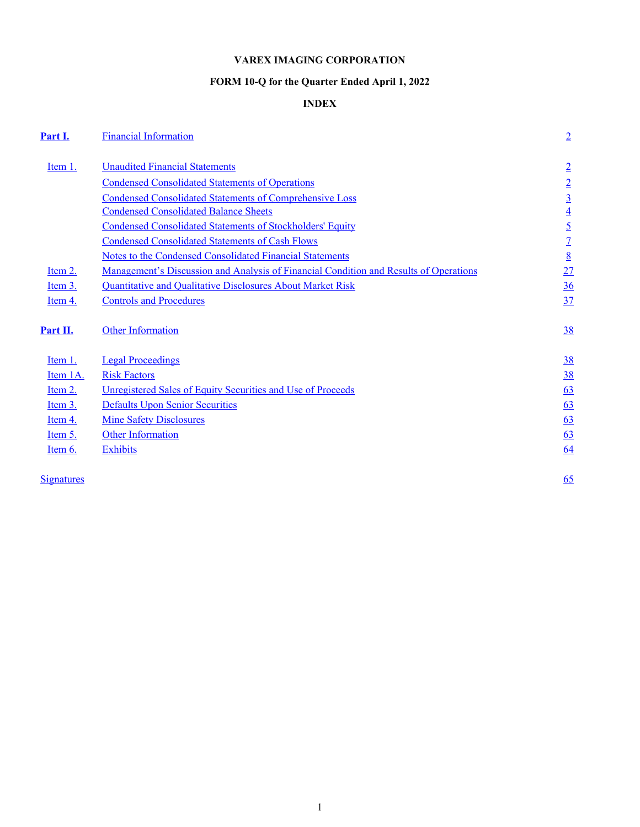## **VAREX IMAGING CORPORATION**

## **FORM 10-Q for the Quarter Ended April 1, 2022**

## **INDEX**

<span id="page-1-0"></span>

| Part I.           | <b>Financial Information</b>                                                                 | $\overline{2}$  |
|-------------------|----------------------------------------------------------------------------------------------|-----------------|
| Item 1.           | <b>Unaudited Financial Statements</b>                                                        | $\overline{2}$  |
|                   | <b>Condensed Consolidated Statements of Operations</b>                                       | $\overline{2}$  |
|                   | <b>Condensed Consolidated Statements of Comprehensive Loss</b>                               | $\underline{3}$ |
|                   | <b>Condensed Consolidated Balance Sheets</b>                                                 | $\overline{4}$  |
|                   | <b>Condensed Consolidated Statements of Stockholders' Equity</b>                             | $\overline{5}$  |
|                   | <b>Condensed Consolidated Statements of Cash Flows</b>                                       | $\overline{1}$  |
|                   | Notes to the Condensed Consolidated Financial Statements                                     | $\underline{8}$ |
| Item 2.           | <u>Management's Discussion and Analysis of Financial Condition and Results of Operations</u> | 27              |
| Item 3.           | Quantitative and Qualitative Disclosures About Market Risk                                   | 36              |
| Item 4.           | <b>Controls and Procedures</b>                                                               | 37              |
| Part II.          | <b>Other Information</b>                                                                     | 38              |
| Item 1.           | <b>Legal Proceedings</b>                                                                     | 38              |
| Item 1A.          | <b>Risk Factors</b>                                                                          | 38              |
| Item 2.           | Unregistered Sales of Equity Securities and Use of Proceeds                                  | 63              |
| Item 3.           | <b>Defaults Upon Senior Securities</b>                                                       | 63              |
| Item 4.           | <b>Mine Safety Disclosures</b>                                                               | 63              |
| Item 5.           | <b>Other Information</b>                                                                     | 63              |
| <u>Item 6.</u>    | <b>Exhibits</b>                                                                              | 64              |
| <b>Signatures</b> |                                                                                              | 65              |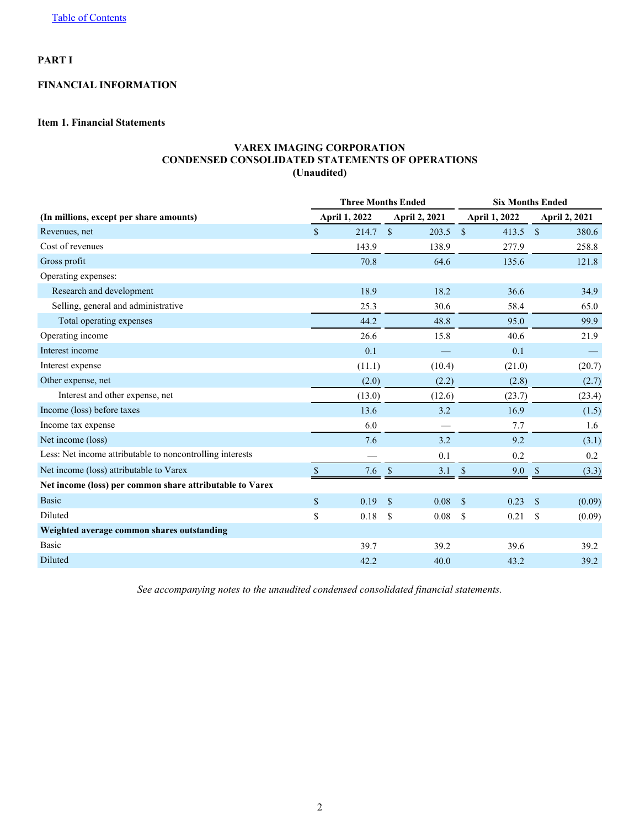## <span id="page-2-0"></span>**PART I**

## **FINANCIAL INFORMATION**

## **Item 1. Financial Statements**

## **VAREX IMAGING CORPORATION CONDENSED CONSOLIDATED STATEMENTS OF OPERATIONS (Unaudited)**

|                                                           |               |        | <b>Three Months Ended</b> | <b>Six Months Ended</b> |                           |        |              |                      |  |
|-----------------------------------------------------------|---------------|--------|---------------------------|-------------------------|---------------------------|--------|--------------|----------------------|--|
| (In millions, except per share amounts)                   | April 1, 2022 |        | <b>April 2, 2021</b>      |                         | April 1, 2022             |        |              | <b>April 2, 2021</b> |  |
| Revenues, net                                             | \$            | 214.7  | $\mathcal{S}$             | 203.5                   | $\mathbf{\hat{S}}$        | 413.5  | $\mathbf S$  | 380.6                |  |
| Cost of revenues                                          |               | 143.9  |                           | 138.9                   |                           | 277.9  |              | 258.8                |  |
| Gross profit                                              |               | 70.8   |                           | 64.6                    |                           | 135.6  |              | 121.8                |  |
| Operating expenses:                                       |               |        |                           |                         |                           |        |              |                      |  |
| Research and development                                  |               | 18.9   |                           | 18.2                    |                           | 36.6   |              | 34.9                 |  |
| Selling, general and administrative                       |               | 25.3   |                           | 30.6                    |                           | 58.4   |              | 65.0                 |  |
| Total operating expenses                                  |               | 44.2   |                           | 48.8                    |                           | 95.0   |              | 99.9                 |  |
| Operating income                                          |               | 26.6   |                           | 15.8                    |                           | 40.6   |              | 21.9                 |  |
| Interest income                                           |               | 0.1    |                           |                         |                           | 0.1    |              |                      |  |
| Interest expense                                          |               | (11.1) |                           | (10.4)                  |                           | (21.0) |              | (20.7)               |  |
| Other expense, net                                        |               | (2.0)  |                           | (2.2)                   |                           | (2.8)  |              | (2.7)                |  |
| Interest and other expense, net                           |               | (13.0) |                           | (12.6)                  |                           | (23.7) |              | (23.4)               |  |
| Income (loss) before taxes                                |               | 13.6   |                           | 3.2                     |                           | 16.9   |              | (1.5)                |  |
| Income tax expense                                        |               | 6.0    |                           |                         |                           | 7.7    |              | 1.6                  |  |
| Net income (loss)                                         |               | 7.6    |                           | 3.2                     |                           | 9.2    |              | (3.1)                |  |
| Less: Net income attributable to noncontrolling interests |               |        |                           | 0.1                     |                           | 0.2    |              | 0.2                  |  |
| Net income (loss) attributable to Varex                   |               | 7.6    | <sup>\$</sup>             | 3.1                     | $\boldsymbol{\mathsf{S}}$ | 9.0    | \$           | (3.3)                |  |
| Net income (loss) per common share attributable to Varex  |               |        |                           |                         |                           |        |              |                      |  |
| <b>Basic</b>                                              | \$            | 0.19   | $\mathbf{\mathcal{S}}$    | 0.08                    | $\mathbf{\hat{s}}$        | 0.23   | $\mathbf{s}$ | (0.09)               |  |
| Diluted                                                   | \$            | 0.18   | <sup>\$</sup>             | 0.08                    | \$                        | 0.21   | \$           | (0.09)               |  |
| Weighted average common shares outstanding                |               |        |                           |                         |                           |        |              |                      |  |
| Basic                                                     |               | 39.7   |                           | 39.2                    |                           | 39.6   |              | 39.2                 |  |
| Diluted                                                   |               | 42.2   |                           | 40.0                    |                           | 43.2   |              | 39.2                 |  |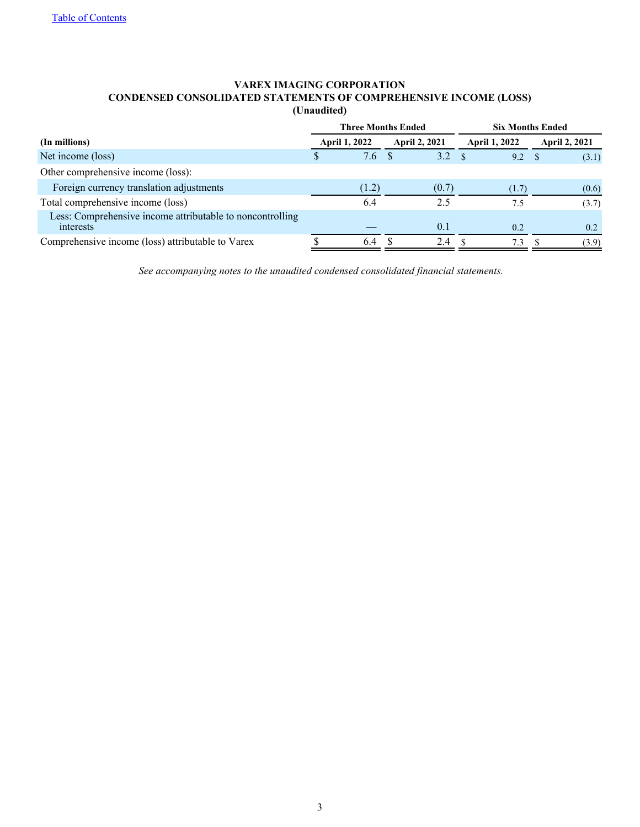## **VAREX IMAGING CORPORATION CONDENSED CONSOLIDATED STATEMENTS OF COMPREHENSIVE INCOME (LOSS) (Unaudited)**

<span id="page-3-0"></span>

|                                                                        |               | <b>Three Months Ended</b> |                      | <b>Six Months Ended</b> |                      |  |                      |  |
|------------------------------------------------------------------------|---------------|---------------------------|----------------------|-------------------------|----------------------|--|----------------------|--|
| (In millions)                                                          |               | <b>April 1, 2022</b>      | <b>April 2, 2021</b> |                         | <b>April 1, 2022</b> |  | <b>April 2, 2021</b> |  |
| Net income (loss)                                                      | <sup>\$</sup> | 7.6                       | $3.2 \, \text{s}$    |                         | 9.2 <sup>5</sup>     |  | (3.1)                |  |
| Other comprehensive income (loss):                                     |               |                           |                      |                         |                      |  |                      |  |
| Foreign currency translation adjustments                               |               | (1.2)                     | (0.7)                |                         | (1.7)                |  | (0.6)                |  |
| Total comprehensive income (loss)                                      |               | 6.4                       | 2.5                  |                         | 7.5                  |  | (3.7)                |  |
| Less: Comprehensive income attributable to noncontrolling<br>interests |               |                           | 0.1                  |                         | 0.2                  |  | 0.2                  |  |
| Comprehensive income (loss) attributable to Varex                      |               | 6.4                       | 2.4                  |                         | 7.3                  |  | (3.9)                |  |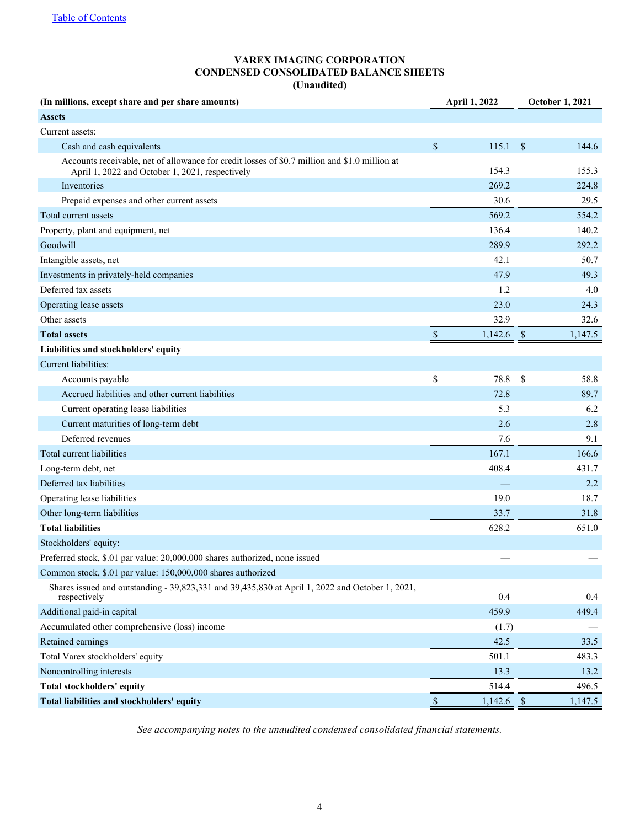## **VAREX IMAGING CORPORATION CONDENSED CONSOLIDATED BALANCE SHEETS (Unaudited)**

<span id="page-4-0"></span>

| (In millions, except share and per share amounts)                                                                                                |      | April 1, 2022 |                    | <b>October 1, 2021</b> |
|--------------------------------------------------------------------------------------------------------------------------------------------------|------|---------------|--------------------|------------------------|
| <b>Assets</b>                                                                                                                                    |      |               |                    |                        |
| Current assets:                                                                                                                                  |      |               |                    |                        |
| Cash and cash equivalents                                                                                                                        | \$   | 115.1         | \$                 | 144.6                  |
| Accounts receivable, net of allowance for credit losses of \$0.7 million and \$1.0 million at<br>April 1, 2022 and October 1, 2021, respectively |      | 154.3         |                    | 155.3                  |
| Inventories                                                                                                                                      |      | 269.2         |                    | 224.8                  |
| Prepaid expenses and other current assets                                                                                                        |      | 30.6          |                    | 29.5                   |
| Total current assets                                                                                                                             |      | 569.2         |                    | 554.2                  |
| Property, plant and equipment, net                                                                                                               |      | 136.4         |                    | 140.2                  |
| Goodwill                                                                                                                                         |      | 289.9         |                    | 292.2                  |
| Intangible assets, net                                                                                                                           |      | 42.1          |                    | 50.7                   |
| Investments in privately-held companies                                                                                                          |      | 47.9          |                    | 49.3                   |
| Deferred tax assets                                                                                                                              |      | 1.2           |                    | 4.0                    |
| Operating lease assets                                                                                                                           |      | 23.0          |                    | 24.3                   |
| Other assets                                                                                                                                     |      | 32.9          |                    | 32.6                   |
| <b>Total assets</b>                                                                                                                              | $\$$ | 1,142.6       | $\sqrt{3}$         | 1,147.5                |
| Liabilities and stockholders' equity                                                                                                             |      |               |                    |                        |
| Current liabilities:                                                                                                                             |      |               |                    |                        |
| Accounts payable                                                                                                                                 | \$   | 78.8          | \$                 | 58.8                   |
| Accrued liabilities and other current liabilities                                                                                                |      | 72.8          |                    | 89.7                   |
| Current operating lease liabilities                                                                                                              |      | 5.3           |                    | 6.2                    |
| Current maturities of long-term debt                                                                                                             |      | 2.6           |                    | 2.8                    |
| Deferred revenues                                                                                                                                |      | 7.6           |                    | 9.1                    |
| Total current liabilities                                                                                                                        |      | 167.1         |                    | 166.6                  |
| Long-term debt, net                                                                                                                              |      | 408.4         |                    | 431.7                  |
| Deferred tax liabilities                                                                                                                         |      |               |                    | 2.2                    |
| Operating lease liabilities                                                                                                                      |      | 19.0          |                    | 18.7                   |
| Other long-term liabilities                                                                                                                      |      | 33.7          |                    | 31.8                   |
| <b>Total liabilities</b>                                                                                                                         |      | 628.2         |                    | 651.0                  |
| Stockholders' equity:                                                                                                                            |      |               |                    |                        |
| Preferred stock, \$.01 par value: 20,000,000 shares authorized, none issued                                                                      |      |               |                    |                        |
| Common stock, \$.01 par value: 150,000,000 shares authorized                                                                                     |      |               |                    |                        |
| Shares issued and outstanding - 39,823,331 and 39,435,830 at April 1, 2022 and October 1, 2021,<br>respectively                                  |      | 0.4           |                    | 0.4                    |
| Additional paid-in capital                                                                                                                       |      | 459.9         |                    | 449.4                  |
| Accumulated other comprehensive (loss) income                                                                                                    |      | (1.7)         |                    |                        |
| Retained earnings                                                                                                                                |      | 42.5          |                    | 33.5                   |
| Total Varex stockholders' equity                                                                                                                 |      | 501.1         |                    | 483.3                  |
| Noncontrolling interests                                                                                                                         |      | 13.3          |                    | 13.2                   |
| Total stockholders' equity                                                                                                                       |      | 514.4         |                    | 496.5                  |
| Total liabilities and stockholders' equity                                                                                                       | $\$$ | 1,142.6       | $\mathbf{\hat{s}}$ | 1,147.5                |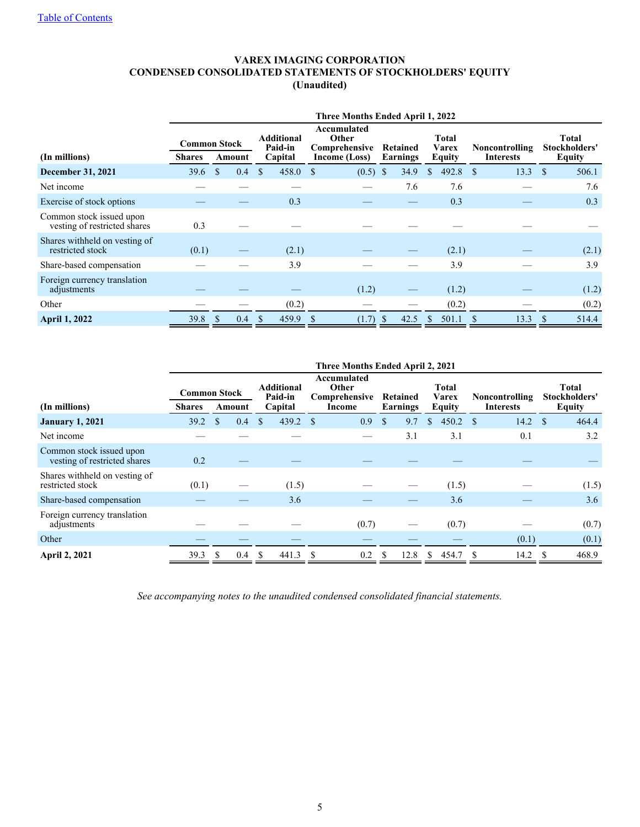## **VAREX IMAGING CORPORATION CONDENSED CONSOLIDATED STATEMENTS OF STOCKHOLDERS' EQUITY (Unaudited)**

<span id="page-5-0"></span>

|                                                          | Three Months Ended April 1, 2022               |                      |  |                                         |                                                               |              |                             |                                 |  |                                    |                                                |  |
|----------------------------------------------------------|------------------------------------------------|----------------------|--|-----------------------------------------|---------------------------------------------------------------|--------------|-----------------------------|---------------------------------|--|------------------------------------|------------------------------------------------|--|
| (In millions)                                            | <b>Common Stock</b><br><b>Shares</b><br>Amount |                      |  | <b>Additional</b><br>Paid-in<br>Capital | Accumulated<br>Other<br>Comprehensive<br><b>Income (Loss)</b> |              | Retained<br><b>Earnings</b> | Total<br>Varex<br><b>Equity</b> |  | Noncontrolling<br><b>Interests</b> | <b>Total</b><br>Stockholders'<br><b>Equity</b> |  |
| <b>December 31, 2021</b>                                 | 39.6                                           | <sup>\$</sup><br>0.4 |  | 458.0<br>\$                             | $(0.5)$ \$<br>-S                                              |              | 34.9                        | 492.8<br>$\mathbb{S}$           |  | 13.3<br>- \$                       | -S<br>506.1                                    |  |
| Net income                                               |                                                |                      |  |                                         |                                                               |              | 7.6                         | 7.6                             |  |                                    | 7.6                                            |  |
| Exercise of stock options                                |                                                |                      |  | 0.3                                     |                                                               |              |                             | 0.3                             |  |                                    | 0.3                                            |  |
| Common stock issued upon<br>vesting of restricted shares | 0.3                                            |                      |  |                                         |                                                               |              |                             |                                 |  |                                    |                                                |  |
| Shares withheld on vesting of<br>restricted stock        | (0.1)                                          |                      |  | (2.1)                                   |                                                               |              |                             | (2.1)                           |  |                                    | (2.1)                                          |  |
| Share-based compensation                                 |                                                |                      |  | 3.9                                     |                                                               |              |                             | 3.9                             |  |                                    | 3.9                                            |  |
| Foreign currency translation<br>adjustments              |                                                |                      |  |                                         | (1.2)                                                         |              |                             | (1.2)                           |  |                                    | (1.2)                                          |  |
| Other                                                    |                                                |                      |  | (0.2)                                   |                                                               |              |                             | (0.2)                           |  |                                    | (0.2)                                          |  |
| <b>April 1, 2022</b>                                     | 39.8                                           | <sup>\$</sup><br>0.4 |  | \$<br>459.9                             | (1.7)<br><sup>S</sup>                                         | <sup>S</sup> | 42.5                        | 501.1<br>S                      |  | 13.3                               | <sup>\$</sup><br>514.4                         |  |

|                                                          | Three Months Ended April 2, 2021     |              |        |              |                                         |                                                 |       |                      |      |                                 |       |                                           |       |                                                |       |
|----------------------------------------------------------|--------------------------------------|--------------|--------|--------------|-----------------------------------------|-------------------------------------------------|-------|----------------------|------|---------------------------------|-------|-------------------------------------------|-------|------------------------------------------------|-------|
| (In millions)                                            | <b>Common Stock</b><br><b>Shares</b> |              | Amount |              | <b>Additional</b><br>Paid-in<br>Capital | Accumulated<br>Other<br>Comprehensive<br>Income |       | Retained<br>Earnings |      | Total<br>Varex<br><b>Equity</b> |       | <b>Noncontrolling</b><br><b>Interests</b> |       | <b>Total</b><br>Stockholders'<br><b>Equity</b> |       |
|                                                          |                                      |              |        |              |                                         |                                                 |       |                      |      |                                 |       |                                           |       |                                                |       |
| <b>January 1, 2021</b>                                   | 39.2                                 | <sup>S</sup> | 0.4    | \$           | 439.2                                   | -\$                                             | 0.9   | $\mathbf{\hat{s}}$   | 9.7  | <sup>\$</sup>                   | 450.2 | - \$                                      | 14.2  | - \$                                           | 464.4 |
| Net income                                               |                                      |              |        |              |                                         |                                                 |       |                      | 3.1  |                                 | 3.1   |                                           | 0.1   |                                                | 3.2   |
| Common stock issued upon<br>vesting of restricted shares | 0.2                                  |              |        |              |                                         |                                                 |       |                      |      |                                 |       |                                           |       |                                                |       |
| Shares withheld on vesting of<br>restricted stock        | (0.1)                                |              |        |              | (1.5)                                   |                                                 |       |                      |      |                                 | (1.5) |                                           |       |                                                | (1.5) |
| Share-based compensation                                 |                                      |              |        |              | 3.6                                     |                                                 |       |                      |      |                                 | 3.6   |                                           |       |                                                | 3.6   |
| Foreign currency translation<br>adjustments              |                                      |              |        |              |                                         |                                                 | (0.7) |                      |      |                                 | (0.7) |                                           |       |                                                | (0.7) |
| Other                                                    |                                      |              |        |              |                                         |                                                 |       |                      |      |                                 |       |                                           | (0.1) |                                                | (0.1) |
| <b>April 2, 2021</b>                                     | 39.3                                 | -S           | 0.4    | <sup>S</sup> | 441.3                                   | S                                               | 0.2   |                      | 12.8 | S.                              | 454.7 | <sup>S</sup>                              | 14.2  | -S                                             | 468.9 |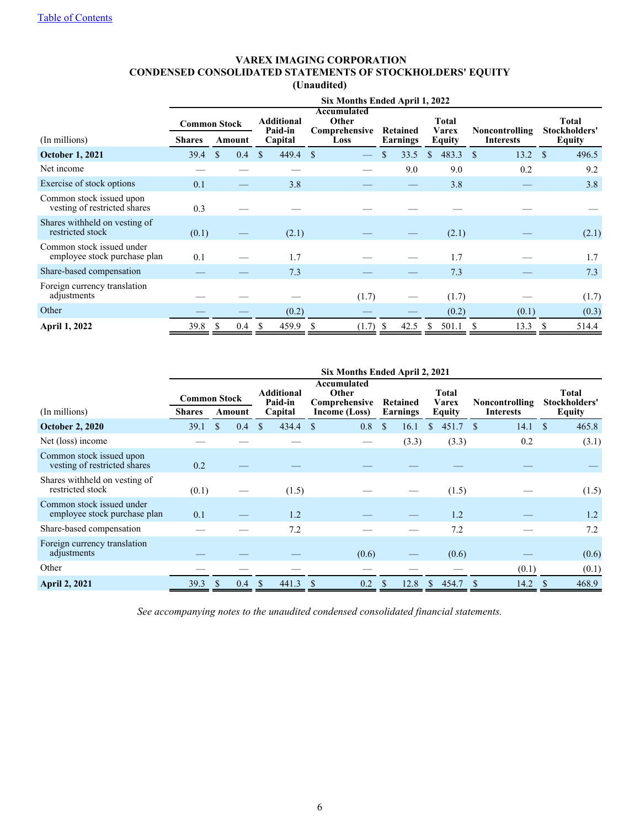## **VAREX IMAGING CORPORATION CONDENSED CONSOLIDATED STATEMENTS OF STOCKHOLDERS' EQUITY (Unaudited)**

|                                                           |                                      | Six Months Ended April 1, 2022          |              |                                               |                      |                                        |                                    |                                         |                      |  |  |  |
|-----------------------------------------------------------|--------------------------------------|-----------------------------------------|--------------|-----------------------------------------------|----------------------|----------------------------------------|------------------------------------|-----------------------------------------|----------------------|--|--|--|
| (In millions)                                             | <b>Common Stock</b><br><b>Shares</b> | <b>Additional</b><br>Paid-in<br>Capital |              | Accumulated<br>Other<br>Comprehensive<br>Loss | Retained<br>Earnings | <b>Total</b><br><b>Varex</b><br>Equity | Noncontrolling<br><b>Interests</b> | <b>Total</b><br>Stockholders'<br>Equity |                      |  |  |  |
| <b>October 1, 2021</b>                                    | 39.4                                 | Amount<br>\$<br>0.4                     | $\mathbf{s}$ | 449.4                                         | <sup>\$</sup>        | 33.5<br>\$                             | 483.3<br>$\mathbf{s}$              | <sup>\$</sup><br>13.2                   | $\mathbf S$<br>496.5 |  |  |  |
| Net income                                                |                                      |                                         |              |                                               |                      | 9.0                                    | 9.0                                | 0.2                                     | 9.2                  |  |  |  |
| Exercise of stock options                                 | 0.1                                  |                                         |              | 3.8                                           |                      |                                        | 3.8                                |                                         | 3.8                  |  |  |  |
| Common stock issued upon<br>vesting of restricted shares  | 0.3                                  |                                         |              |                                               |                      |                                        |                                    |                                         |                      |  |  |  |
| Shares withheld on vesting of<br>restricted stock         | (0.1)                                |                                         |              | (2.1)                                         |                      |                                        | (2.1)                              |                                         | (2.1)                |  |  |  |
| Common stock issued under<br>employee stock purchase plan | 0.1                                  |                                         |              | 1.7                                           |                      |                                        | 1.7                                |                                         | 1.7                  |  |  |  |
| Share-based compensation                                  |                                      |                                         |              | 7.3                                           |                      |                                        | 7.3                                |                                         | 7.3                  |  |  |  |
| Foreign currency translation<br>adjustments               |                                      |                                         |              |                                               | (1.7)                |                                        | (1.7)                              |                                         | (1.7)                |  |  |  |
| Other                                                     |                                      |                                         |              | (0.2)                                         |                      |                                        | (0.2)                              | (0.1)                                   | (0.3)                |  |  |  |
| <b>April 1, 2022</b>                                      | 39.8                                 | <sup>\$</sup><br>0.4                    | S            | 459.9                                         | (1.7)<br>S           | 42.5<br>-8                             | 501.1                              | <sup>\$</sup><br>13.3                   | S<br>514.4           |  |  |  |

|                                                           | Six Months Ended April 2, 2021                 |                      |                                         |                                                        |                             |                                        |                                           |                                         |  |  |  |  |
|-----------------------------------------------------------|------------------------------------------------|----------------------|-----------------------------------------|--------------------------------------------------------|-----------------------------|----------------------------------------|-------------------------------------------|-----------------------------------------|--|--|--|--|
| (In millions)                                             | <b>Common Stock</b><br><b>Shares</b><br>Amount |                      | <b>Additional</b><br>Paid-in<br>Capital | Accumulated<br>Other<br>Comprehensive<br>Income (Loss) | Retained<br><b>Earnings</b> | <b>Total</b><br><b>Varex</b><br>Equity | <b>Noncontrolling</b><br><b>Interests</b> | <b>Total</b><br>Stockholders'<br>Equity |  |  |  |  |
| <b>October 2, 2020</b>                                    | 39.1                                           | <sup>\$</sup><br>0.4 | 434.4<br>\$                             | 0.8<br>-S                                              | S<br>16.1                   | 451.7<br>\$                            | $^{\circ}$<br>14.1                        | 465.8<br><sup>S</sup>                   |  |  |  |  |
| Net (loss) income                                         |                                                |                      |                                         |                                                        | (3.3)                       | (3.3)                                  | 0.2                                       | (3.1)                                   |  |  |  |  |
| Common stock issued upon<br>vesting of restricted shares  | 0.2                                            |                      |                                         |                                                        |                             |                                        |                                           |                                         |  |  |  |  |
| Shares withheld on vesting of<br>restricted stock         | (0.1)                                          |                      | (1.5)                                   |                                                        |                             | (1.5)                                  |                                           | (1.5)                                   |  |  |  |  |
| Common stock issued under<br>employee stock purchase plan | 0.1                                            |                      | 1.2                                     |                                                        |                             | 1.2                                    |                                           | 1.2                                     |  |  |  |  |
| Share-based compensation                                  |                                                |                      | 7.2                                     |                                                        |                             | 7.2                                    |                                           | 7.2                                     |  |  |  |  |
| Foreign currency translation<br>adjustments               |                                                |                      |                                         | (0.6)                                                  |                             | (0.6)                                  |                                           | (0.6)                                   |  |  |  |  |
| Other                                                     |                                                |                      |                                         |                                                        |                             |                                        | (0.1)                                     | (0.1)                                   |  |  |  |  |
| <b>April 2, 2021</b>                                      | 39.3                                           | 0.4<br>- \$          | 441.3<br><sup>S</sup>                   | 0.2<br>-S                                              | 12.8<br>- \$                | 454.7<br><sup>\$</sup>                 | 14.2<br><sup>S</sup>                      | 468.9<br><sup>3</sup>                   |  |  |  |  |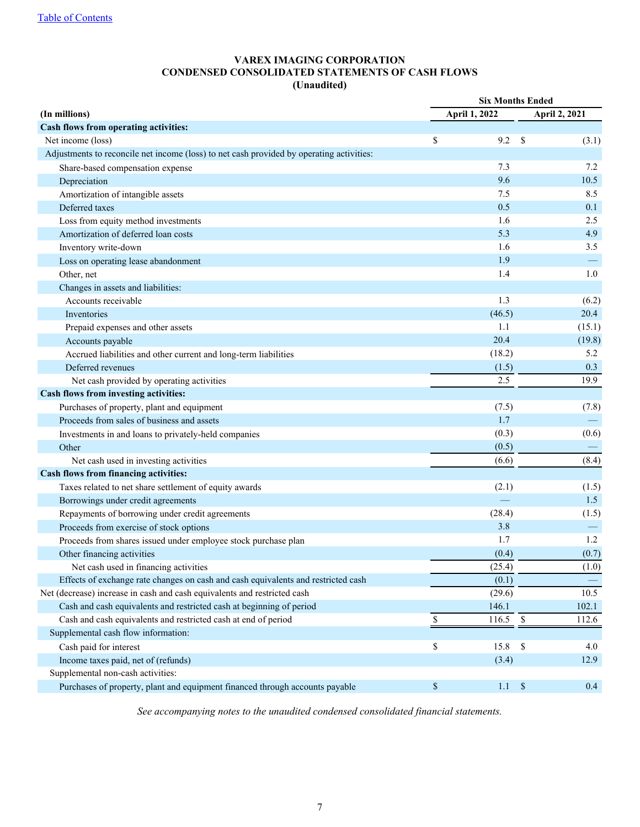## **VAREX IMAGING CORPORATION CONDENSED CONSOLIDATED STATEMENTS OF CASH FLOWS (Unaudited)**

<span id="page-7-0"></span>

|                                                                                          | <b>Six Months Ended</b> |               |              |               |  |  |  |  |  |
|------------------------------------------------------------------------------------------|-------------------------|---------------|--------------|---------------|--|--|--|--|--|
| (In millions)                                                                            |                         | April 1, 2022 |              | April 2, 2021 |  |  |  |  |  |
| Cash flows from operating activities:                                                    |                         |               |              |               |  |  |  |  |  |
| Net income (loss)                                                                        | \$                      | 9.2           | \$           | (3.1)         |  |  |  |  |  |
| Adjustments to reconcile net income (loss) to net cash provided by operating activities: |                         |               |              |               |  |  |  |  |  |
| Share-based compensation expense                                                         |                         | 7.3           |              | 7.2           |  |  |  |  |  |
| Depreciation                                                                             |                         | 9.6           |              | 10.5          |  |  |  |  |  |
| Amortization of intangible assets                                                        |                         | 7.5           |              | 8.5           |  |  |  |  |  |
| Deferred taxes                                                                           |                         | 0.5           |              | 0.1           |  |  |  |  |  |
| Loss from equity method investments                                                      |                         | 1.6           |              | 2.5           |  |  |  |  |  |
| Amortization of deferred loan costs                                                      |                         | 5.3           |              | 4.9           |  |  |  |  |  |
| Inventory write-down                                                                     |                         | 1.6           |              | 3.5           |  |  |  |  |  |
| Loss on operating lease abandonment                                                      |                         | 1.9           |              |               |  |  |  |  |  |
| Other, net                                                                               |                         | 1.4           |              | 1.0           |  |  |  |  |  |
| Changes in assets and liabilities:                                                       |                         |               |              |               |  |  |  |  |  |
| Accounts receivable                                                                      |                         | 1.3           |              | (6.2)         |  |  |  |  |  |
| Inventories                                                                              |                         | (46.5)        |              | 20.4          |  |  |  |  |  |
| Prepaid expenses and other assets                                                        |                         | 1.1           |              | (15.1)        |  |  |  |  |  |
| Accounts payable                                                                         |                         | 20.4          |              | (19.8)        |  |  |  |  |  |
| Accrued liabilities and other current and long-term liabilities                          |                         | (18.2)        |              | 5.2           |  |  |  |  |  |
| Deferred revenues                                                                        |                         | (1.5)         |              | 0.3           |  |  |  |  |  |
| Net cash provided by operating activities                                                |                         | 2.5           |              | 19.9          |  |  |  |  |  |
| Cash flows from investing activities:                                                    |                         |               |              |               |  |  |  |  |  |
| Purchases of property, plant and equipment                                               |                         | (7.5)         |              | (7.8)         |  |  |  |  |  |
| Proceeds from sales of business and assets                                               |                         | 1.7           |              |               |  |  |  |  |  |
| Investments in and loans to privately-held companies                                     |                         | (0.3)         |              | (0.6)         |  |  |  |  |  |
| Other                                                                                    |                         | (0.5)         |              |               |  |  |  |  |  |
| Net cash used in investing activities                                                    |                         | (6.6)         |              | (8.4)         |  |  |  |  |  |
| Cash flows from financing activities:                                                    |                         |               |              |               |  |  |  |  |  |
| Taxes related to net share settlement of equity awards                                   |                         | (2.1)         |              | (1.5)         |  |  |  |  |  |
| Borrowings under credit agreements                                                       |                         |               |              | 1.5           |  |  |  |  |  |
| Repayments of borrowing under credit agreements                                          |                         | (28.4)        |              | (1.5)         |  |  |  |  |  |
| Proceeds from exercise of stock options                                                  |                         | 3.8           |              |               |  |  |  |  |  |
| Proceeds from shares issued under employee stock purchase plan                           |                         | 1.7           |              | 1.2           |  |  |  |  |  |
| Other financing activities                                                               |                         | (0.4)         |              | (0.7)         |  |  |  |  |  |
| Net cash used in financing activities                                                    |                         | (25.4)        |              | (1.0)         |  |  |  |  |  |
| Effects of exchange rate changes on cash and cash equivalents and restricted cash        |                         | (0.1)         |              |               |  |  |  |  |  |
| Net (decrease) increase in cash and cash equivalents and restricted cash                 |                         | (29.6)        |              | 10.5          |  |  |  |  |  |
| Cash and cash equivalents and restricted cash at beginning of period                     |                         | 146.1         |              | 102.1         |  |  |  |  |  |
| Cash and cash equivalents and restricted cash at end of period                           | \$                      | 116.5         | $\mathbb{S}$ | 112.6         |  |  |  |  |  |
| Supplemental cash flow information:                                                      |                         |               |              |               |  |  |  |  |  |
| Cash paid for interest                                                                   | \$                      | 15.8          | $\$$         | 4.0           |  |  |  |  |  |
| Income taxes paid, net of (refunds)                                                      |                         | (3.4)         |              | 12.9          |  |  |  |  |  |
| Supplemental non-cash activities:                                                        |                         |               |              |               |  |  |  |  |  |
| Purchases of property, plant and equipment financed through accounts payable             | \$                      | $1.1 \t$$     |              | 0.4           |  |  |  |  |  |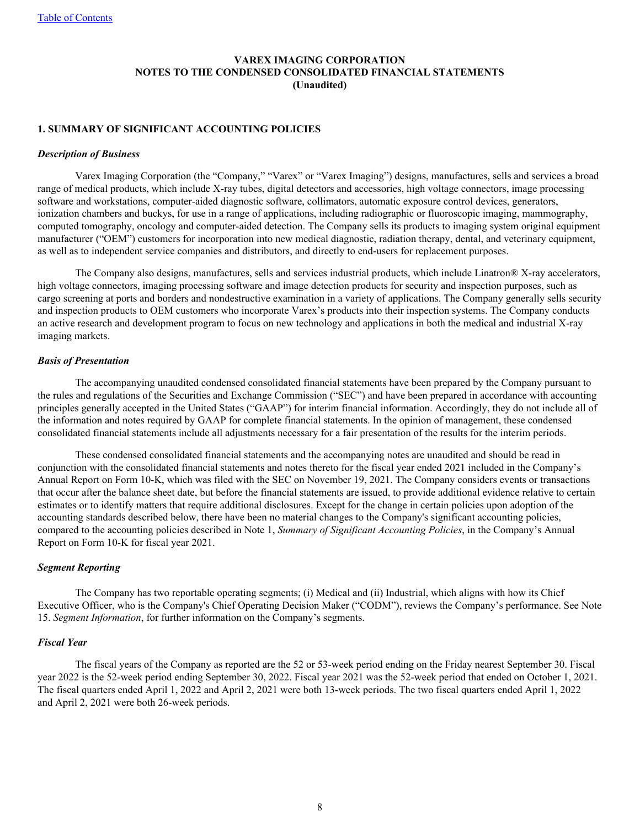## **VAREX IMAGING CORPORATION NOTES TO THE CONDENSED CONSOLIDATED FINANCIAL STATEMENTS (Unaudited)**

## <span id="page-8-0"></span>**1. SUMMARY OF SIGNIFICANT ACCOUNTING POLICIES**

#### *Description of Business*

Varex Imaging Corporation (the "Company," "Varex" or "Varex Imaging") designs, manufactures, sells and services a broad range of medical products, which include X-ray tubes, digital detectors and accessories, high voltage connectors, image processing software and workstations, computer-aided diagnostic software, collimators, automatic exposure control devices, generators, ionization chambers and buckys, for use in a range of applications, including radiographic or fluoroscopic imaging, mammography, computed tomography, oncology and computer-aided detection. The Company sells its products to imaging system original equipment manufacturer ("OEM") customers for incorporation into new medical diagnostic, radiation therapy, dental, and veterinary equipment, as well as to independent service companies and distributors, and directly to end-users for replacement purposes.

 The Company also designs, manufactures, sells and services industrial products, which include Linatron® X-ray accelerators, high voltage connectors, imaging processing software and image detection products for security and inspection purposes, such as cargo screening at ports and borders and nondestructive examination in a variety of applications. The Company generally sells security and inspection products to OEM customers who incorporate Varex's products into their inspection systems. The Company conducts an active research and development program to focus on new technology and applications in both the medical and industrial X-ray imaging markets.

#### *Basis of Presentation*

The accompanying unaudited condensed consolidated financial statements have been prepared by the Company pursuant to the rules and regulations of the Securities and Exchange Commission ("SEC") and have been prepared in accordance with accounting principles generally accepted in the United States ("GAAP") for interim financial information. Accordingly, they do not include all of the information and notes required by GAAP for complete financial statements. In the opinion of management, these condensed consolidated financial statements include all adjustments necessary for a fair presentation of the results for the interim periods.

These condensed consolidated financial statements and the accompanying notes are unaudited and should be read in conjunction with the consolidated financial statements and notes thereto for the fiscal year ended 2021 included in the Company's Annual Report on Form 10-K, which was filed with the SEC on November 19, 2021. The Company considers events or transactions that occur after the balance sheet date, but before the financial statements are issued, to provide additional evidence relative to certain estimates or to identify matters that require additional disclosures. Except for the change in certain policies upon adoption of the accounting standards described below, there have been no material changes to the Company's significant accounting policies, compared to the accounting policies described in Note 1, *Summary of Significant Accounting Policies*, in the Company's Annual Report on Form 10-K for fiscal year 2021.

## *Segment Reporting*

The Company has two reportable operating segments; (i) Medical and (ii) Industrial, which aligns with how its Chief Executive Officer, who is the Company's Chief Operating Decision Maker ("CODM"), reviews the Company's performance. See Note 15. *Segment Information*, for further information on the Company's segments.

### *Fiscal Year*

The fiscal years of the Company as reported are the 52 or 53-week period ending on the Friday nearest September 30. Fiscal year 2022 is the 52-week period ending September 30, 2022. Fiscal year 2021 was the 52-week period that ended on October 1, 2021. The fiscal quarters ended April 1, 2022 and April 2, 2021 were both 13-week periods. The two fiscal quarters ended April 1, 2022 and April 2, 2021 were both 26-week periods.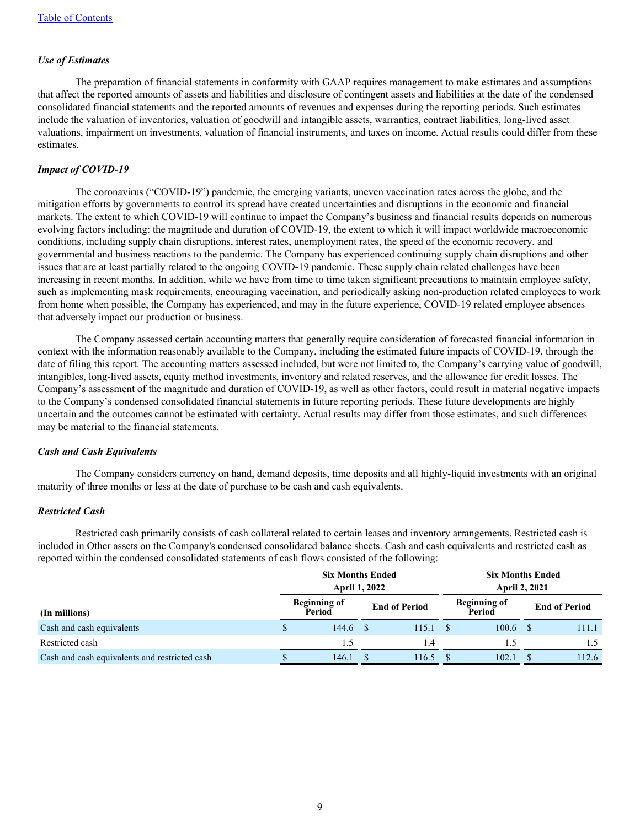#### *Use of Estimates*

The preparation of financial statements in conformity with GAAP requires management to make estimates and assumptions that affect the reported amounts of assets and liabilities and disclosure of contingent assets and liabilities at the date of the condensed consolidated financial statements and the reported amounts of revenues and expenses during the reporting periods. Such estimates include the valuation of inventories, valuation of goodwill and intangible assets, warranties, contract liabilities, long-lived asset valuations, impairment on investments, valuation of financial instruments, and taxes on income. Actual results could differ from these estimates.

#### *Impact of COVID-19*

The coronavirus ("COVID-19") pandemic, the emerging variants, uneven vaccination rates across the globe, and the mitigation efforts by governments to control its spread have created uncertainties and disruptions in the economic and financial markets. The extent to which COVID-19 will continue to impact the Company's business and financial results depends on numerous evolving factors including: the magnitude and duration of COVID-19, the extent to which it will impact worldwide macroeconomic conditions, including supply chain disruptions, interest rates, unemployment rates, the speed of the economic recovery, and governmental and business reactions to the pandemic. The Company has experienced continuing supply chain disruptions and other issues that are at least partially related to the ongoing COVID-19 pandemic. These supply chain related challenges have been increasing in recent months. In addition, while we have from time to time taken significant precautions to maintain employee safety, such as implementing mask requirements, encouraging vaccination, and periodically asking non-production related employees to work from home when possible, the Company has experienced, and may in the future experience, COVID-19 related employee absences that adversely impact our production or business.

 The Company assessed certain accounting matters that generally require consideration of forecasted financial information in context with the information reasonably available to the Company, including the estimated future impacts of COVID-19, through the date of filing this report. The accounting matters assessed included, but were not limited to, the Company's carrying value of goodwill, intangibles, long-lived assets, equity method investments, inventory and related reserves, and the allowance for credit losses. The Company's assessment of the magnitude and duration of COVID-19, as well as other factors, could result in material negative impacts to the Company's condensed consolidated financial statements in future reporting periods. These future developments are highly uncertain and the outcomes cannot be estimated with certainty. Actual results may differ from those estimates, and such differences may be material to the financial statements.

#### *Cash and Cash Equivalents*

The Company considers currency on hand, demand deposits, time deposits and all highly-liquid investments with an original maturity of three months or less at the date of purchase to be cash and cash equivalents.

#### *Restricted Cash*

Restricted cash primarily consists of cash collateral related to certain leases and inventory arrangements. Restricted cash is included in Other assets on the Company's condensed consolidated balance sheets. Cash and cash equivalents and restricted cash as reported within the condensed consolidated statements of cash flows consisted of the following:

|                                               | <b>Six Months Ended</b><br><b>April 1, 2022</b> |                      | <b>Six Months Ended</b><br><b>April 2, 2021</b> |                               |  |                      |  |
|-----------------------------------------------|-------------------------------------------------|----------------------|-------------------------------------------------|-------------------------------|--|----------------------|--|
| (In millions)                                 | <b>Beginning of</b><br>Period                   | <b>End of Period</b> |                                                 | <b>Beginning of</b><br>Period |  | <b>End of Period</b> |  |
| Cash and cash equivalents                     | 144.6                                           | 115.1                |                                                 | 100.6                         |  | 111.1                |  |
| Restricted cash                               | 1.5                                             | 1.4                  |                                                 | 15                            |  | 1.5                  |  |
| Cash and cash equivalents and restricted cash | 146.1                                           | 116.5                |                                                 | 102.1                         |  | 112.6                |  |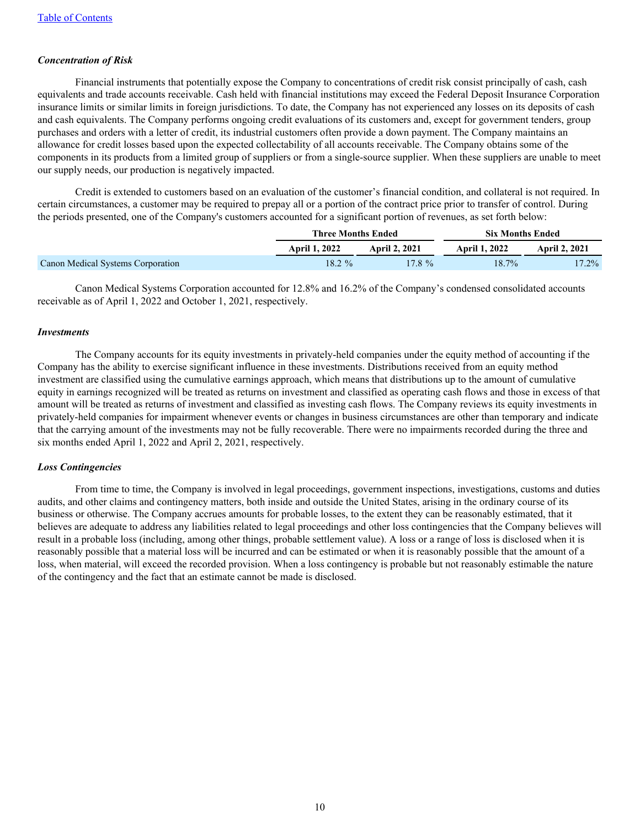## *Concentration of Risk*

Financial instruments that potentially expose the Company to concentrations of credit risk consist principally of cash, cash equivalents and trade accounts receivable. Cash held with financial institutions may exceed the Federal Deposit Insurance Corporation insurance limits or similar limits in foreign jurisdictions. To date, the Company has not experienced any losses on its deposits of cash and cash equivalents. The Company performs ongoing credit evaluations of its customers and, except for government tenders, group purchases and orders with a letter of credit, its industrial customers often provide a down payment. The Company maintains an allowance for credit losses based upon the expected collectability of all accounts receivable. The Company obtains some of the components in its products from a limited group of suppliers or from a single-source supplier. When these suppliers are unable to meet our supply needs, our production is negatively impacted.

 Credit is extended to customers based on an evaluation of the customer's financial condition, and collateral is not required. In certain circumstances, a customer may be required to prepay all or a portion of the contract price prior to transfer of control. During the periods presented, one of the Company's customers accounted for a significant portion of revenues, as set forth below:

|                                   | Three Months Ended   |               | <b>Six Months Ended</b> |                      |
|-----------------------------------|----------------------|---------------|-------------------------|----------------------|
|                                   | <b>April 1, 2022</b> | April 2, 2021 | <b>April 1, 2022</b>    | <b>April 2, 2021</b> |
| Canon Medical Systems Corporation | $18.2 \%$            | $17.8 \%$     | $18.7\%$                | $17.2\%$             |

 Canon Medical Systems Corporation accounted for 12.8% and 16.2% of the Company's condensed consolidated accounts receivable as of April 1, 2022 and October 1, 2021, respectively.

#### *Investments*

The Company accounts for its equity investments in privately-held companies under the equity method of accounting if the Company has the ability to exercise significant influence in these investments. Distributions received from an equity method investment are classified using the cumulative earnings approach, which means that distributions up to the amount of cumulative equity in earnings recognized will be treated as returns on investment and classified as operating cash flows and those in excess of that amount will be treated as returns of investment and classified as investing cash flows. The Company reviews its equity investments in privately-held companies for impairment whenever events or changes in business circumstances are other than temporary and indicate that the carrying amount of the investments may not be fully recoverable. There were no impairments recorded during the three and six months ended April 1, 2022 and April 2, 2021, respectively.

#### *Loss Contingencies*

From time to time, the Company is involved in legal proceedings, government inspections, investigations, customs and duties audits, and other claims and contingency matters, both inside and outside the United States, arising in the ordinary course of its business or otherwise. The Company accrues amounts for probable losses, to the extent they can be reasonably estimated, that it believes are adequate to address any liabilities related to legal proceedings and other loss contingencies that the Company believes will result in a probable loss (including, among other things, probable settlement value). A loss or a range of loss is disclosed when it is reasonably possible that a material loss will be incurred and can be estimated or when it is reasonably possible that the amount of a loss, when material, will exceed the recorded provision. When a loss contingency is probable but not reasonably estimable the nature of the contingency and the fact that an estimate cannot be made is disclosed.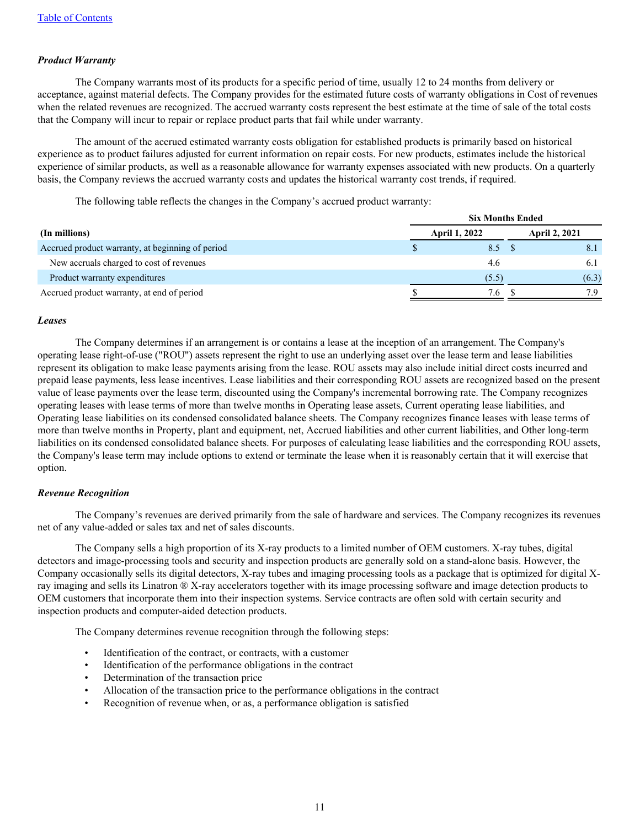### *Product Warranty*

The Company warrants most of its products for a specific period of time, usually 12 to 24 months from delivery or acceptance, against material defects. The Company provides for the estimated future costs of warranty obligations in Cost of revenues when the related revenues are recognized. The accrued warranty costs represent the best estimate at the time of sale of the total costs that the Company will incur to repair or replace product parts that fail while under warranty.

 The amount of the accrued estimated warranty costs obligation for established products is primarily based on historical experience as to product failures adjusted for current information on repair costs. For new products, estimates include the historical experience of similar products, as well as a reasonable allowance for warranty expenses associated with new products. On a quarterly basis, the Company reviews the accrued warranty costs and updates the historical warranty cost trends, if required.

The following table reflects the changes in the Company's accrued product warranty:

|                                                  | <b>Six Months Ended</b> |                      |  |                      |  |  |  |
|--------------------------------------------------|-------------------------|----------------------|--|----------------------|--|--|--|
| (In millions)                                    |                         | <b>April 1, 2022</b> |  | <b>April 2, 2021</b> |  |  |  |
| Accrued product warranty, at beginning of period |                         | 8.5 S                |  | 8.1                  |  |  |  |
| New accruals charged to cost of revenues         |                         | 4.6                  |  | 6.1                  |  |  |  |
| Product warranty expenditures                    |                         | (5.5)                |  | (6.3)                |  |  |  |
| Accrued product warranty, at end of period       |                         | 7.6                  |  | 7 Q                  |  |  |  |

#### *Leases*

The Company determines if an arrangement is or contains a lease at the inception of an arrangement. The Company's operating lease right-of-use ("ROU") assets represent the right to use an underlying asset over the lease term and lease liabilities represent its obligation to make lease payments arising from the lease. ROU assets may also include initial direct costs incurred and prepaid lease payments, less lease incentives. Lease liabilities and their corresponding ROU assets are recognized based on the present value of lease payments over the lease term, discounted using the Company's incremental borrowing rate. The Company recognizes operating leases with lease terms of more than twelve months in Operating lease assets, Current operating lease liabilities, and Operating lease liabilities on its condensed consolidated balance sheets. The Company recognizes finance leases with lease terms of more than twelve months in Property, plant and equipment, net, Accrued liabilities and other current liabilities, and Other long-term liabilities on its condensed consolidated balance sheets. For purposes of calculating lease liabilities and the corresponding ROU assets, the Company's lease term may include options to extend or terminate the lease when it is reasonably certain that it will exercise that option.

#### *Revenue Recognition*

The Company's revenues are derived primarily from the sale of hardware and services. The Company recognizes its revenues net of any value-added or sales tax and net of sales discounts.

 The Company sells a high proportion of its X-ray products to a limited number of OEM customers. X-ray tubes, digital detectors and image-processing tools and security and inspection products are generally sold on a stand-alone basis. However, the Company occasionally sells its digital detectors, X-ray tubes and imaging processing tools as a package that is optimized for digital Xray imaging and sells its Linatron ® X-ray accelerators together with its image processing software and image detection products to OEM customers that incorporate them into their inspection systems. Service contracts are often sold with certain security and inspection products and computer-aided detection products.

The Company determines revenue recognition through the following steps:

- Identification of the contract, or contracts, with a customer
- Identification of the performance obligations in the contract
- Determination of the transaction price
- Allocation of the transaction price to the performance obligations in the contract
- Recognition of revenue when, or as, a performance obligation is satisfied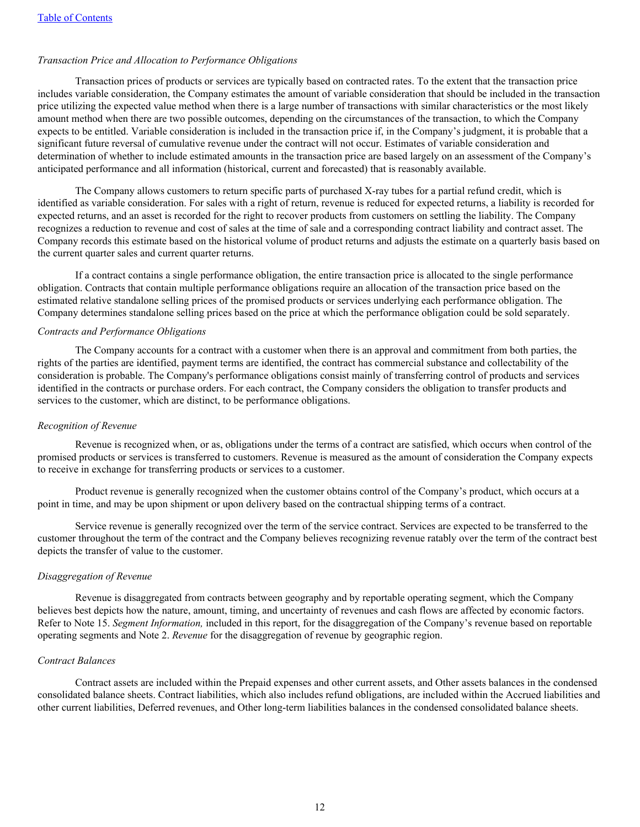#### *Transaction Price and Allocation to Performance Obligations*

 Transaction prices of products or services are typically based on contracted rates. To the extent that the transaction price includes variable consideration, the Company estimates the amount of variable consideration that should be included in the transaction price utilizing the expected value method when there is a large number of transactions with similar characteristics or the most likely amount method when there are two possible outcomes, depending on the circumstances of the transaction, to which the Company expects to be entitled. Variable consideration is included in the transaction price if, in the Company's judgment, it is probable that a significant future reversal of cumulative revenue under the contract will not occur. Estimates of variable consideration and determination of whether to include estimated amounts in the transaction price are based largely on an assessment of the Company's anticipated performance and all information (historical, current and forecasted) that is reasonably available.

 The Company allows customers to return specific parts of purchased X-ray tubes for a partial refund credit, which is identified as variable consideration. For sales with a right of return, revenue is reduced for expected returns, a liability is recorded for expected returns, and an asset is recorded for the right to recover products from customers on settling the liability. The Company recognizes a reduction to revenue and cost of sales at the time of sale and a corresponding contract liability and contract asset. The Company records this estimate based on the historical volume of product returns and adjusts the estimate on a quarterly basis based on the current quarter sales and current quarter returns.

 If a contract contains a single performance obligation, the entire transaction price is allocated to the single performance obligation. Contracts that contain multiple performance obligations require an allocation of the transaction price based on the estimated relative standalone selling prices of the promised products or services underlying each performance obligation. The Company determines standalone selling prices based on the price at which the performance obligation could be sold separately.

#### *Contracts and Performance Obligations*

 The Company accounts for a contract with a customer when there is an approval and commitment from both parties, the rights of the parties are identified, payment terms are identified, the contract has commercial substance and collectability of the consideration is probable. The Company's performance obligations consist mainly of transferring control of products and services identified in the contracts or purchase orders. For each contract, the Company considers the obligation to transfer products and services to the customer, which are distinct, to be performance obligations.

#### *Recognition of Revenue*

 Revenue is recognized when, or as, obligations under the terms of a contract are satisfied, which occurs when control of the promised products or services is transferred to customers. Revenue is measured as the amount of consideration the Company expects to receive in exchange for transferring products or services to a customer.

 Product revenue is generally recognized when the customer obtains control of the Company's product, which occurs at a point in time, and may be upon shipment or upon delivery based on the contractual shipping terms of a contract.

 Service revenue is generally recognized over the term of the service contract. Services are expected to be transferred to the customer throughout the term of the contract and the Company believes recognizing revenue ratably over the term of the contract best depicts the transfer of value to the customer.

#### *Disaggregation of Revenue*

 Revenue is disaggregated from contracts between geography and by reportable operating segment, which the Company believes best depicts how the nature, amount, timing, and uncertainty of revenues and cash flows are affected by economic factors. Refer to Note 15. *Segment Information,* included in this report, for the disaggregation of the Company's revenue based on reportable operating segments and Note 2. *Revenue* for the disaggregation of revenue by geographic region.

#### *Contract Balances*

 Contract assets are included within the Prepaid expenses and other current assets, and Other assets balances in the condensed consolidated balance sheets. Contract liabilities, which also includes refund obligations, are included within the Accrued liabilities and other current liabilities, Deferred revenues, and Other long-term liabilities balances in the condensed consolidated balance sheets.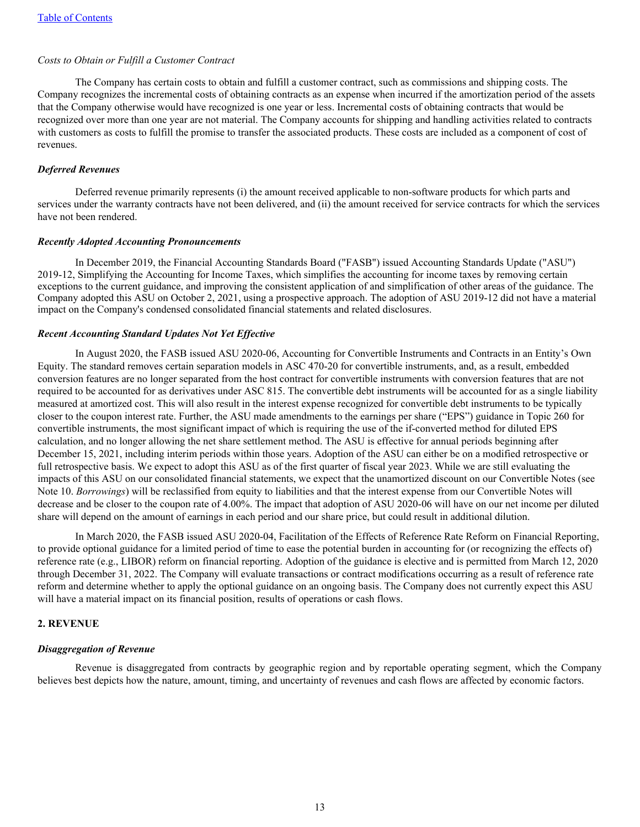#### *Costs to Obtain or Fulfill a Customer Contract*

 The Company has certain costs to obtain and fulfill a customer contract, such as commissions and shipping costs. The Company recognizes the incremental costs of obtaining contracts as an expense when incurred if the amortization period of the assets that the Company otherwise would have recognized is one year or less. Incremental costs of obtaining contracts that would be recognized over more than one year are not material. The Company accounts for shipping and handling activities related to contracts with customers as costs to fulfill the promise to transfer the associated products. These costs are included as a component of cost of revenues.

#### *Deferred Revenues*

Deferred revenue primarily represents (i) the amount received applicable to non-software products for which parts and services under the warranty contracts have not been delivered, and (ii) the amount received for service contracts for which the services have not been rendered.

#### *Recently Adopted Accounting Pronouncements*

In December 2019, the Financial Accounting Standards Board ("FASB") issued Accounting Standards Update ("ASU") 2019-12, Simplifying the Accounting for Income Taxes, which simplifies the accounting for income taxes by removing certain exceptions to the current guidance, and improving the consistent application of and simplification of other areas of the guidance. The Company adopted this ASU on October 2, 2021, using a prospective approach. The adoption of ASU 2019-12 did not have a material impact on the Company's condensed consolidated financial statements and related disclosures.

#### *Recent Accounting Standard Updates Not Yet Effective*

In August 2020, the FASB issued ASU 2020-06, Accounting for Convertible Instruments and Contracts in an Entity's Own Equity. The standard removes certain separation models in ASC 470-20 for convertible instruments, and, as a result, embedded conversion features are no longer separated from the host contract for convertible instruments with conversion features that are not required to be accounted for as derivatives under ASC 815. The convertible debt instruments will be accounted for as a single liability measured at amortized cost. This will also result in the interest expense recognized for convertible debt instruments to be typically closer to the coupon interest rate. Further, the ASU made amendments to the earnings per share ("EPS") guidance in Topic 260 for convertible instruments, the most significant impact of which is requiring the use of the if-converted method for diluted EPS calculation, and no longer allowing the net share settlement method. The ASU is effective for annual periods beginning after December 15, 2021, including interim periods within those years. Adoption of the ASU can either be on a modified retrospective or full retrospective basis. We expect to adopt this ASU as of the first quarter of fiscal year 2023. While we are still evaluating the impacts of this ASU on our consolidated financial statements, we expect that the unamortized discount on our Convertible Notes (see Note 10. *Borrowings*) will be reclassified from equity to liabilities and that the interest expense from our Convertible Notes will decrease and be closer to the coupon rate of 4.00%. The impact that adoption of ASU 2020-06 will have on our net income per diluted share will depend on the amount of earnings in each period and our share price, but could result in additional dilution.

 In March 2020, the FASB issued ASU 2020-04, Facilitation of the Effects of Reference Rate Reform on Financial Reporting, to provide optional guidance for a limited period of time to ease the potential burden in accounting for (or recognizing the effects of) reference rate (e.g., LIBOR) reform on financial reporting. Adoption of the guidance is elective and is permitted from March 12, 2020 through December 31, 2022. The Company will evaluate transactions or contract modifications occurring as a result of reference rate reform and determine whether to apply the optional guidance on an ongoing basis. The Company does not currently expect this ASU will have a material impact on its financial position, results of operations or cash flows.

#### **2. REVENUE**

#### *Disaggregation of Revenue*

 Revenue is disaggregated from contracts by geographic region and by reportable operating segment, which the Company believes best depicts how the nature, amount, timing, and uncertainty of revenues and cash flows are affected by economic factors.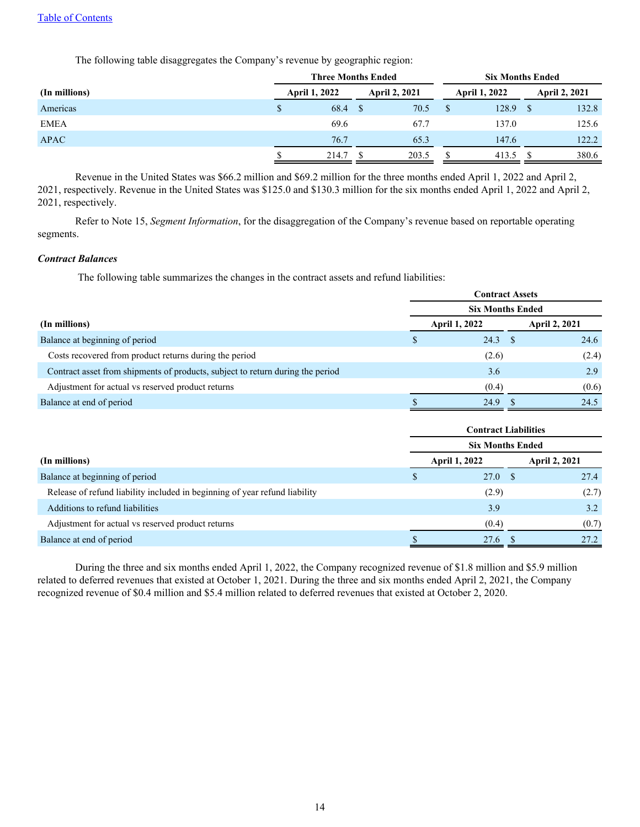The following table disaggregates the Company's revenue by geographic region:

|               |                      | <b>Three Months Ended</b> | <b>Six Months Ended</b> |       |                      |       |
|---------------|----------------------|---------------------------|-------------------------|-------|----------------------|-------|
| (In millions) | <b>April 1, 2022</b> | <b>April 2, 2021</b>      | <b>April 1, 2022</b>    |       | <b>April 2, 2021</b> |       |
| Americas      | 68.4<br>S            | 70.5                      |                         | 128.9 |                      | 132.8 |
| <b>EMEA</b>   | 69.6                 | 67.7                      |                         | 137.0 |                      | 125.6 |
| <b>APAC</b>   | 76.7                 | 65.3                      |                         | 147.6 |                      | 122.2 |
|               | 214.7                | 203.5                     |                         | 413.5 |                      | 380.6 |

 Revenue in the United States was \$66.2 million and \$69.2 million for the three months ended April 1, 2022 and April 2, 2021, respectively. Revenue in the United States was \$125.0 and \$130.3 million for the six months ended April 1, 2022 and April 2, 2021, respectively.

 Refer to Note 15, *Segment Information*, for the disaggregation of the Company's revenue based on reportable operating segments.

#### *Contract Balances*

The following table summarizes the changes in the contract assets and refund liabilities:

|                                                                                | <b>Contract Assets</b>  |  |                      |  |  |  |  |  |
|--------------------------------------------------------------------------------|-------------------------|--|----------------------|--|--|--|--|--|
|                                                                                | <b>Six Months Ended</b> |  |                      |  |  |  |  |  |
| (In millions)                                                                  | <b>April 1, 2022</b>    |  | <b>April 2, 2021</b> |  |  |  |  |  |
| Balance at beginning of period                                                 | $24.3$ \$               |  | 24.6                 |  |  |  |  |  |
| Costs recovered from product returns during the period                         | (2.6)                   |  | (2.4)                |  |  |  |  |  |
| Contract asset from shipments of products, subject to return during the period | 3.6                     |  | 2.9                  |  |  |  |  |  |
| Adjustment for actual vs reserved product returns                              | (0.4)                   |  | (0.6)                |  |  |  |  |  |
| Balance at end of period                                                       | 24.9                    |  | 24.5                 |  |  |  |  |  |

|                                                                            | <b>Contract Liabilities</b> |  |                      |  |  |  |  |  |
|----------------------------------------------------------------------------|-----------------------------|--|----------------------|--|--|--|--|--|
|                                                                            | <b>Six Months Ended</b>     |  |                      |  |  |  |  |  |
| (In millions)                                                              | <b>April 1, 2022</b>        |  | <b>April 2, 2021</b> |  |  |  |  |  |
| Balance at beginning of period                                             | 27.0 S                      |  | 27.4                 |  |  |  |  |  |
| Release of refund liability included in beginning of year refund liability | (2.9)                       |  | (2.7)                |  |  |  |  |  |
| Additions to refund liabilities                                            | 3.9                         |  | 3.2                  |  |  |  |  |  |
| Adjustment for actual vs reserved product returns                          | (0.4)                       |  | (0.7)                |  |  |  |  |  |
| Balance at end of period                                                   | 27.6                        |  | 27.2                 |  |  |  |  |  |

 During the three and six months ended April 1, 2022, the Company recognized revenue of \$1.8 million and \$5.9 million related to deferred revenues that existed at October 1, 2021. During the three and six months ended April 2, 2021, the Company recognized revenue of \$0.4 million and \$5.4 million related to deferred revenues that existed at October 2, 2020.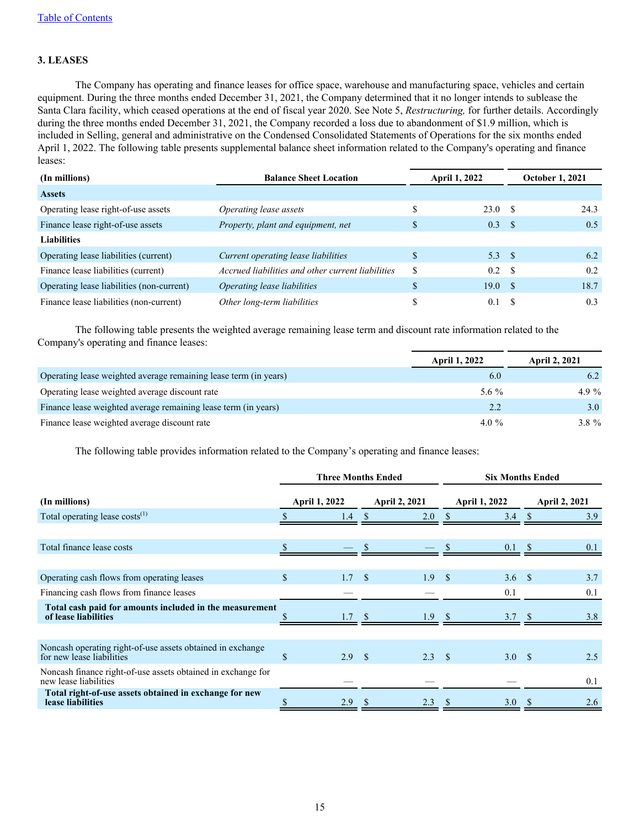## **3. LEASES**

 The Company has operating and finance leases for office space, warehouse and manufacturing space, vehicles and certain equipment. During the three months ended December 31, 2021, the Company determined that it no longer intends to sublease the Santa Clara facility, which ceased operations at the end of fiscal year 2020. See Note 5, *Restructuring,* for further details. Accordingly during the three months ended December 31, 2021, the Company recorded a loss due to abandonment of \$1.9 million, which is included in Selling, general and administrative on the Condensed Consolidated Statements of Operations for the six months ended April 1, 2022. The following table presents supplemental balance sheet information related to the Company's operating and finance leases:

| (In millions)                             | <b>Balance Sheet Location</b>                     |    | <b>April 1, 2022</b> | <b>October 1, 2021</b> |      |  |
|-------------------------------------------|---------------------------------------------------|----|----------------------|------------------------|------|--|
| <b>Assets</b>                             |                                                   |    |                      |                        |      |  |
| Operating lease right-of-use assets       | Operating lease assets                            | S  | 23.0 S               |                        | 24.3 |  |
| Finance lease right-of-use assets         | Property, plant and equipment, net                | \$ | 0.3                  | - \$                   | 0.5  |  |
| <b>Liabilities</b>                        |                                                   |    |                      |                        |      |  |
| Operating lease liabilities (current)     | Current operating lease liabilities               | \$ | 5.3 <sup>5</sup>     |                        | 6.2  |  |
| Finance lease liabilities (current)       | Accrued liabilities and other current liabilities | \$ | $0.2 \quad$ \$       |                        | 0.2  |  |
| Operating lease liabilities (non-current) | Operating lease liabilities                       | \$ | 19.0 S               |                        | 18.7 |  |
| Finance lease liabilities (non-current)   | Other long-term liabilities                       |    | 0.1                  |                        | 0.3  |  |

 The following table presents the weighted average remaining lease term and discount rate information related to the Company's operating and finance leases:

|                                                                  | <b>April 1, 2022</b> | <b>April 2, 2021</b> |
|------------------------------------------------------------------|----------------------|----------------------|
| Operating lease weighted average remaining lease term (in years) | 6.0                  | 6.2                  |
| Operating lease weighted average discount rate                   | 5.6 $\%$             | 4.9 $%$              |
| Finance lease weighted average remaining lease term (in years)   | 2.2                  | 3.0 <sub>1</sub>     |
| Finance lease weighted average discount rate                     | $4.0\%$              | $3.8 \%$             |

The following table provides information related to the Company's operating and finance leases:

|                                                                                         | <b>Three Months Ended</b> |                      |                      |                  |                      | <b>Six Months Ended</b> |  |                      |  |  |
|-----------------------------------------------------------------------------------------|---------------------------|----------------------|----------------------|------------------|----------------------|-------------------------|--|----------------------|--|--|
| (In millions)                                                                           |                           | <b>April 1, 2022</b> | <b>April 2, 2021</b> |                  | <b>April 1, 2022</b> |                         |  | <b>April 2, 2021</b> |  |  |
| Total operating lease $costs^{(1)}$                                                     |                           | 1.4                  |                      | 2.0              |                      | 3.4                     |  | 3.9                  |  |  |
|                                                                                         |                           |                      |                      |                  |                      |                         |  |                      |  |  |
| Total finance lease costs                                                               |                           |                      |                      |                  |                      | 0.1                     |  | 0.1                  |  |  |
|                                                                                         |                           |                      |                      |                  |                      |                         |  |                      |  |  |
| Operating cash flows from operating leases                                              | \$                        | 1.7                  | <sup>\$</sup>        | 1.9              | $\sim$ \$            | $3.6-$                  |  | 3.7                  |  |  |
| Financing cash flows from finance leases                                                |                           |                      |                      |                  |                      | 0.1                     |  | 0.1                  |  |  |
| Total cash paid for amounts included in the measurement<br>of lease liabilities         |                           | 1.7                  |                      | 1.9 <sup>5</sup> |                      | 3.7                     |  | 3.8                  |  |  |
|                                                                                         |                           |                      |                      |                  |                      |                         |  |                      |  |  |
| Noncash operating right-of-use assets obtained in exchange<br>for new lease liabilities | \$                        | 2.9                  | $\mathbf{\hat{s}}$   | $2.3 \t S$       |                      | 3.0 S                   |  | 2.5                  |  |  |
| Noncash finance right-of-use assets obtained in exchange for<br>new lease liabilities   |                           |                      |                      |                  |                      |                         |  | 0.1                  |  |  |
| Total right-of-use assets obtained in exchange for new<br>lease liabilities             |                           | 2.9                  |                      | 2.3              |                      | 3.0                     |  | 2.6                  |  |  |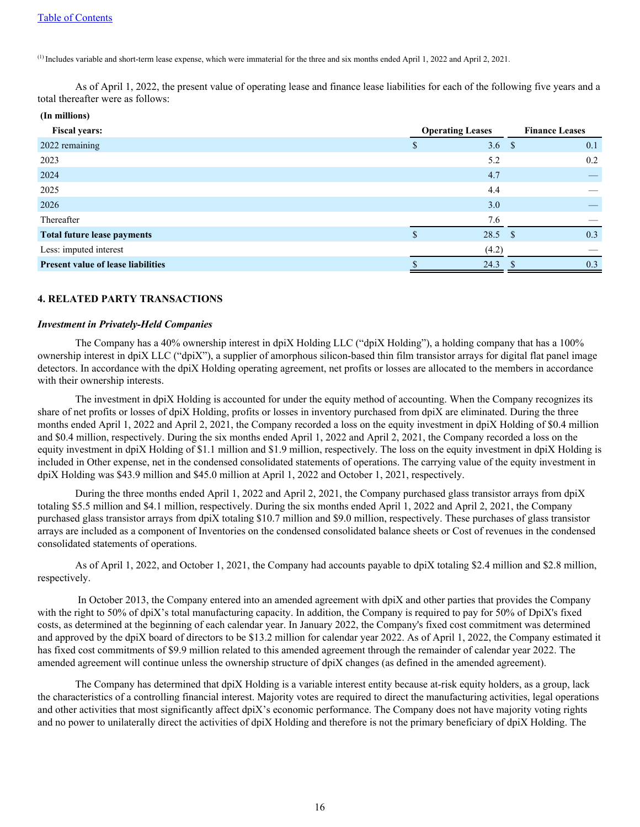**(In millions)**

 $^{(1)}$  Includes variable and short-term lease expense, which were immaterial for the three and six months ended April 1, 2022 and April 2, 2021.

As of April 1, 2022, the present value of operating lease and finance lease liabilities for each of the following five years and a total thereafter were as follows:

| (In millions)                             |                         |                  |     |
|-------------------------------------------|-------------------------|------------------|-----|
| <b>Fiscal years:</b>                      | <b>Operating Leases</b> |                  |     |
| 2022 remaining                            | ъ                       | 3.6 <sup>8</sup> | 0.1 |
| 2023                                      |                         | 5.2              | 0.2 |
| 2024                                      |                         | 4.7              |     |
| 2025                                      |                         | 4.4              |     |
| 2026                                      |                         | 3.0              |     |
| Thereafter                                |                         | 7.6              |     |
| <b>Total future lease payments</b>        |                         | $28.5$ \$        | 0.3 |
| Less: imputed interest                    |                         | (4.2)            |     |
| <b>Present value of lease liabilities</b> |                         | 24.3             | 0.3 |
|                                           |                         |                  |     |

## **4. RELATED PARTY TRANSACTIONS**

#### *Investment in Privately-Held Companies*

 The Company has a 40% ownership interest in dpiX Holding LLC ("dpiX Holding"), a holding company that has a 100% ownership interest in dpiX LLC ("dpiX"), a supplier of amorphous silicon-based thin film transistor arrays for digital flat panel image detectors. In accordance with the dpiX Holding operating agreement, net profits or losses are allocated to the members in accordance with their ownership interests.

 The investment in dpiX Holding is accounted for under the equity method of accounting. When the Company recognizes its share of net profits or losses of dpiX Holding, profits or losses in inventory purchased from dpiX are eliminated. During the three months ended April 1, 2022 and April 2, 2021, the Company recorded a loss on the equity investment in dpiX Holding of \$0.4 million and \$0.4 million, respectively. During the six months ended April 1, 2022 and April 2, 2021, the Company recorded a loss on the equity investment in dpiX Holding of \$1.1 million and \$1.9 million, respectively. The loss on the equity investment in dpiX Holding is included in Other expense, net in the condensed consolidated statements of operations. The carrying value of the equity investment in dpiX Holding was \$43.9 million and \$45.0 million at April 1, 2022 and October 1, 2021, respectively.

 During the three months ended April 1, 2022 and April 2, 2021, the Company purchased glass transistor arrays from dpiX totaling \$5.5 million and \$4.1 million, respectively. During the six months ended April 1, 2022 and April 2, 2021, the Company purchased glass transistor arrays from dpiX totaling \$10.7 million and \$9.0 million, respectively. These purchases of glass transistor arrays are included as a component of Inventories on the condensed consolidated balance sheets or Cost of revenues in the condensed consolidated statements of operations.

 As of April 1, 2022, and October 1, 2021, the Company had accounts payable to dpiX totaling \$2.4 million and \$2.8 million, respectively.

 In October 2013, the Company entered into an amended agreement with dpiX and other parties that provides the Company with the right to 50% of dpiX's total manufacturing capacity. In addition, the Company is required to pay for 50% of DpiX's fixed costs, as determined at the beginning of each calendar year. In January 2022, the Company's fixed cost commitment was determined and approved by the dpiX board of directors to be \$13.2 million for calendar year 2022. As of April 1, 2022, the Company estimated it has fixed cost commitments of \$9.9 million related to this amended agreement through the remainder of calendar year 2022. The amended agreement will continue unless the ownership structure of dpiX changes (as defined in the amended agreement).

 The Company has determined that dpiX Holding is a variable interest entity because at-risk equity holders, as a group, lack the characteristics of a controlling financial interest. Majority votes are required to direct the manufacturing activities, legal operations and other activities that most significantly affect dpiX's economic performance. The Company does not have majority voting rights and no power to unilaterally direct the activities of dpiX Holding and therefore is not the primary beneficiary of dpiX Holding. The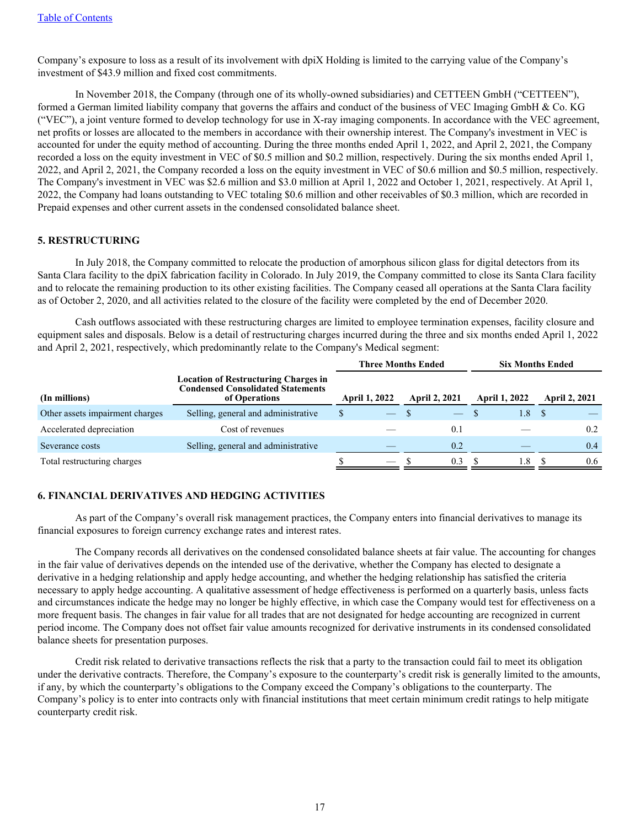Company's exposure to loss as a result of its involvement with dpiX Holding is limited to the carrying value of the Company's investment of \$43.9 million and fixed cost commitments.

 In November 2018, the Company (through one of its wholly-owned subsidiaries) and CETTEEN GmbH ("CETTEEN"), formed a German limited liability company that governs the affairs and conduct of the business of VEC Imaging GmbH & Co. KG ("VEC"), a joint venture formed to develop technology for use in X-ray imaging components. In accordance with the VEC agreement, net profits or losses are allocated to the members in accordance with their ownership interest. The Company's investment in VEC is accounted for under the equity method of accounting. During the three months ended April 1, 2022, and April 2, 2021, the Company recorded a loss on the equity investment in VEC of \$0.5 million and \$0.2 million, respectively. During the six months ended April 1, 2022, and April 2, 2021, the Company recorded a loss on the equity investment in VEC of \$0.6 million and \$0.5 million, respectively. The Company's investment in VEC was \$2.6 million and \$3.0 million at April 1, 2022 and October 1, 2021, respectively. At April 1, 2022, the Company had loans outstanding to VEC totaling \$0.6 million and other receivables of \$0.3 million, which are recorded in Prepaid expenses and other current assets in the condensed consolidated balance sheet.

## **5. RESTRUCTURING**

 In July 2018, the Company committed to relocate the production of amorphous silicon glass for digital detectors from its Santa Clara facility to the dpiX fabrication facility in Colorado. In July 2019, the Company committed to close its Santa Clara facility and to relocate the remaining production to its other existing facilities. The Company ceased all operations at the Santa Clara facility as of October 2, 2020, and all activities related to the closure of the facility were completed by the end of December 2020.

 Cash outflows associated with these restructuring charges are limited to employee termination expenses, facility closure and equipment sales and disposals. Below is a detail of restructuring charges incurred during the three and six months ended April 1, 2022 and April 2, 2021, respectively, which predominantly relate to the Company's Medical segment:

|                                 |                                                                                                          |                      | <b>Three Months Ended</b>      |                      |     |                      | <b>Six Months Ended</b> |      |                      |
|---------------------------------|----------------------------------------------------------------------------------------------------------|----------------------|--------------------------------|----------------------|-----|----------------------|-------------------------|------|----------------------|
| (In millions)                   | <b>Location of Restructuring Charges in</b><br><b>Condensed Consolidated Statements</b><br>of Operations | <b>April 1, 2022</b> |                                | <b>April 2, 2021</b> |     | <b>April 1, 2022</b> |                         |      | <b>April 2, 2021</b> |
| Other assets impairment charges | Selling, general and administrative                                                                      | \$                   | $\overbrace{\hspace{25mm}}^{}$ |                      |     |                      | 1.8                     | - \$ |                      |
| Accelerated depreciation        | Cost of revenues                                                                                         |                      |                                |                      | 0.1 |                      |                         |      | 0.2                  |
| Severance costs                 | Selling, general and administrative                                                                      |                      |                                |                      | 0.2 |                      |                         |      | 0.4                  |
| Total restructuring charges     |                                                                                                          |                      | $\overbrace{\phantom{aaaaa}}$  |                      | 0.3 |                      | 1.8                     |      | 0.6                  |

## **6. FINANCIAL DERIVATIVES AND HEDGING ACTIVITIES**

 As part of the Company's overall risk management practices, the Company enters into financial derivatives to manage its financial exposures to foreign currency exchange rates and interest rates.

 The Company records all derivatives on the condensed consolidated balance sheets at fair value. The accounting for changes in the fair value of derivatives depends on the intended use of the derivative, whether the Company has elected to designate a derivative in a hedging relationship and apply hedge accounting, and whether the hedging relationship has satisfied the criteria necessary to apply hedge accounting. A qualitative assessment of hedge effectiveness is performed on a quarterly basis, unless facts and circumstances indicate the hedge may no longer be highly effective, in which case the Company would test for effectiveness on a more frequent basis. The changes in fair value for all trades that are not designated for hedge accounting are recognized in current period income. The Company does not offset fair value amounts recognized for derivative instruments in its condensed consolidated balance sheets for presentation purposes.

 Credit risk related to derivative transactions reflects the risk that a party to the transaction could fail to meet its obligation under the derivative contracts. Therefore, the Company's exposure to the counterparty's credit risk is generally limited to the amounts, if any, by which the counterparty's obligations to the Company exceed the Company's obligations to the counterparty. The Company's policy is to enter into contracts only with financial institutions that meet certain minimum credit ratings to help mitigate counterparty credit risk.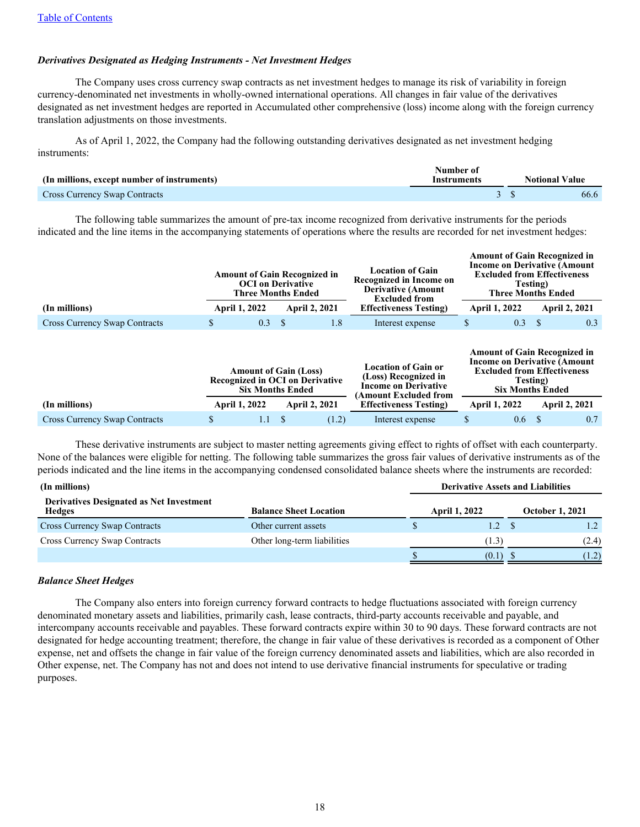#### *Derivatives Designated as Hedging Instruments - Net Investment Hedges*

 The Company uses cross currency swap contracts as net investment hedges to manage its risk of variability in foreign currency-denominated net investments in wholly-owned international operations. All changes in fair value of the derivatives designated as net investment hedges are reported in Accumulated other comprehensive (loss) income along with the foreign currency translation adjustments on those investments.

As of April 1, 2022, the Company had the following outstanding derivatives designated as net investment hedging instruments:

| (In millions, except number of instruments) | Number of<br><b>Instruments</b> | <b>Notional Value</b> |
|---------------------------------------------|---------------------------------|-----------------------|
| <b>Cross Currency Swap Contracts</b>        |                                 | 66.6                  |

The following table summarizes the amount of pre-tax income recognized from derivative instruments for the periods indicated and the line items in the accompanying statements of operations where the results are recorded for net investment hedges:

|                                      | <b>Amount of Gain Recognized in</b><br><b>OCI</b> on Derivative<br><b>Three Months Ended</b> |                      | <b>Location of Gain</b><br>Recognized in Income on<br><b>Derivative (Amount)</b><br><b>Excluded from</b> | <b>Amount of Gain Recognized in</b><br><b>Income on Derivative (Amount)</b><br><b>Excluded from Effectiveness</b><br>Testing)<br><b>Three Months Ended</b> |                      |  |                      |  |
|--------------------------------------|----------------------------------------------------------------------------------------------|----------------------|----------------------------------------------------------------------------------------------------------|------------------------------------------------------------------------------------------------------------------------------------------------------------|----------------------|--|----------------------|--|
| (In millions)                        | <b>April 1, 2022</b>                                                                         | <b>April 2, 2021</b> | <b>Effectiveness Testing</b> )                                                                           |                                                                                                                                                            | <b>April 1, 2022</b> |  | <b>April 2, 2021</b> |  |
| <b>Cross Currency Swap Contracts</b> | 0.3 <sub>1</sub>                                                                             | 1.8                  | Interest expense                                                                                         |                                                                                                                                                            | $0.3^{\circ}$        |  | 0.3                  |  |

|                                      |                      |         | <b>Amount of Gain (Loss)</b><br><b>Recognized in OCI on Derivative</b><br><b>Six Months Ended</b> |       | <b>Location of Gain or</b><br>(Loss) Recognized in<br><b>Income on Derivative</b><br>(Amount Excluded from | <b>Amount of Gain Recognized in</b><br><b>Income on Derivative (Amount)</b><br><b>Excluded from Effectiveness</b><br>Testing)<br><b>Six Months Ended</b> |     |                      |     |  |  |
|--------------------------------------|----------------------|---------|---------------------------------------------------------------------------------------------------|-------|------------------------------------------------------------------------------------------------------------|----------------------------------------------------------------------------------------------------------------------------------------------------------|-----|----------------------|-----|--|--|
| (In millions)                        | <b>April 1, 2022</b> |         | <b>April 2, 2021</b>                                                                              |       | <b>Effectiveness Testing</b>                                                                               | <b>April 1, 2022</b>                                                                                                                                     |     | <b>April 2, 2021</b> |     |  |  |
| <b>Cross Currency Swap Contracts</b> |                      | $1.1 -$ |                                                                                                   | (1.2) | Interest expense                                                                                           |                                                                                                                                                          | 0.6 |                      | 0.7 |  |  |

 These derivative instruments are subject to master netting agreements giving effect to rights of offset with each counterparty. None of the balances were eligible for netting. The following table summarizes the gross fair values of derivative instruments as of the periods indicated and the line items in the accompanying condensed consolidated balance sheets where the instruments are recorded:

| (In millions)                                                    | <b>Derivative Assets and Liabilities</b> |                      |  |                        |  |
|------------------------------------------------------------------|------------------------------------------|----------------------|--|------------------------|--|
| <b>Derivatives Designated as Net Investment</b><br><b>Hedges</b> | <b>Balance Sheet Location</b>            | <b>April 1, 2022</b> |  | <b>October 1, 2021</b> |  |
| <b>Cross Currency Swap Contracts</b>                             | Other current assets                     | 1.2 <sub>5</sub>     |  |                        |  |
| <b>Cross Currency Swap Contracts</b>                             | Other long-term liabilities              | (1.3)                |  | (2.4)                  |  |
|                                                                  |                                          | (0.1)                |  | (1.2)                  |  |

#### *Balance Sheet Hedges*

 The Company also enters into foreign currency forward contracts to hedge fluctuations associated with foreign currency denominated monetary assets and liabilities, primarily cash, lease contracts, third-party accounts receivable and payable, and intercompany accounts receivable and payables. These forward contracts expire within 30 to 90 days. These forward contracts are not designated for hedge accounting treatment; therefore, the change in fair value of these derivatives is recorded as a component of Other expense, net and offsets the change in fair value of the foreign currency denominated assets and liabilities, which are also recorded in Other expense, net. The Company has not and does not intend to use derivative financial instruments for speculative or trading purposes.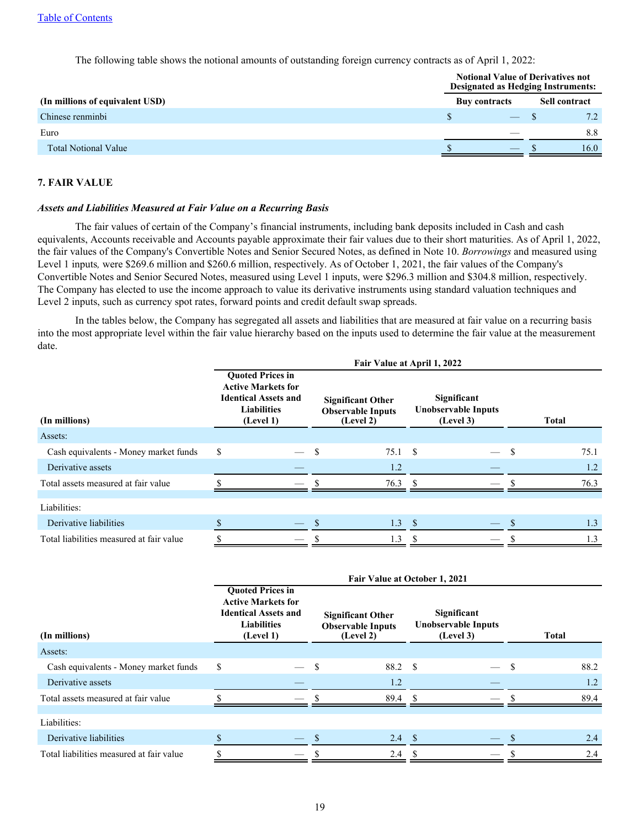The following table shows the notional amounts of outstanding foreign currency contracts as of April 1, 2022:

|                                 | <b>Notional Value of Derivatives not</b><br><b>Designated as Hedging Instruments:</b> |  |                      |      |  |  |  |  |
|---------------------------------|---------------------------------------------------------------------------------------|--|----------------------|------|--|--|--|--|
| (In millions of equivalent USD) | <b>Buy contracts</b>                                                                  |  | <b>Sell contract</b> |      |  |  |  |  |
| Chinese renminbi                |                                                                                       |  |                      | 7.2  |  |  |  |  |
| Euro                            |                                                                                       |  |                      | 8.8  |  |  |  |  |
| <b>Total Notional Value</b>     |                                                                                       |  |                      | 16.0 |  |  |  |  |

## **7. FAIR VALUE**

#### *Assets and Liabilities Measured at Fair Value on a Recurring Basis*

 The fair values of certain of the Company's financial instruments, including bank deposits included in Cash and cash equivalents, Accounts receivable and Accounts payable approximate their fair values due to their short maturities. As of April 1, 2022, the fair values of the Company's Convertible Notes and Senior Secured Notes, as defined in Note 10. *Borrowings* and measured using Level 1 inputs*,* were \$269.6 million and \$260.6 million, respectively. As of October 1, 2021, the fair values of the Company's Convertible Notes and Senior Secured Notes, measured using Level 1 inputs, were \$296.3 million and \$304.8 million, respectively. The Company has elected to use the income approach to value its derivative instruments using standard valuation techniques and Level 2 inputs, such as currency spot rates, forward points and credit default swap spreads.

In the tables below, the Company has segregated all assets and liabilities that are measured at fair value on a recurring basis into the most appropriate level within the fair value hierarchy based on the inputs used to determine the fair value at the measurement date.

|                                          | Fair Value at April 1, 2022                                                                                            |                                                                   |                                                        |              |  |  |  |  |  |  |
|------------------------------------------|------------------------------------------------------------------------------------------------------------------------|-------------------------------------------------------------------|--------------------------------------------------------|--------------|--|--|--|--|--|--|
| (In millions)                            | <b>Quoted Prices in</b><br><b>Active Markets for</b><br><b>Identical Assets and</b><br><b>Liabilities</b><br>(Level 1) | <b>Significant Other</b><br><b>Observable Inputs</b><br>(Level 2) | Significant<br><b>Unobservable Inputs</b><br>(Level 3) | <b>Total</b> |  |  |  |  |  |  |
| Assets:                                  |                                                                                                                        |                                                                   |                                                        |              |  |  |  |  |  |  |
| Cash equivalents - Money market funds    | \$                                                                                                                     | S<br>75.1 \$                                                      | $\overline{\phantom{0}}$                               | 75.1<br>- \$ |  |  |  |  |  |  |
| Derivative assets                        |                                                                                                                        | 1.2                                                               |                                                        | 1.2          |  |  |  |  |  |  |
| Total assets measured at fair value      |                                                                                                                        | $76.3$ \$                                                         |                                                        | 76.3         |  |  |  |  |  |  |
|                                          |                                                                                                                        |                                                                   |                                                        |              |  |  |  |  |  |  |
| Liabilities:                             |                                                                                                                        |                                                                   |                                                        |              |  |  |  |  |  |  |
| Derivative liabilities                   |                                                                                                                        | 1.3<br><sup>\$</sup>                                              | - \$                                                   | 1.3          |  |  |  |  |  |  |
| Total liabilities measured at fair value |                                                                                                                        | 1.3                                                               |                                                        | 1.3          |  |  |  |  |  |  |

| (In millions)                            |    | <b>Quoted Prices in</b><br><b>Active Markets for</b><br><b>Identical Assets and</b><br><b>Liabilities</b><br>(Level 1) |            | <b>Significant Other</b><br><b>Observable Inputs</b><br>(Level 2) |    | Significant<br><b>Unobservable Inputs</b><br>(Level 3) |     | <b>Total</b> |
|------------------------------------------|----|------------------------------------------------------------------------------------------------------------------------|------------|-------------------------------------------------------------------|----|--------------------------------------------------------|-----|--------------|
| Assets:                                  |    |                                                                                                                        |            |                                                                   |    |                                                        |     |              |
| Cash equivalents - Money market funds    | \$ |                                                                                                                        | -S         | 88.2 \$                                                           |    |                                                        | \$. | 88.2         |
| Derivative assets                        |    |                                                                                                                        |            | 1.2                                                               |    |                                                        |     | 1.2          |
| Total assets measured at fair value      |    |                                                                                                                        |            | $89.4$ \$                                                         |    |                                                        |     | 89.4         |
|                                          |    |                                                                                                                        |            |                                                                   |    |                                                        |     |              |
| Liabilities:                             |    |                                                                                                                        |            |                                                                   |    |                                                        |     |              |
| Derivative liabilities                   |    |                                                                                                                        | $^{\circ}$ | $2.4 \quad$                                                       |    |                                                        |     | 2.4          |
| Total liabilities measured at fair value |    |                                                                                                                        | -S         | 2.4                                                               | -S |                                                        |     | 2.4          |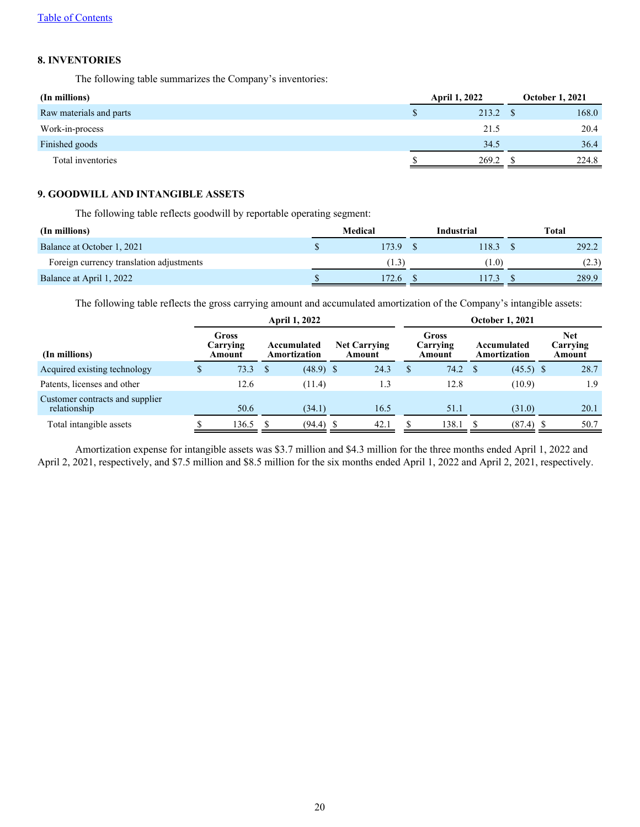## **8. INVENTORIES**

The following table summarizes the Company's inventories:

| (In millions)           | <b>April 1, 2022</b> |       |  | <b>October 1, 2021</b> |  |  |
|-------------------------|----------------------|-------|--|------------------------|--|--|
| Raw materials and parts |                      | 213.2 |  | 168.0                  |  |  |
| Work-in-process         |                      | 21.5  |  | 20.4                   |  |  |
| Finished goods          |                      | 34.5  |  | 36.4                   |  |  |
| Total inventories       |                      | 269.2 |  | 224.8                  |  |  |

## **9. GOODWILL AND INTANGIBLE ASSETS**

The following table reflects goodwill by reportable operating segment:

| (In millions)                            | Medical | Industrial | <b>Total</b> |
|------------------------------------------|---------|------------|--------------|
| Balance at October 1, 2021               | 173.9   | 118.3      | 292.2        |
| Foreign currency translation adjustments | 1.3)    | 1.0)       | (2.3)        |
| Balance at April 1, 2022                 | 172.6   | 17.3       | 289.9        |

The following table reflects the gross carrying amount and accumulated amortization of the Company's intangible assets:

|                                                 |                                                            |       | <b>April 1, 2022</b> |             | <b>October 1, 2021</b>        |                                    |   |        |                             |                                  |  |      |
|-------------------------------------------------|------------------------------------------------------------|-------|----------------------|-------------|-------------------------------|------------------------------------|---|--------|-----------------------------|----------------------------------|--|------|
| (In millions)                                   | Gross<br>Carrving<br>Accumulated<br>Amortization<br>Amount |       |                      |             | <b>Net Carrying</b><br>Amount | <b>Gross</b><br>Carrving<br>Amount |   |        | Accumulated<br>Amortization | <b>Net</b><br>Carrying<br>Amount |  |      |
| Acquired existing technology                    |                                                            | 73.3  | <sup>\$</sup>        | $(48.9)$ \$ |                               | 24.3                               | ъ | 74.2 S |                             | $(45.5)$ \$                      |  | 28.7 |
| Patents, licenses and other                     |                                                            | 12.6  |                      | (11.4)      |                               | 1.3                                |   | 12.8   |                             | (10.9)                           |  | 1.9  |
| Customer contracts and supplier<br>relationship |                                                            | 50.6  |                      | (34.1)      |                               | 16.5                               |   | 51.1   |                             | (31.0)                           |  | 20.1 |
| Total intangible assets                         |                                                            | 136.5 |                      | (94.4)      |                               | 42.1                               |   | 138.1  |                             | $(87.4)$ \$                      |  | 50.7 |

Amortization expense for intangible assets was \$3.7 million and \$4.3 million for the three months ended April 1, 2022 and April 2, 2021, respectively, and \$7.5 million and \$8.5 million for the six months ended April 1, 2022 and April 2, 2021, respectively.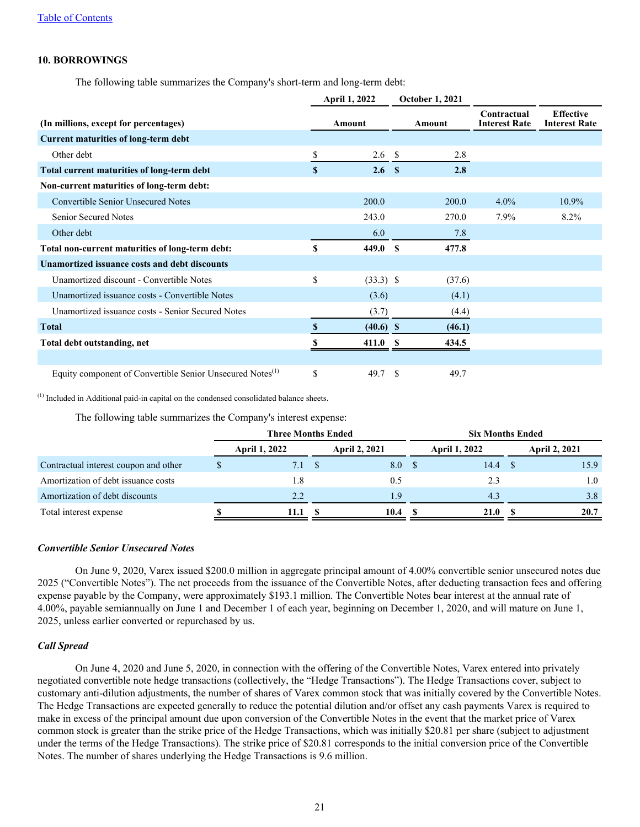## **10. BORROWINGS**

The following table summarizes the Company's short-term and long-term debt:

|                                                                       |    | <b>April 1, 2022</b> |               | <b>October 1, 2021</b> |                                     |                                          |
|-----------------------------------------------------------------------|----|----------------------|---------------|------------------------|-------------------------------------|------------------------------------------|
| (In millions, except for percentages)                                 |    | Amount               |               | Amount                 | Contractual<br><b>Interest Rate</b> | <b>Effective</b><br><b>Interest Rate</b> |
| <b>Current maturities of long-term debt</b>                           |    |                      |               |                        |                                     |                                          |
| Other debt                                                            | \$ | 2.6 <sup>°</sup>     |               | 2.8                    |                                     |                                          |
| Total current maturities of long-term debt                            | S  | 2.6 <sup>°</sup>     |               | 2.8                    |                                     |                                          |
| Non-current maturities of long-term debt:                             |    |                      |               |                        |                                     |                                          |
| <b>Convertible Senior Unsecured Notes</b>                             |    | 200.0                |               | 200.0                  | $4.0\%$                             | 10.9%                                    |
| Senior Secured Notes                                                  |    | 243.0                |               | 270.0                  | $7.9\%$                             | $8.2\%$                                  |
| Other debt                                                            |    | 6.0                  |               | 7.8                    |                                     |                                          |
| Total non-current maturities of long-term debt:                       | S  | 449.0                | <b>S</b>      | 477.8                  |                                     |                                          |
| Unamortized issuance costs and debt discounts                         |    |                      |               |                        |                                     |                                          |
| Unamortized discount - Convertible Notes                              | \$ | $(33.3)$ \$          |               | (37.6)                 |                                     |                                          |
| Unamortized issuance costs - Convertible Notes                        |    | (3.6)                |               | (4.1)                  |                                     |                                          |
| Unamortized issuance costs - Senior Secured Notes                     |    | (3.7)                |               | (4.4)                  |                                     |                                          |
| <b>Total</b>                                                          | S  | $(40.6)$ \$          |               | (46.1)                 |                                     |                                          |
| Total debt outstanding, net                                           | S  | 411.0                |               | 434.5                  |                                     |                                          |
|                                                                       |    |                      |               |                        |                                     |                                          |
| Equity component of Convertible Senior Unsecured Notes <sup>(1)</sup> | \$ | 49.7                 | <sup>\$</sup> | 49.7                   |                                     |                                          |

(1) Included in Additional paid-in capital on the condensed consolidated balance sheets.

The following table summarizes the Company's interest expense:

|                                       | <b>Three Months Ended</b> |  |                      | <b>Six Months Ended</b> |                      |  |                      |  |
|---------------------------------------|---------------------------|--|----------------------|-------------------------|----------------------|--|----------------------|--|
|                                       | April 1, 2022             |  | <b>April 2, 2021</b> |                         | <b>April 1, 2022</b> |  | <b>April 2, 2021</b> |  |
| Contractual interest coupon and other | 7.1                       |  | 8.0 S                |                         | 14.4                 |  | 15.9                 |  |
| Amortization of debt issuance costs   | 1.8                       |  | 0.5                  |                         | 2.3                  |  | 1.0                  |  |
| Amortization of debt discounts        | 2.2                       |  | 19                   |                         | 4.3                  |  | 3.8                  |  |
| Total interest expense                | 11.1                      |  | 10.4                 |                         | <b>21.0</b>          |  | 20.7                 |  |

## *Convertible Senior Unsecured Notes*

 On June 9, 2020, Varex issued \$200.0 million in aggregate principal amount of 4.00% convertible senior unsecured notes due 2025 ("Convertible Notes"). The net proceeds from the issuance of the Convertible Notes, after deducting transaction fees and offering expense payable by the Company, were approximately \$193.1 million. The Convertible Notes bear interest at the annual rate of 4.00%, payable semiannually on June 1 and December 1 of each year, beginning on December 1, 2020, and will mature on June 1, 2025, unless earlier converted or repurchased by us.

#### *Call Spread*

 On June 4, 2020 and June 5, 2020, in connection with the offering of the Convertible Notes, Varex entered into privately negotiated convertible note hedge transactions (collectively, the "Hedge Transactions"). The Hedge Transactions cover, subject to customary anti-dilution adjustments, the number of shares of Varex common stock that was initially covered by the Convertible Notes. The Hedge Transactions are expected generally to reduce the potential dilution and/or offset any cash payments Varex is required to make in excess of the principal amount due upon conversion of the Convertible Notes in the event that the market price of Varex common stock is greater than the strike price of the Hedge Transactions, which was initially \$20.81 per share (subject to adjustment under the terms of the Hedge Transactions). The strike price of \$20.81 corresponds to the initial conversion price of the Convertible Notes. The number of shares underlying the Hedge Transactions is 9.6 million.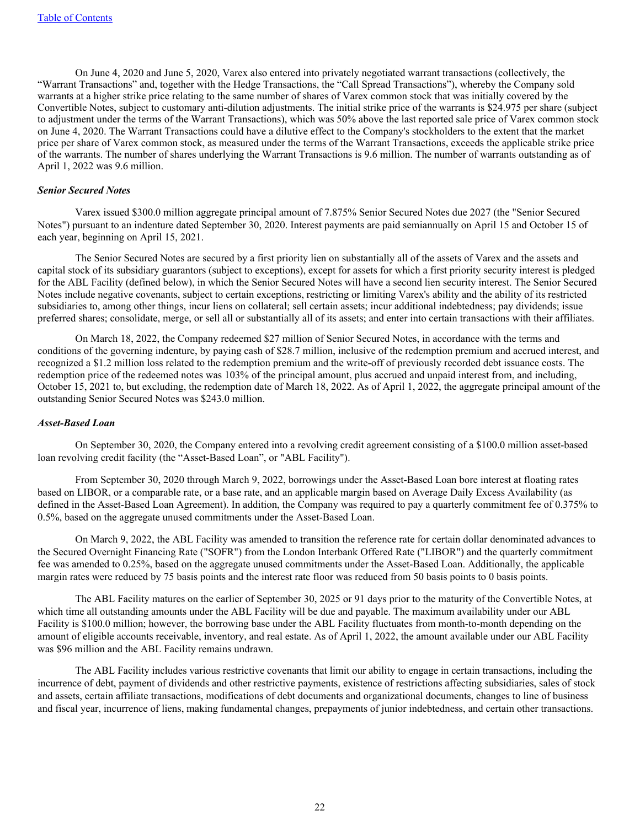On June 4, 2020 and June 5, 2020, Varex also entered into privately negotiated warrant transactions (collectively, the "Warrant Transactions" and, together with the Hedge Transactions, the "Call Spread Transactions"), whereby the Company sold warrants at a higher strike price relating to the same number of shares of Varex common stock that was initially covered by the Convertible Notes, subject to customary anti-dilution adjustments. The initial strike price of the warrants is \$24.975 per share (subject to adjustment under the terms of the Warrant Transactions), which was 50% above the last reported sale price of Varex common stock on June 4, 2020. The Warrant Transactions could have a dilutive effect to the Company's stockholders to the extent that the market price per share of Varex common stock, as measured under the terms of the Warrant Transactions, exceeds the applicable strike price of the warrants. The number of shares underlying the Warrant Transactions is 9.6 million. The number of warrants outstanding as of April 1, 2022 was 9.6 million.

#### *Senior Secured Notes*

 Varex issued \$300.0 million aggregate principal amount of 7.875% Senior Secured Notes due 2027 (the "Senior Secured Notes") pursuant to an indenture dated September 30, 2020. Interest payments are paid semiannually on April 15 and October 15 of each year, beginning on April 15, 2021.

 The Senior Secured Notes are secured by a first priority lien on substantially all of the assets of Varex and the assets and capital stock of its subsidiary guarantors (subject to exceptions), except for assets for which a first priority security interest is pledged for the ABL Facility (defined below), in which the Senior Secured Notes will have a second lien security interest. The Senior Secured Notes include negative covenants, subject to certain exceptions, restricting or limiting Varex's ability and the ability of its restricted subsidiaries to, among other things, incur liens on collateral; sell certain assets; incur additional indebtedness; pay dividends; issue preferred shares; consolidate, merge, or sell all or substantially all of its assets; and enter into certain transactions with their affiliates.

 On March 18, 2022, the Company redeemed \$27 million of Senior Secured Notes, in accordance with the terms and conditions of the governing indenture, by paying cash of \$28.7 million, inclusive of the redemption premium and accrued interest, and recognized a \$1.2 million loss related to the redemption premium and the write-off of previously recorded debt issuance costs. The redemption price of the redeemed notes was 103% of the principal amount, plus accrued and unpaid interest from, and including, October 15, 2021 to, but excluding, the redemption date of March 18, 2022. As of April 1, 2022, the aggregate principal amount of the outstanding Senior Secured Notes was \$243.0 million.

#### *Asset-Based Loan*

 On September 30, 2020, the Company entered into a revolving credit agreement consisting of a \$100.0 million asset-based loan revolving credit facility (the "Asset-Based Loan", or "ABL Facility").

 From September 30, 2020 through March 9, 2022, borrowings under the Asset-Based Loan bore interest at floating rates based on LIBOR, or a comparable rate, or a base rate, and an applicable margin based on Average Daily Excess Availability (as defined in the Asset-Based Loan Agreement). In addition, the Company was required to pay a quarterly commitment fee of 0.375% to 0.5%, based on the aggregate unused commitments under the Asset-Based Loan.

 On March 9, 2022, the ABL Facility was amended to transition the reference rate for certain dollar denominated advances to the Secured Overnight Financing Rate ("SOFR") from the London Interbank Offered Rate ("LIBOR") and the quarterly commitment fee was amended to 0.25%, based on the aggregate unused commitments under the Asset-Based Loan. Additionally, the applicable margin rates were reduced by 75 basis points and the interest rate floor was reduced from 50 basis points to 0 basis points.

 The ABL Facility matures on the earlier of September 30, 2025 or 91 days prior to the maturity of the Convertible Notes, at which time all outstanding amounts under the ABL Facility will be due and payable. The maximum availability under our ABL Facility is \$100.0 million; however, the borrowing base under the ABL Facility fluctuates from month-to-month depending on the amount of eligible accounts receivable, inventory, and real estate. As of April 1, 2022, the amount available under our ABL Facility was \$96 million and the ABL Facility remains undrawn.

 The ABL Facility includes various restrictive covenants that limit our ability to engage in certain transactions, including the incurrence of debt, payment of dividends and other restrictive payments, existence of restrictions affecting subsidiaries, sales of stock and assets, certain affiliate transactions, modifications of debt documents and organizational documents, changes to line of business and fiscal year, incurrence of liens, making fundamental changes, prepayments of junior indebtedness, and certain other transactions.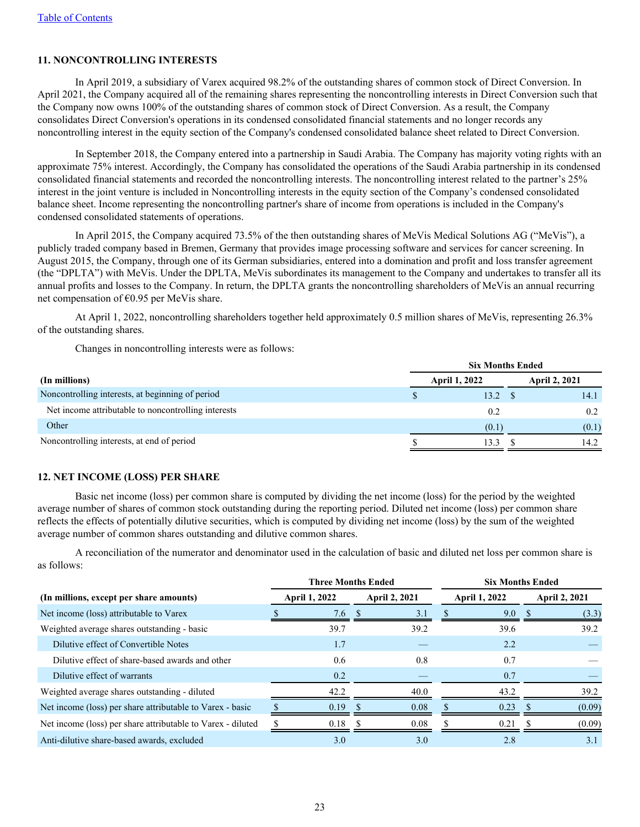## **11. NONCONTROLLING INTERESTS**

 In April 2019, a subsidiary of Varex acquired 98.2% of the outstanding shares of common stock of Direct Conversion. In April 2021, the Company acquired all of the remaining shares representing the noncontrolling interests in Direct Conversion such that the Company now owns 100% of the outstanding shares of common stock of Direct Conversion. As a result, the Company consolidates Direct Conversion's operations in its condensed consolidated financial statements and no longer records any noncontrolling interest in the equity section of the Company's condensed consolidated balance sheet related to Direct Conversion.

 In September 2018, the Company entered into a partnership in Saudi Arabia. The Company has majority voting rights with an approximate 75% interest. Accordingly, the Company has consolidated the operations of the Saudi Arabia partnership in its condensed consolidated financial statements and recorded the noncontrolling interests. The noncontrolling interest related to the partner's 25% interest in the joint venture is included in Noncontrolling interests in the equity section of the Company's condensed consolidated balance sheet. Income representing the noncontrolling partner's share of income from operations is included in the Company's condensed consolidated statements of operations.

 In April 2015, the Company acquired 73.5% of the then outstanding shares of MeVis Medical Solutions AG ("MeVis"), a publicly traded company based in Bremen, Germany that provides image processing software and services for cancer screening. In August 2015, the Company, through one of its German subsidiaries, entered into a domination and profit and loss transfer agreement (the "DPLTA") with MeVis. Under the DPLTA, MeVis subordinates its management to the Company and undertakes to transfer all its annual profits and losses to the Company. In return, the DPLTA grants the noncontrolling shareholders of MeVis an annual recurring net compensation of €0.95 per MeVis share.

 At April 1, 2022, noncontrolling shareholders together held approximately 0.5 million shares of MeVis, representing 26.3% of the outstanding shares.

Changes in noncontrolling interests were as follows:

|                                                     | <b>Six Months Ended</b> |                      |  |       |  |  |
|-----------------------------------------------------|-------------------------|----------------------|--|-------|--|--|
| (In millions)                                       |                         | <b>April 2, 2021</b> |  |       |  |  |
| Noncontrolling interests, at beginning of period    |                         | $13.2 \quad$ \$      |  | 14.1  |  |  |
| Net income attributable to noncontrolling interests |                         | 0.2                  |  | 0.2   |  |  |
| Other                                               |                         | (0.1)                |  | (0.1) |  |  |
| Noncontrolling interests, at end of period          |                         | 13.3                 |  | 14.2  |  |  |

#### **12. NET INCOME (LOSS) PER SHARE**

 Basic net income (loss) per common share is computed by dividing the net income (loss) for the period by the weighted average number of shares of common stock outstanding during the reporting period. Diluted net income (loss) per common share reflects the effects of potentially dilutive securities, which is computed by dividing net income (loss) by the sum of the weighted average number of common shares outstanding and dilutive common shares.

A reconciliation of the numerator and denominator used in the calculation of basic and diluted net loss per common share is as follows:

|                                                             |                      | <b>Three Months Ended</b> | <b>Six Months Ended</b> |                      |  |  |  |  |
|-------------------------------------------------------------|----------------------|---------------------------|-------------------------|----------------------|--|--|--|--|
| (In millions, except per share amounts)                     | <b>April 1, 2022</b> | <b>April 2, 2021</b>      | <b>April 1, 2022</b>    | <b>April 2, 2021</b> |  |  |  |  |
| Net income (loss) attributable to Varex                     | 7.6                  | 3.1                       | 9.0                     | (3.3)                |  |  |  |  |
| Weighted average shares outstanding - basic                 | 39.7                 | 39.2                      | 39.6                    | 39.2                 |  |  |  |  |
| Dilutive effect of Convertible Notes                        | 1.7                  |                           | 2.2                     |                      |  |  |  |  |
| Dilutive effect of share-based awards and other             | 0.6                  | 0.8                       | 0.7                     |                      |  |  |  |  |
| Dilutive effect of warrants                                 | 0.2                  |                           | 0.7                     |                      |  |  |  |  |
| Weighted average shares outstanding - diluted               | 42.2                 | 40.0                      | 43.2                    | 39.2                 |  |  |  |  |
| Net income (loss) per share attributable to Varex - basic   | 0.19                 | 0.08                      | 0.23                    | (0.09)               |  |  |  |  |
| Net income (loss) per share attributable to Varex - diluted | 0.18                 | 0.08                      | 0.21                    | (0.09)               |  |  |  |  |
| Anti-dilutive share-based awards, excluded                  | 3.0                  | 3.0                       | 2.8                     | 3.1                  |  |  |  |  |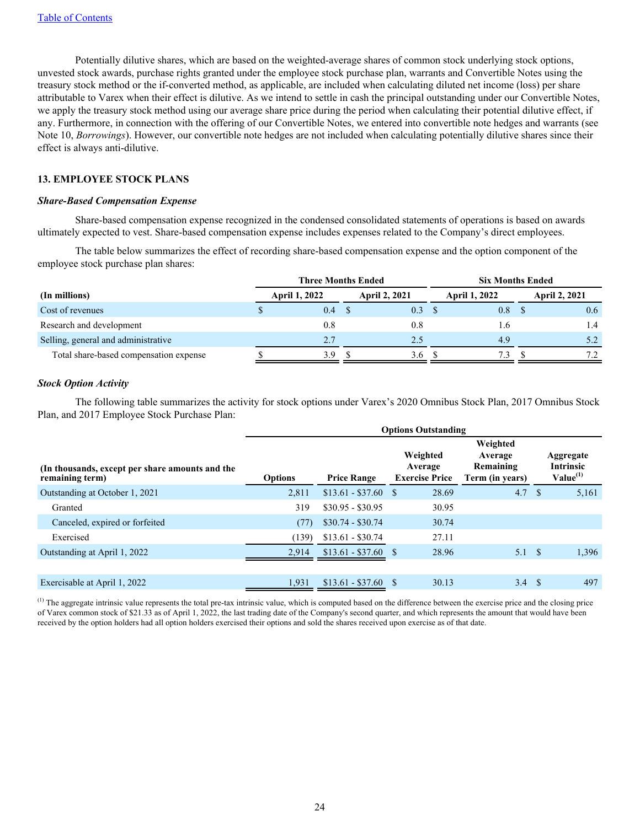Potentially dilutive shares, which are based on the weighted-average shares of common stock underlying stock options, unvested stock awards, purchase rights granted under the employee stock purchase plan, warrants and Convertible Notes using the treasury stock method or the if-converted method, as applicable, are included when calculating diluted net income (loss) per share attributable to Varex when their effect is dilutive. As we intend to settle in cash the principal outstanding under our Convertible Notes, we apply the treasury stock method using our average share price during the period when calculating their potential dilutive effect, if any. Furthermore, in connection with the offering of our Convertible Notes, we entered into convertible note hedges and warrants (see Note 10, *Borrowings*). However, our convertible note hedges are not included when calculating potentially dilutive shares since their effect is always anti-dilutive.

## **13. EMPLOYEE STOCK PLANS**

#### *Share-Based Compensation Expense*

 Share-based compensation expense recognized in the condensed consolidated statements of operations is based on awards ultimately expected to vest. Share-based compensation expense includes expenses related to the Company's direct employees.

The table below summarizes the effect of recording share-based compensation expense and the option component of the employee stock purchase plan shares:

|                                        | Three Months Ended   |     |  |                      | <b>Six Months Ended</b> |               |  |                      |
|----------------------------------------|----------------------|-----|--|----------------------|-------------------------|---------------|--|----------------------|
| (In millions)                          | <b>April 1, 2022</b> |     |  | <b>April 2, 2021</b> |                         | April 1, 2022 |  | <b>April 2, 2021</b> |
| Cost of revenues                       |                      | 0.4 |  | 0.3                  |                         | 0.8           |  | 0.6                  |
| Research and development               |                      | 0.8 |  | 0.8                  |                         | 1.6           |  | 1.4                  |
| Selling, general and administrative    |                      | 2.7 |  | 2.5                  |                         | 4.9           |  | 5.2                  |
| Total share-based compensation expense |                      | 3.9 |  | 3.6                  |                         | 7.3           |  | 7.2                  |

#### *Stock Option Activity*

The following table summarizes the activity for stock options under Varex's 2020 Omnibus Stock Plan, 2017 Omnibus Stock Plan, and 2017 Employee Stock Purchase Plan:

|                                                                    | <b>Options Outstanding</b> |                      |                                              |                                                     |               |                                                |  |  |  |  |  |  |
|--------------------------------------------------------------------|----------------------------|----------------------|----------------------------------------------|-----------------------------------------------------|---------------|------------------------------------------------|--|--|--|--|--|--|
| (In thousands, except per share amounts and the<br>remaining term) | <b>Options</b>             | <b>Price Range</b>   | Weighted<br>Average<br><b>Exercise Price</b> | Weighted<br>Average<br>Remaining<br>Term (in years) |               | Aggregate<br><b>Intrinsic</b><br>$Value^{(1)}$ |  |  |  |  |  |  |
| Outstanding at October 1, 2021                                     | 2,811                      | $$13.61 - $37.60$ \$ | 28.69                                        | 4.7                                                 | -S            | 5,161                                          |  |  |  |  |  |  |
| Granted                                                            | 319                        | $$30.95 - $30.95$    | 30.95                                        |                                                     |               |                                                |  |  |  |  |  |  |
| Canceled, expired or forfeited                                     | (77)                       | $$30.74 - $30.74$    | 30.74                                        |                                                     |               |                                                |  |  |  |  |  |  |
| Exercised                                                          | (139)                      | $$13.61 - $30.74$    | 27.11                                        |                                                     |               |                                                |  |  |  |  |  |  |
| Outstanding at April 1, 2022                                       | 2.914                      | $$13.61 - $37.60$    | 28.96<br>-S                                  | $5.1 \text{ }$ \$                                   |               | 1,396                                          |  |  |  |  |  |  |
|                                                                    |                            |                      |                                              |                                                     |               |                                                |  |  |  |  |  |  |
| Exercisable at April 1, 2022                                       | 1,931                      | $$13.61 - $37.60$    | S<br>30.13                                   | $3.4^{\circ}$                                       | <sup>\$</sup> | 497                                            |  |  |  |  |  |  |

 $<sup>(1)</sup>$  The aggregate intrinsic value represents the total pre-tax intrinsic value, which is computed based on the difference between the exercise price and the closing price</sup> of Varex common stock of \$21.33 as of April 1, 2022, the last trading date of the Company's second quarter, and which represents the amount that would have been received by the option holders had all option holders exercised their options and sold the shares received upon exercise as of that date.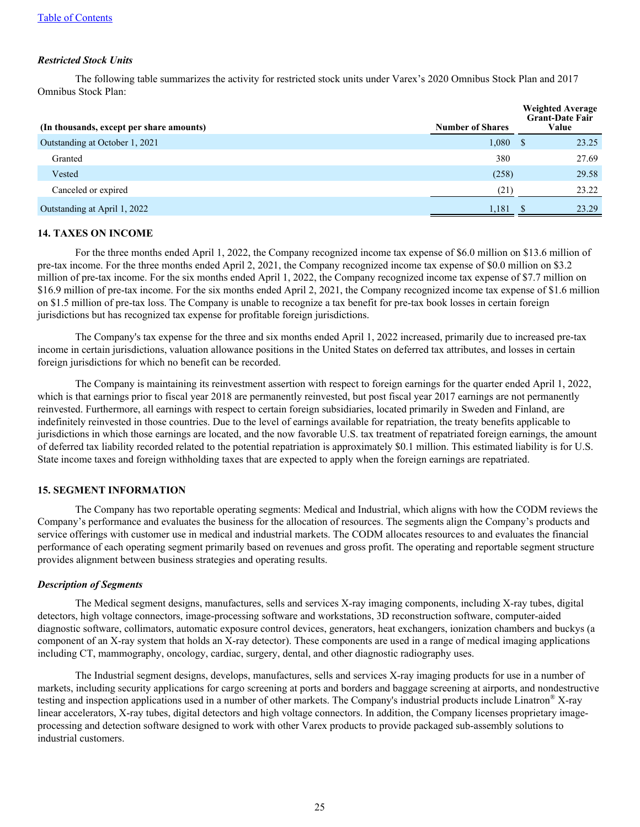## *Restricted Stock Units*

The following table summarizes the activity for restricted stock units under Varex's 2020 Omnibus Stock Plan and 2017 Omnibus Stock Plan:

| (In thousands, except per share amounts) | <b>Number of Shares</b> | <b>Weighted Average</b><br><b>Grant-Date Fair</b><br>Value |
|------------------------------------------|-------------------------|------------------------------------------------------------|
| Outstanding at October 1, 2021           | 1,080                   | 23.25<br><sup>S</sup>                                      |
| Granted                                  | 380                     | 27.69                                                      |
| Vested                                   | (258)                   | 29.58                                                      |
| Canceled or expired                      | (21)                    | 23.22                                                      |
| Outstanding at April 1, 2022             | 1,181                   | 23.29                                                      |

#### **14. TAXES ON INCOME**

For the three months ended April 1, 2022, the Company recognized income tax expense of \$6.0 million on \$13.6 million of pre-tax income. For the three months ended April 2, 2021, the Company recognized income tax expense of \$0.0 million on \$3.2 million of pre-tax income. For the six months ended April 1, 2022, the Company recognized income tax expense of \$7.7 million on \$16.9 million of pre-tax income. For the six months ended April 2, 2021, the Company recognized income tax expense of \$1.6 million on \$1.5 million of pre-tax loss. The Company is unable to recognize a tax benefit for pre-tax book losses in certain foreign jurisdictions but has recognized tax expense for profitable foreign jurisdictions.

 The Company's tax expense for the three and six months ended April 1, 2022 increased, primarily due to increased pre-tax income in certain jurisdictions, valuation allowance positions in the United States on deferred tax attributes, and losses in certain foreign jurisdictions for which no benefit can be recorded.

The Company is maintaining its reinvestment assertion with respect to foreign earnings for the quarter ended April 1, 2022, which is that earnings prior to fiscal year 2018 are permanently reinvested, but post fiscal year 2017 earnings are not permanently reinvested. Furthermore, all earnings with respect to certain foreign subsidiaries, located primarily in Sweden and Finland, are indefinitely reinvested in those countries. Due to the level of earnings available for repatriation, the treaty benefits applicable to jurisdictions in which those earnings are located, and the now favorable U.S. tax treatment of repatriated foreign earnings, the amount of deferred tax liability recorded related to the potential repatriation is approximately \$0.1 million. This estimated liability is for U.S. State income taxes and foreign withholding taxes that are expected to apply when the foreign earnings are repatriated.

## **15. SEGMENT INFORMATION**

 The Company has two reportable operating segments: Medical and Industrial, which aligns with how the CODM reviews the Company's performance and evaluates the business for the allocation of resources. The segments align the Company's products and service offerings with customer use in medical and industrial markets. The CODM allocates resources to and evaluates the financial performance of each operating segment primarily based on revenues and gross profit. The operating and reportable segment structure provides alignment between business strategies and operating results.

#### *Description of Segments*

 The Medical segment designs, manufactures, sells and services X-ray imaging components, including X-ray tubes, digital detectors, high voltage connectors, image-processing software and workstations, 3D reconstruction software, computer-aided diagnostic software, collimators, automatic exposure control devices, generators, heat exchangers, ionization chambers and buckys (a component of an X-ray system that holds an X-ray detector). These components are used in a range of medical imaging applications including CT, mammography, oncology, cardiac, surgery, dental, and other diagnostic radiography uses.

 The Industrial segment designs, develops, manufactures, sells and services X-ray imaging products for use in a number of markets, including security applications for cargo screening at ports and borders and baggage screening at airports, and nondestructive testing and inspection applications used in a number of other markets. The Company's industrial products include Linatron® X-ray linear accelerators, X-ray tubes, digital detectors and high voltage connectors. In addition, the Company licenses proprietary imageprocessing and detection software designed to work with other Varex products to provide packaged sub-assembly solutions to industrial customers.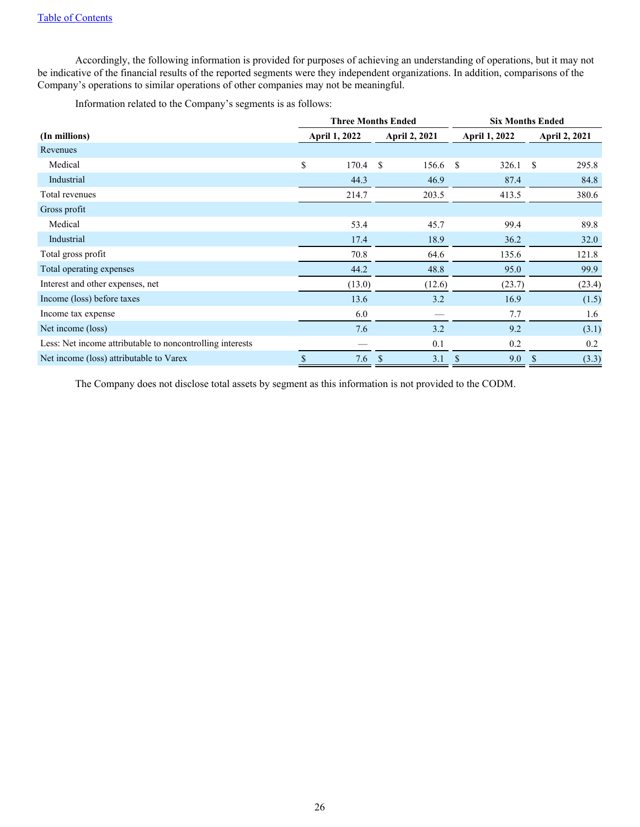Accordingly, the following information is provided for purposes of achieving an understanding of operations, but it may not be indicative of the financial results of the reported segments were they independent organizations. In addition, comparisons of the Company's operations to similar operations of other companies may not be meaningful.

Information related to the Company's segments is as follows:

|                                                           | <b>Three Months Ended</b> |                        | <b>Six Months Ended</b> |                        |  |  |
|-----------------------------------------------------------|---------------------------|------------------------|-------------------------|------------------------|--|--|
| (In millions)                                             | <b>April 1, 2022</b>      | <b>April 2, 2021</b>   | <b>April 1, 2022</b>    | <b>April 2, 2021</b>   |  |  |
| Revenues                                                  |                           |                        |                         |                        |  |  |
| Medical                                                   | \$<br>170.4               | <sup>\$</sup><br>156.6 | <sup>\$</sup><br>326.1  | <sup>\$</sup><br>295.8 |  |  |
| Industrial                                                | 44.3                      | 46.9                   | 87.4                    | 84.8                   |  |  |
| Total revenues                                            | 214.7                     | 203.5                  | 413.5                   | 380.6                  |  |  |
| Gross profit                                              |                           |                        |                         |                        |  |  |
| Medical                                                   | 53.4                      | 45.7                   | 99.4                    | 89.8                   |  |  |
| Industrial                                                | 17.4                      | 18.9                   | 36.2                    | 32.0                   |  |  |
| Total gross profit                                        | 70.8                      | 64.6                   | 135.6                   | 121.8                  |  |  |
| Total operating expenses                                  | 44.2                      | 48.8                   | 95.0                    | 99.9                   |  |  |
| Interest and other expenses, net                          | (13.0)                    | (12.6)                 | (23.7)                  | (23.4)                 |  |  |
| Income (loss) before taxes                                | 13.6                      | 3.2                    | 16.9                    | (1.5)                  |  |  |
| Income tax expense                                        | 6.0                       |                        | 7.7                     | 1.6                    |  |  |
| Net income (loss)                                         | 7.6                       | 3.2                    | 9.2                     | (3.1)                  |  |  |
| Less: Net income attributable to noncontrolling interests |                           | 0.1                    | 0.2                     | 0.2                    |  |  |
| Net income (loss) attributable to Varex                   | \$<br>7.6                 | $\mathcal{S}$<br>3.1   | \$<br>9.0               | (3.3)<br><sup>\$</sup> |  |  |

The Company does not disclose total assets by segment as this information is not provided to the CODM.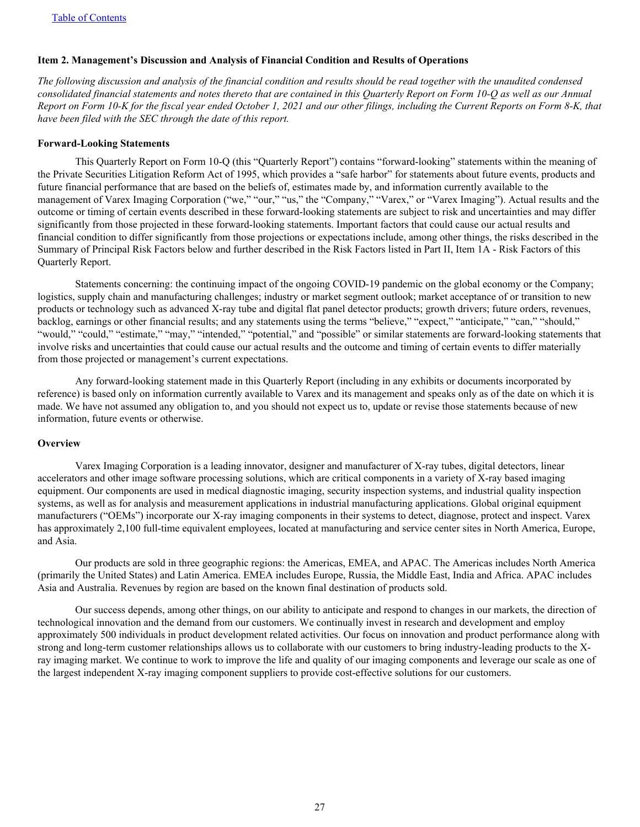#### <span id="page-27-0"></span>**Item 2. Management's Discussion and Analysis of Financial Condition and Results of Operations**

*The following discussion and analysis of the financial condition and results should be read together with the unaudited condensed consolidated financial statements and notes thereto that are contained in this Quarterly Report on Form 10-Q as well as our Annual Report on Form 10-K for the fiscal year ended October 1, 2021 and our other filings, including the Current Reports on Form 8-K, that have been filed with the SEC through the date of this report.*

#### **Forward-Looking Statements**

 This Quarterly Report on Form 10-Q (this "Quarterly Report") contains "forward-looking" statements within the meaning of the Private Securities Litigation Reform Act of 1995, which provides a "safe harbor" for statements about future events, products and future financial performance that are based on the beliefs of, estimates made by, and information currently available to the management of Varex Imaging Corporation ("we," "our," "us," the "Company," "Varex," or "Varex Imaging"). Actual results and the outcome or timing of certain events described in these forward-looking statements are subject to risk and uncertainties and may differ significantly from those projected in these forward-looking statements. Important factors that could cause our actual results and financial condition to differ significantly from those projections or expectations include, among other things, the risks described in the Summary of Principal Risk Factors below and further described in the Risk Factors listed in Part II, Item 1A - Risk Factors of this Quarterly Report.

 Statements concerning: the continuing impact of the ongoing COVID-19 pandemic on the global economy or the Company; logistics, supply chain and manufacturing challenges; industry or market segment outlook; market acceptance of or transition to new products or technology such as advanced X-ray tube and digital flat panel detector products; growth drivers; future orders, revenues, backlog, earnings or other financial results; and any statements using the terms "believe," "expect," "anticipate," "can," "should," "would," "could," "estimate," "may," "intended," "potential," and "possible" or similar statements are forward-looking statements that involve risks and uncertainties that could cause our actual results and the outcome and timing of certain events to differ materially from those projected or management's current expectations.

 Any forward-looking statement made in this Quarterly Report (including in any exhibits or documents incorporated by reference) is based only on information currently available to Varex and its management and speaks only as of the date on which it is made. We have not assumed any obligation to, and you should not expect us to, update or revise those statements because of new information, future events or otherwise.

#### **Overview**

 Varex Imaging Corporation is a leading innovator, designer and manufacturer of X-ray tubes, digital detectors, linear accelerators and other image software processing solutions, which are critical components in a variety of X-ray based imaging equipment. Our components are used in medical diagnostic imaging, security inspection systems, and industrial quality inspection systems, as well as for analysis and measurement applications in industrial manufacturing applications. Global original equipment manufacturers ("OEMs") incorporate our X-ray imaging components in their systems to detect, diagnose, protect and inspect. Varex has approximately 2,100 full-time equivalent employees, located at manufacturing and service center sites in North America, Europe, and Asia.

 Our products are sold in three geographic regions: the Americas, EMEA, and APAC. The Americas includes North America (primarily the United States) and Latin America. EMEA includes Europe, Russia, the Middle East, India and Africa. APAC includes Asia and Australia. Revenues by region are based on the known final destination of products sold.

 Our success depends, among other things, on our ability to anticipate and respond to changes in our markets, the direction of technological innovation and the demand from our customers. We continually invest in research and development and employ approximately 500 individuals in product development related activities. Our focus on innovation and product performance along with strong and long-term customer relationships allows us to collaborate with our customers to bring industry-leading products to the Xray imaging market. We continue to work to improve the life and quality of our imaging components and leverage our scale as one of the largest independent X-ray imaging component suppliers to provide cost-effective solutions for our customers.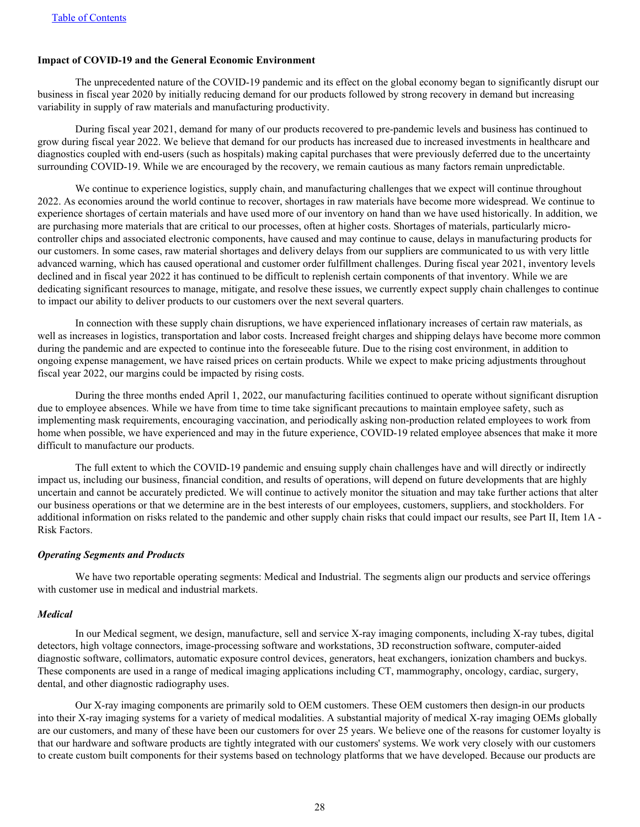#### **Impact of COVID-19 and the General Economic Environment**

 The unprecedented nature of the COVID-19 pandemic and its effect on the global economy began to significantly disrupt our business in fiscal year 2020 by initially reducing demand for our products followed by strong recovery in demand but increasing variability in supply of raw materials and manufacturing productivity.

 During fiscal year 2021, demand for many of our products recovered to pre-pandemic levels and business has continued to grow during fiscal year 2022. We believe that demand for our products has increased due to increased investments in healthcare and diagnostics coupled with end-users (such as hospitals) making capital purchases that were previously deferred due to the uncertainty surrounding COVID-19. While we are encouraged by the recovery, we remain cautious as many factors remain unpredictable.

 We continue to experience logistics, supply chain, and manufacturing challenges that we expect will continue throughout 2022. As economies around the world continue to recover, shortages in raw materials have become more widespread. We continue to experience shortages of certain materials and have used more of our inventory on hand than we have used historically. In addition, we are purchasing more materials that are critical to our processes, often at higher costs. Shortages of materials, particularly microcontroller chips and associated electronic components, have caused and may continue to cause, delays in manufacturing products for our customers. In some cases, raw material shortages and delivery delays from our suppliers are communicated to us with very little advanced warning, which has caused operational and customer order fulfillment challenges. During fiscal year 2021, inventory levels declined and in fiscal year 2022 it has continued to be difficult to replenish certain components of that inventory. While we are dedicating significant resources to manage, mitigate, and resolve these issues, we currently expect supply chain challenges to continue to impact our ability to deliver products to our customers over the next several quarters.

In connection with these supply chain disruptions, we have experienced inflationary increases of certain raw materials, as well as increases in logistics, transportation and labor costs. Increased freight charges and shipping delays have become more common during the pandemic and are expected to continue into the foreseeable future. Due to the rising cost environment, in addition to ongoing expense management, we have raised prices on certain products. While we expect to make pricing adjustments throughout fiscal year 2022, our margins could be impacted by rising costs.

 During the three months ended April 1, 2022, our manufacturing facilities continued to operate without significant disruption due to employee absences. While we have from time to time take significant precautions to maintain employee safety, such as implementing mask requirements, encouraging vaccination, and periodically asking non-production related employees to work from home when possible, we have experienced and may in the future experience, COVID-19 related employee absences that make it more difficult to manufacture our products.

 The full extent to which the COVID-19 pandemic and ensuing supply chain challenges have and will directly or indirectly impact us, including our business, financial condition, and results of operations, will depend on future developments that are highly uncertain and cannot be accurately predicted. We will continue to actively monitor the situation and may take further actions that alter our business operations or that we determine are in the best interests of our employees, customers, suppliers, and stockholders. For additional information on risks related to the pandemic and other supply chain risks that could impact our results, see Part II, Item 1A - Risk Factors.

#### *Operating Segments and Products*

We have two reportable operating segments: Medical and Industrial. The segments align our products and service offerings with customer use in medical and industrial markets.

#### *Medical*

 In our Medical segment, we design, manufacture, sell and service X-ray imaging components, including X-ray tubes, digital detectors, high voltage connectors, image-processing software and workstations, 3D reconstruction software, computer-aided diagnostic software, collimators, automatic exposure control devices, generators, heat exchangers, ionization chambers and buckys. These components are used in a range of medical imaging applications including CT, mammography, oncology, cardiac, surgery, dental, and other diagnostic radiography uses.

 Our X-ray imaging components are primarily sold to OEM customers. These OEM customers then design-in our products into their X-ray imaging systems for a variety of medical modalities. A substantial majority of medical X-ray imaging OEMs globally are our customers, and many of these have been our customers for over 25 years. We believe one of the reasons for customer loyalty is that our hardware and software products are tightly integrated with our customers' systems. We work very closely with our customers to create custom built components for their systems based on technology platforms that we have developed. Because our products are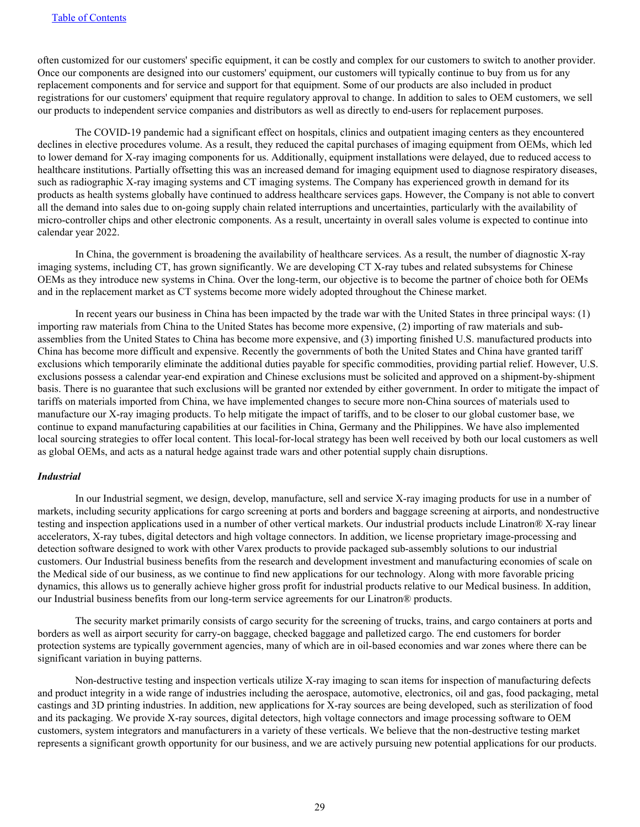often customized for our customers' specific equipment, it can be costly and complex for our customers to switch to another provider. Once our components are designed into our customers' equipment, our customers will typically continue to buy from us for any replacement components and for service and support for that equipment. Some of our products are also included in product registrations for our customers' equipment that require regulatory approval to change. In addition to sales to OEM customers, we sell our products to independent service companies and distributors as well as directly to end-users for replacement purposes.

 The COVID-19 pandemic had a significant effect on hospitals, clinics and outpatient imaging centers as they encountered declines in elective procedures volume. As a result, they reduced the capital purchases of imaging equipment from OEMs, which led to lower demand for X-ray imaging components for us. Additionally, equipment installations were delayed, due to reduced access to healthcare institutions. Partially offsetting this was an increased demand for imaging equipment used to diagnose respiratory diseases, such as radiographic X-ray imaging systems and CT imaging systems. The Company has experienced growth in demand for its products as health systems globally have continued to address healthcare services gaps. However, the Company is not able to convert all the demand into sales due to on-going supply chain related interruptions and uncertainties, particularly with the availability of micro-controller chips and other electronic components. As a result, uncertainty in overall sales volume is expected to continue into calendar year 2022.

 In China, the government is broadening the availability of healthcare services. As a result, the number of diagnostic X-ray imaging systems, including CT, has grown significantly. We are developing CT X-ray tubes and related subsystems for Chinese OEMs as they introduce new systems in China. Over the long-term, our objective is to become the partner of choice both for OEMs and in the replacement market as CT systems become more widely adopted throughout the Chinese market.

 In recent years our business in China has been impacted by the trade war with the United States in three principal ways: (1) importing raw materials from China to the United States has become more expensive, (2) importing of raw materials and subassemblies from the United States to China has become more expensive, and (3) importing finished U.S. manufactured products into China has become more difficult and expensive. Recently the governments of both the United States and China have granted tariff exclusions which temporarily eliminate the additional duties payable for specific commodities, providing partial relief. However, U.S. exclusions possess a calendar year-end expiration and Chinese exclusions must be solicited and approved on a shipment-by-shipment basis. There is no guarantee that such exclusions will be granted nor extended by either government. In order to mitigate the impact of tariffs on materials imported from China, we have implemented changes to secure more non-China sources of materials used to manufacture our X-ray imaging products. To help mitigate the impact of tariffs, and to be closer to our global customer base, we continue to expand manufacturing capabilities at our facilities in China, Germany and the Philippines. We have also implemented local sourcing strategies to offer local content. This local-for-local strategy has been well received by both our local customers as well as global OEMs, and acts as a natural hedge against trade wars and other potential supply chain disruptions.

#### *Industrial*

 In our Industrial segment, we design, develop, manufacture, sell and service X-ray imaging products for use in a number of markets, including security applications for cargo screening at ports and borders and baggage screening at airports, and nondestructive testing and inspection applications used in a number of other vertical markets. Our industrial products include Linatron® X-ray linear accelerators, X-ray tubes, digital detectors and high voltage connectors. In addition, we license proprietary image-processing and detection software designed to work with other Varex products to provide packaged sub-assembly solutions to our industrial customers. Our Industrial business benefits from the research and development investment and manufacturing economies of scale on the Medical side of our business, as we continue to find new applications for our technology. Along with more favorable pricing dynamics, this allows us to generally achieve higher gross profit for industrial products relative to our Medical business. In addition, our Industrial business benefits from our long-term service agreements for our Linatron® products.

 The security market primarily consists of cargo security for the screening of trucks, trains, and cargo containers at ports and borders as well as airport security for carry-on baggage, checked baggage and palletized cargo. The end customers for border protection systems are typically government agencies, many of which are in oil-based economies and war zones where there can be significant variation in buying patterns.

 Non-destructive testing and inspection verticals utilize X-ray imaging to scan items for inspection of manufacturing defects and product integrity in a wide range of industries including the aerospace, automotive, electronics, oil and gas, food packaging, metal castings and 3D printing industries. In addition, new applications for X-ray sources are being developed, such as sterilization of food and its packaging. We provide X-ray sources, digital detectors, high voltage connectors and image processing software to OEM customers, system integrators and manufacturers in a variety of these verticals. We believe that the non-destructive testing market represents a significant growth opportunity for our business, and we are actively pursuing new potential applications for our products.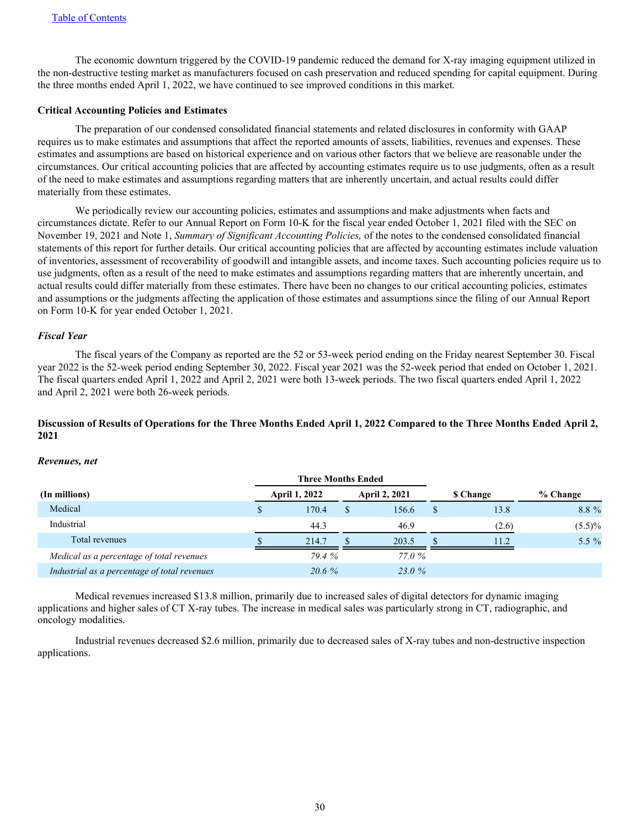The economic downturn triggered by the COVID-19 pandemic reduced the demand for X-ray imaging equipment utilized in the non-destructive testing market as manufacturers focused on cash preservation and reduced spending for capital equipment. During the three months ended April 1, 2022, we have continued to see improved conditions in this market.

#### **Critical Accounting Policies and Estimates**

 The preparation of our condensed consolidated financial statements and related disclosures in conformity with GAAP requires us to make estimates and assumptions that affect the reported amounts of assets, liabilities, revenues and expenses. These estimates and assumptions are based on historical experience and on various other factors that we believe are reasonable under the circumstances. Our critical accounting policies that are affected by accounting estimates require us to use judgments, often as a result of the need to make estimates and assumptions regarding matters that are inherently uncertain, and actual results could differ materially from these estimates.

 We periodically review our accounting policies, estimates and assumptions and make adjustments when facts and circumstances dictate. Refer to our Annual Report on Form 10-K for the fiscal year ended October 1, 2021 filed with the SEC on November 19, 2021 and Note 1, *Summary of Significant Accounting Policies,* of the notes to the condensed consolidated financial statements of this report for further details. Our critical accounting policies that are affected by accounting estimates include valuation of inventories, assessment of recoverability of goodwill and intangible assets, and income taxes. Such accounting policies require us to use judgments, often as a result of the need to make estimates and assumptions regarding matters that are inherently uncertain, and actual results could differ materially from these estimates. There have been no changes to our critical accounting policies, estimates and assumptions or the judgments affecting the application of those estimates and assumptions since the filing of our Annual Report on Form 10-K for year ended October 1, 2021.

#### *Fiscal Year*

 The fiscal years of the Company as reported are the 52 or 53-week period ending on the Friday nearest September 30. Fiscal year 2022 is the 52-week period ending September 30, 2022. Fiscal year 2021 was the 52-week period that ended on October 1, 2021. The fiscal quarters ended April 1, 2022 and April 2, 2021 were both 13-week periods. The two fiscal quarters ended April 1, 2022 and April 2, 2021 were both 26-week periods.

## **Discussion of Results of Operations for the Three Months Ended April 1, 2022 Compared to the Three Months Ended April 2, 2021**

#### *Revenues, net*

|                                              | <b>Three Months Ended</b> |                      |                 |           |
|----------------------------------------------|---------------------------|----------------------|-----------------|-----------|
| (In millions)                                | <b>April 1, 2022</b>      | <b>April 2, 2021</b> | <b>S</b> Change | % Change  |
| Medical                                      | 170.4                     | 156.6                | 13.8            | 8.8 %     |
| Industrial                                   | 44.3                      | 46.9                 | (2.6)           | $(5.5)\%$ |
| Total revenues                               | 214.7                     | 203.5                | 11.2            | 5.5 $%$   |
| Medical as a percentage of total revenues    | 79.4 %                    | 77.0 %               |                 |           |
| Industrial as a percentage of total revenues | $20.6\%$                  | 23.0 %               |                 |           |

 Medical revenues increased \$13.8 million, primarily due to increased sales of digital detectors for dynamic imaging applications and higher sales of CT X-ray tubes. The increase in medical sales was particularly strong in CT, radiographic, and oncology modalities.

 Industrial revenues decreased \$2.6 million, primarily due to decreased sales of X-ray tubes and non-destructive inspection applications.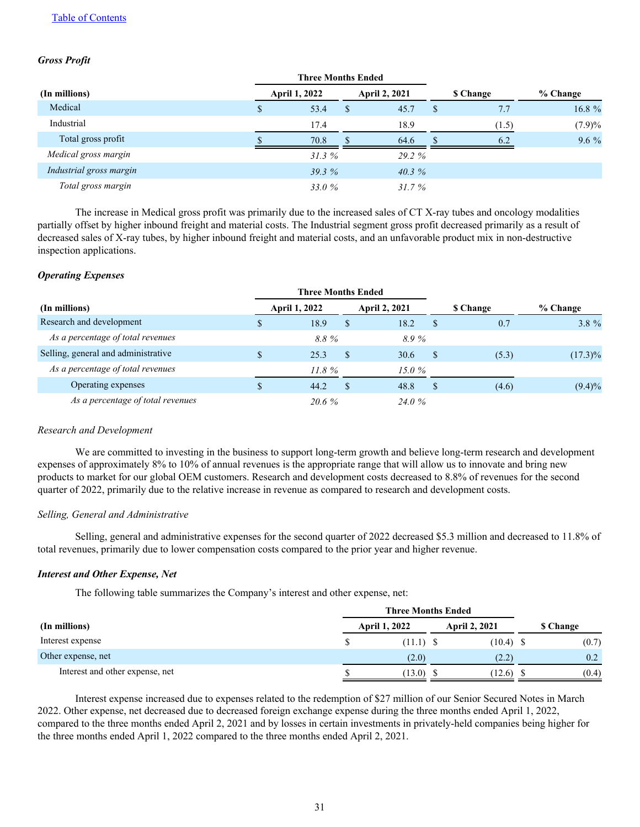## [Table of Contents](#page-1-0)

## *Gross Profit*

|                         | <b>Three Months Ended</b> |   |                      |                 |           |
|-------------------------|---------------------------|---|----------------------|-----------------|-----------|
| (In millions)           | <b>April 1, 2022</b>      |   | <b>April 2, 2021</b> | <b>S</b> Change | % Change  |
| Medical                 | 53.4                      | S | 45.7                 | 7.7             | 16.8 %    |
| Industrial              | 17.4                      |   | 18.9                 | (1.5)           | $(7.9)\%$ |
| Total gross profit      | 70.8                      |   | 64.6                 | 6.2             | $9.6\%$   |
| Medical gross margin    | 31.3%                     |   | 29.2 %               |                 |           |
| Industrial gross margin | 39.3%                     |   | $40.3\%$             |                 |           |
| Total gross margin      | 33.0 %                    |   | 31.7%                |                 |           |

 The increase in Medical gross profit was primarily due to the increased sales of CT X-ray tubes and oncology modalities partially offset by higher inbound freight and material costs. The Industrial segment gross profit decreased primarily as a result of decreased sales of X-ray tubes, by higher inbound freight and material costs, and an unfavorable product mix in non-destructive inspection applications.

#### *Operating Expenses*

|                                     | <b>Three Months Ended</b> |     |                      |          |                 |            |
|-------------------------------------|---------------------------|-----|----------------------|----------|-----------------|------------|
| (In millions)                       | <b>April 1, 2022</b>      |     | <b>April 2, 2021</b> |          | <b>S</b> Change | % Change   |
| Research and development            | 18.9                      | S   | 18.2                 |          | 0.7             | $3.8 \%$   |
| As a percentage of total revenues   | 8.8%                      |     | 8.9%                 |          |                 |            |
| Selling, general and administrative | 25.3                      | \$. | 30.6                 | <b>S</b> | (5.3)           | $(17.3)\%$ |
| As a percentage of total revenues   | 11.8%                     |     | 15.0 $%$             |          |                 |            |
| Operating expenses                  | 44.2                      | S   | 48.8                 | S        | (4.6)           | $(9.4)\%$  |
| As a percentage of total revenues   | 20.6%                     |     | 24.0 %               |          |                 |            |

#### *Research and Development*

 We are committed to investing in the business to support long-term growth and believe long-term research and development expenses of approximately 8% to 10% of annual revenues is the appropriate range that will allow us to innovate and bring new products to market for our global OEM customers. Research and development costs decreased to 8.8% of revenues for the second quarter of 2022, primarily due to the relative increase in revenue as compared to research and development costs.

#### *Selling, General and Administrative*

Selling, general and administrative expenses for the second quarter of 2022 decreased \$5.3 million and decreased to 11.8% of total revenues, primarily due to lower compensation costs compared to the prior year and higher revenue.

## *Interest and Other Expense, Net*

The following table summarizes the Company's interest and other expense, net:

|                                 | <b>Three Months Ended</b> |                      |  |                      |  |                 |
|---------------------------------|---------------------------|----------------------|--|----------------------|--|-----------------|
| (In millions)                   |                           | <b>April 1, 2022</b> |  | <b>April 2, 2021</b> |  | <b>S</b> Change |
| Interest expense                |                           | $(11.1)$ \$          |  | $(10.4)$ \$          |  | (0.7)           |
| Other expense, net              |                           | (2.0)                |  | (2.2)                |  | 0.2             |
| Interest and other expense, net |                           | (13.0)               |  | (12.6)               |  | (0.4)           |

Interest expense increased due to expenses related to the redemption of \$27 million of our Senior Secured Notes in March 2022. Other expense, net decreased due to decreased foreign exchange expense during the three months ended April 1, 2022, compared to the three months ended April 2, 2021 and by losses in certain investments in privately-held companies being higher for the three months ended April 1, 2022 compared to the three months ended April 2, 2021.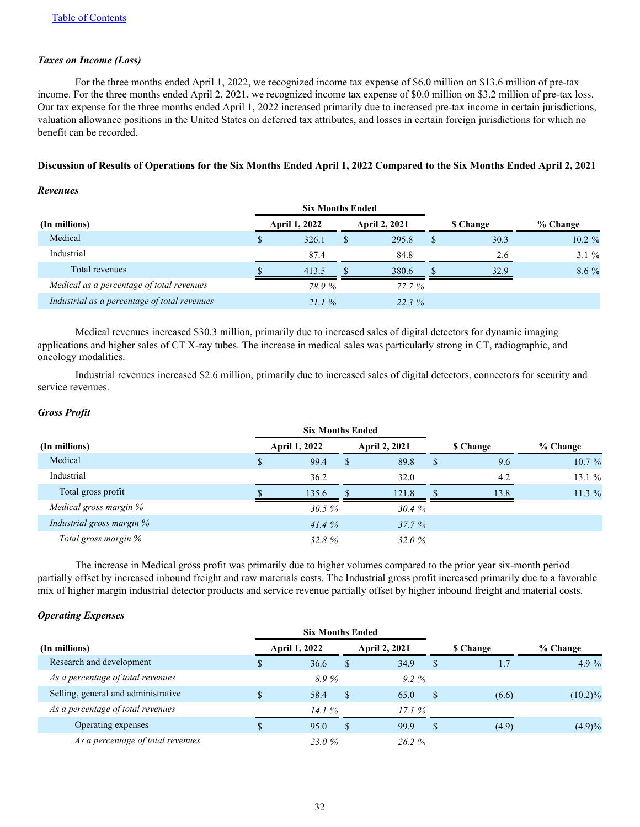## *Taxes on Income (Loss)*

 For the three months ended April 1, 2022, we recognized income tax expense of \$6.0 million on \$13.6 million of pre-tax income. For the three months ended April 2, 2021, we recognized income tax expense of \$0.0 million on \$3.2 million of pre-tax loss. Our tax expense for the three months ended April 1, 2022 increased primarily due to increased pre-tax income in certain jurisdictions, valuation allowance positions in the United States on deferred tax attributes, and losses in certain foreign jurisdictions for which no benefit can be recorded.

## **Discussion of Results of Operations for the Six Months Ended April 1, 2022 Compared to the Six Months Ended April 2, 2021**

#### *Revenues*

|                                              |   | <b>Six Months Ended</b> |                      |                 |           |
|----------------------------------------------|---|-------------------------|----------------------|-----------------|-----------|
| (In millions)                                |   | <b>April 1, 2022</b>    | <b>April 2, 2021</b> | <b>S</b> Change | % Change  |
| Medical                                      | S | 326.1                   | 295.8                | 30.3            | $10.2 \%$ |
| Industrial                                   |   | 87.4                    | 84.8                 | 2.6             | $3.1 \%$  |
| Total revenues                               |   | 413.5                   | 380.6                | 32.9            | $8.6\%$   |
| Medical as a percentage of total revenues    |   | 78.9%                   | 77.7 %               |                 |           |
| Industrial as a percentage of total revenues |   | 21.1%                   | 22.3%                |                 |           |

Medical revenues increased \$30.3 million, primarily due to increased sales of digital detectors for dynamic imaging applications and higher sales of CT X-ray tubes. The increase in medical sales was particularly strong in CT, radiographic, and oncology modalities.

 Industrial revenues increased \$2.6 million, primarily due to increased sales of digital detectors, connectors for security and service revenues.

## *Gross Profit*

| (In millions)             | <b>April 1, 2022</b> |               | <b>April 2, 2021</b> |               | <b>S</b> Change | % Change |
|---------------------------|----------------------|---------------|----------------------|---------------|-----------------|----------|
| Medical                   | \$<br>99.4           | <sup>\$</sup> | 89.8                 | <sup>\$</sup> | 9.6             | 10.7%    |
| Industrial                | 36.2                 |               | 32.0                 |               | 4.2             | 13.1%    |
| Total gross profit        | 135.6                |               | 121.8                |               | 13.8            | $11.3\%$ |
| Medical gross margin %    | 30.5%                |               | 30.4%                |               |                 |          |
| Industrial gross margin % | 41.4%                |               | $37.7\%$             |               |                 |          |
| Total gross margin %      | 32.8%                |               | 32.0%                |               |                 |          |

 The increase in Medical gross profit was primarily due to higher volumes compared to the prior year six-month period partially offset by increased inbound freight and raw materials costs. The Industrial gross profit increased primarily due to a favorable mix of higher margin industrial detector products and service revenue partially offset by higher inbound freight and material costs.

## *Operating Expenses*

|                                     | <b>Six Months Ended</b> |    |                      |   |                 |            |
|-------------------------------------|-------------------------|----|----------------------|---|-----------------|------------|
| (In millions)                       | <b>April 1, 2022</b>    |    | <b>April 2, 2021</b> |   | <b>S</b> Change | % Change   |
| Research and development            | 36.6                    | S  | 34.9                 | S | 1.7             | 4.9 $\%$   |
| As a percentage of total revenues   | 8.9%                    |    | $9.2 \%$             |   |                 |            |
| Selling, general and administrative | 58.4                    | S  | 65.0                 |   | (6.6)           | $(10.2)\%$ |
| As a percentage of total revenues   | 14.1 $%$                |    | 17.1%                |   |                 |            |
| Operating expenses                  | 95.0                    | \$ | 99.9                 | S | (4.9)           | $(4.9)\%$  |
| As a percentage of total revenues   | 23.0 %                  |    | $26.2 \%$            |   |                 |            |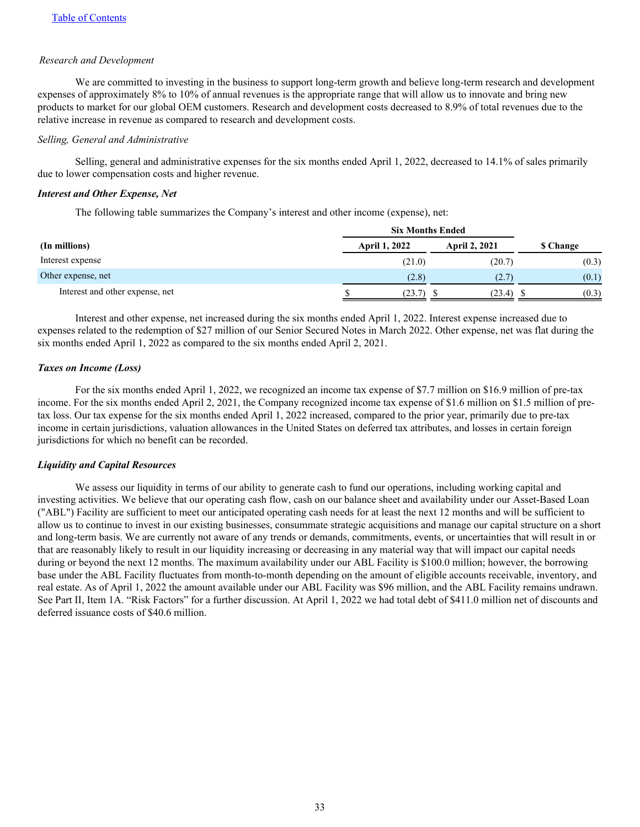#### *Research and Development*

We are committed to investing in the business to support long-term growth and believe long-term research and development expenses of approximately 8% to 10% of annual revenues is the appropriate range that will allow us to innovate and bring new products to market for our global OEM customers. Research and development costs decreased to 8.9% of total revenues due to the relative increase in revenue as compared to research and development costs.

#### *Selling, General and Administrative*

 Selling, general and administrative expenses for the six months ended April 1, 2022, decreased to 14.1% of sales primarily due to lower compensation costs and higher revenue.

## *Interest and Other Expense, Net*

The following table summarizes the Company's interest and other income (expense), net:

|                                 | <b>Six Months Ended</b> |                      |           |
|---------------------------------|-------------------------|----------------------|-----------|
| (In millions)                   | <b>April 1, 2022</b>    | <b>April 2, 2021</b> | \$ Change |
| Interest expense                | (21.0)                  | (20.7)               | (0.3)     |
| Other expense, net              | (2.8)                   | (2.7)                | (0.1)     |
| Interest and other expense, net | (23.7)                  | (23.4)               | (0.3)     |

 Interest and other expense, net increased during the six months ended April 1, 2022. Interest expense increased due to expenses related to the redemption of \$27 million of our Senior Secured Notes in March 2022. Other expense, net was flat during the six months ended April 1, 2022 as compared to the six months ended April 2, 2021.

## *Taxes on Income (Loss)*

 For the six months ended April 1, 2022, we recognized an income tax expense of \$7.7 million on \$16.9 million of pre-tax income. For the six months ended April 2, 2021, the Company recognized income tax expense of \$1.6 million on \$1.5 million of pretax loss. Our tax expense for the six months ended April 1, 2022 increased, compared to the prior year, primarily due to pre-tax income in certain jurisdictions, valuation allowances in the United States on deferred tax attributes, and losses in certain foreign jurisdictions for which no benefit can be recorded.

## *Liquidity and Capital Resources*

We assess our liquidity in terms of our ability to generate cash to fund our operations, including working capital and investing activities. We believe that our operating cash flow, cash on our balance sheet and availability under our Asset-Based Loan ("ABL") Facility are sufficient to meet our anticipated operating cash needs for at least the next 12 months and will be sufficient to allow us to continue to invest in our existing businesses, consummate strategic acquisitions and manage our capital structure on a short and long-term basis. We are currently not aware of any trends or demands, commitments, events, or uncertainties that will result in or that are reasonably likely to result in our liquidity increasing or decreasing in any material way that will impact our capital needs during or beyond the next 12 months. The maximum availability under our ABL Facility is \$100.0 million; however, the borrowing base under the ABL Facility fluctuates from month-to-month depending on the amount of eligible accounts receivable, inventory, and real estate. As of April 1, 2022 the amount available under our ABL Facility was \$96 million, and the ABL Facility remains undrawn. See Part II, Item 1A. "Risk Factors" for a further discussion. At April 1, 2022 we had total debt of \$411.0 million net of discounts and deferred issuance costs of \$40.6 million.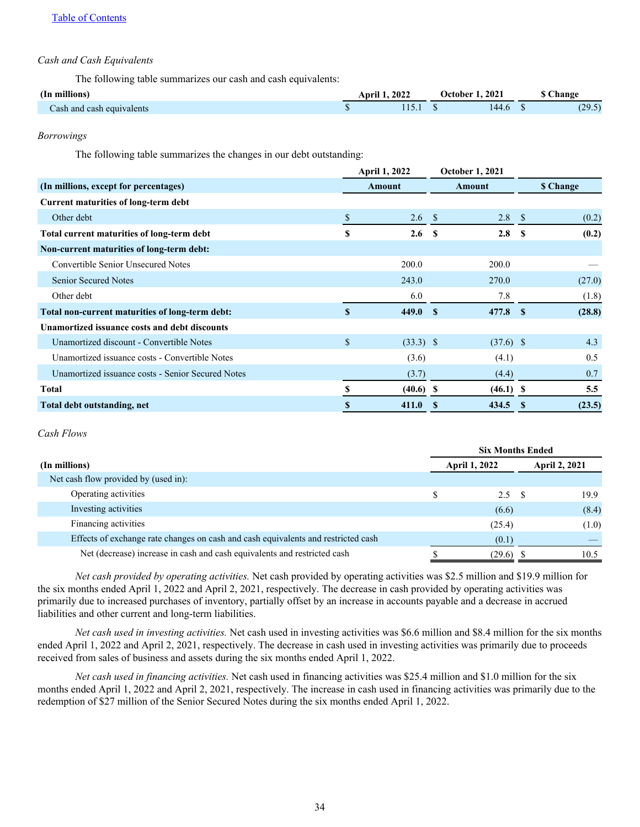## *Cash and Cash Equivalents*

The following table summarizes our cash and cash equivalents:

| (In millions)             | 2022<br>Anri' | 202<br>-Jefober | hange                     |
|---------------------------|---------------|-----------------|---------------------------|
| Cash and cash equivalents |               | 144.6           | $20^{\circ}$<br>ر . ر . ب |

#### *Borrowings*

The following table summarizes the changes in our debt outstanding:

|                                                   | <b>April 1, 2022</b> |                  | <b>October 1, 2021</b> |             |                  |        |
|---------------------------------------------------|----------------------|------------------|------------------------|-------------|------------------|--------|
| (In millions, except for percentages)             | Amount               |                  | Amount                 |             | <b>\$ Change</b> |        |
| <b>Current maturities of long-term debt</b>       |                      |                  |                        |             |                  |        |
| Other debt                                        |                      | 2.6 <sup>5</sup> |                        | $2.8 \t S$  |                  | (0.2)  |
| Total current maturities of long-term debt        | S                    | 2.6              | -S                     | 2.8         | - \$             | (0.2)  |
| Non-current maturities of long-term debt:         |                      |                  |                        |             |                  |        |
| Convertible Senior Unsecured Notes                |                      | 200.0            |                        | 200.0       |                  |        |
| Senior Secured Notes                              |                      | 243.0            |                        | 270.0       |                  | (27.0) |
| Other debt                                        |                      | 6.0              |                        | 7.8         |                  | (1.8)  |
| Total non-current maturities of long-term debt:   |                      | 449.0            | -8                     | 477.8 \$    |                  | (28.8) |
| Unamortized issuance costs and debt discounts     |                      |                  |                        |             |                  |        |
| Unamortized discount - Convertible Notes          | \$                   | $(33.3)$ \$      |                        | $(37.6)$ \$ |                  | 4.3    |
| Unamortized issuance costs - Convertible Notes    |                      | (3.6)            |                        | (4.1)       |                  | 0.5    |
| Unamortized issuance costs - Senior Secured Notes |                      | (3.7)            |                        | (4.4)       |                  | 0.7    |
| Total                                             | S                    | $(40.6)$ \$      |                        | $(46.1)$ \$ |                  | 5.5    |
| Total debt outstanding, net                       | S                    | 411.0            |                        | 434.5       | <sup>\$</sup>    | (23.5) |

#### *Cash Flows*

|                                                                                   | <b>Six Months Ended</b> |                      |                      |       |
|-----------------------------------------------------------------------------------|-------------------------|----------------------|----------------------|-------|
| (In millions)                                                                     |                         | <b>April 1, 2022</b> | <b>April 2, 2021</b> |       |
| Net cash flow provided by (used in):                                              |                         |                      |                      |       |
| Operating activities                                                              |                         | $2.5 \t S$           |                      | 19.9  |
| Investing activities                                                              |                         | (6.6)                |                      | (8.4) |
| Financing activities                                                              |                         | (25.4)               |                      | (1.0) |
| Effects of exchange rate changes on cash and cash equivalents and restricted cash |                         | (0.1)                |                      |       |
| Net (decrease) increase in cash and cash equivalents and restricted cash          |                         | (29.6)               |                      | 10.5  |

*Net cash provided by operating activities.* Net cash provided by operating activities was \$2.5 million and \$19.9 million for the six months ended April 1, 2022 and April 2, 2021, respectively. The decrease in cash provided by operating activities was primarily due to increased purchases of inventory, partially offset by an increase in accounts payable and a decrease in accrued liabilities and other current and long-term liabilities.

*Net cash used in investing activities.* Net cash used in investing activities was \$6.6 million and \$8.4 million for the six months ended April 1, 2022 and April 2, 2021, respectively. The decrease in cash used in investing activities was primarily due to proceeds received from sales of business and assets during the six months ended April 1, 2022.

*Net cash used in financing activities.* Net cash used in financing activities was \$25.4 million and \$1.0 million for the six months ended April 1, 2022 and April 2, 2021, respectively. The increase in cash used in financing activities was primarily due to the redemption of \$27 million of the Senior Secured Notes during the six months ended April 1, 2022.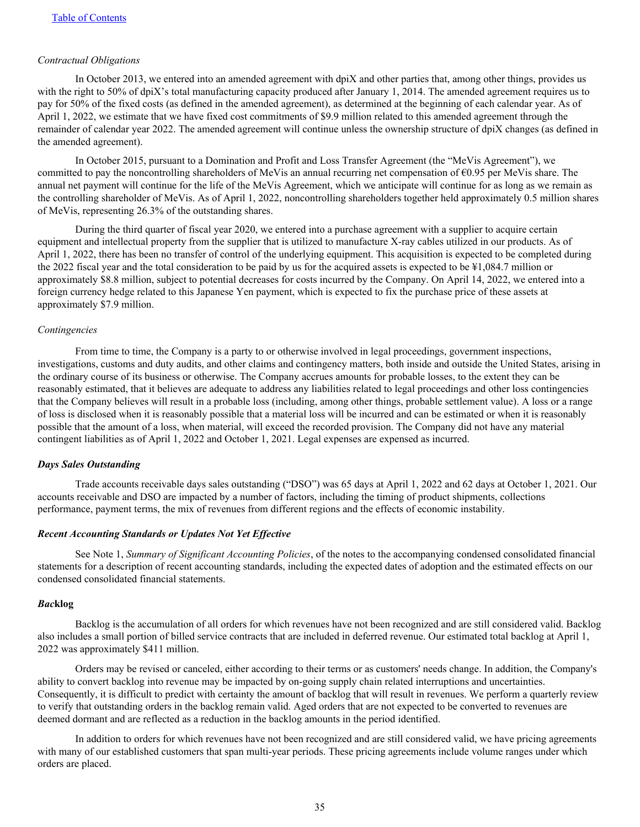#### *Contractual Obligations*

In October 2013, we entered into an amended agreement with dpiX and other parties that, among other things, provides us with the right to 50% of dpiX's total manufacturing capacity produced after January 1, 2014. The amended agreement requires us to pay for 50% of the fixed costs (as defined in the amended agreement), as determined at the beginning of each calendar year. As of April 1, 2022, we estimate that we have fixed cost commitments of \$9.9 million related to this amended agreement through the remainder of calendar year 2022. The amended agreement will continue unless the ownership structure of dpiX changes (as defined in the amended agreement).

 In October 2015, pursuant to a Domination and Profit and Loss Transfer Agreement (the "MeVis Agreement"), we committed to pay the noncontrolling shareholders of MeVis an annual recurring net compensation of €0.95 per MeVis share. The annual net payment will continue for the life of the MeVis Agreement, which we anticipate will continue for as long as we remain as the controlling shareholder of MeVis. As of April 1, 2022, noncontrolling shareholders together held approximately 0.5 million shares of MeVis, representing 26.3% of the outstanding shares.

 During the third quarter of fiscal year 2020, we entered into a purchase agreement with a supplier to acquire certain equipment and intellectual property from the supplier that is utilized to manufacture X-ray cables utilized in our products. As of April 1, 2022, there has been no transfer of control of the underlying equipment. This acquisition is expected to be completed during the 2022 fiscal year and the total consideration to be paid by us for the acquired assets is expected to be ¥1,084.7 million or approximately \$8.8 million, subject to potential decreases for costs incurred by the Company. On April 14, 2022, we entered into a foreign currency hedge related to this Japanese Yen payment, which is expected to fix the purchase price of these assets at approximately \$7.9 million.

#### *Contingencies*

 From time to time, the Company is a party to or otherwise involved in legal proceedings, government inspections, investigations, customs and duty audits, and other claims and contingency matters, both inside and outside the United States, arising in the ordinary course of its business or otherwise. The Company accrues amounts for probable losses, to the extent they can be reasonably estimated, that it believes are adequate to address any liabilities related to legal proceedings and other loss contingencies that the Company believes will result in a probable loss (including, among other things, probable settlement value). A loss or a range of loss is disclosed when it is reasonably possible that a material loss will be incurred and can be estimated or when it is reasonably possible that the amount of a loss, when material, will exceed the recorded provision. The Company did not have any material contingent liabilities as of April 1, 2022 and October 1, 2021. Legal expenses are expensed as incurred.

## *Days Sales Outstanding*

 Trade accounts receivable days sales outstanding ("DSO") was 65 days at April 1, 2022 and 62 days at October 1, 2021. Our accounts receivable and DSO are impacted by a number of factors, including the timing of product shipments, collections performance, payment terms, the mix of revenues from different regions and the effects of economic instability.

#### *Recent Accounting Standards or Updates Not Yet Effective*

 See Note 1, *Summary of Significant Accounting Policies*, of the notes to the accompanying condensed consolidated financial statements for a description of recent accounting standards, including the expected dates of adoption and the estimated effects on our condensed consolidated financial statements.

### *Bac***klog**

 Backlog is the accumulation of all orders for which revenues have not been recognized and are still considered valid. Backlog also includes a small portion of billed service contracts that are included in deferred revenue. Our estimated total backlog at April 1, 2022 was approximately \$411 million.

 Orders may be revised or canceled, either according to their terms or as customers' needs change. In addition, the Company's ability to convert backlog into revenue may be impacted by on-going supply chain related interruptions and uncertainties. Consequently, it is difficult to predict with certainty the amount of backlog that will result in revenues. We perform a quarterly review to verify that outstanding orders in the backlog remain valid. Aged orders that are not expected to be converted to revenues are deemed dormant and are reflected as a reduction in the backlog amounts in the period identified.

 In addition to orders for which revenues have not been recognized and are still considered valid, we have pricing agreements with many of our established customers that span multi-year periods. These pricing agreements include volume ranges under which orders are placed.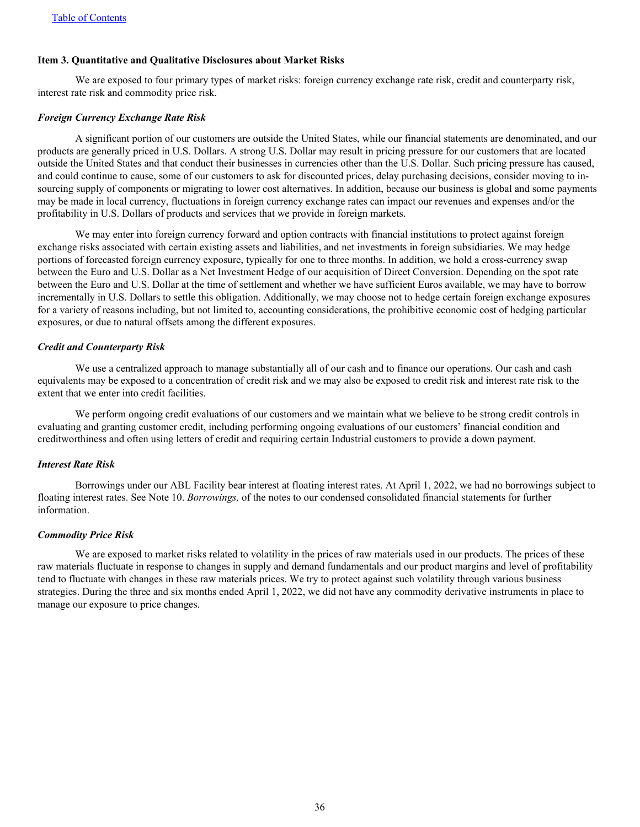## <span id="page-36-0"></span>**Item 3. Quantitative and Qualitative Disclosures about Market Risks**

 We are exposed to four primary types of market risks: foreign currency exchange rate risk, credit and counterparty risk, interest rate risk and commodity price risk.

#### *Foreign Currency Exchange Rate Risk*

 A significant portion of our customers are outside the United States, while our financial statements are denominated, and our products are generally priced in U.S. Dollars. A strong U.S. Dollar may result in pricing pressure for our customers that are located outside the United States and that conduct their businesses in currencies other than the U.S. Dollar. Such pricing pressure has caused, and could continue to cause, some of our customers to ask for discounted prices, delay purchasing decisions, consider moving to insourcing supply of components or migrating to lower cost alternatives. In addition, because our business is global and some payments may be made in local currency, fluctuations in foreign currency exchange rates can impact our revenues and expenses and/or the profitability in U.S. Dollars of products and services that we provide in foreign markets.

We may enter into foreign currency forward and option contracts with financial institutions to protect against foreign exchange risks associated with certain existing assets and liabilities, and net investments in foreign subsidiaries. We may hedge portions of forecasted foreign currency exposure, typically for one to three months. In addition, we hold a cross-currency swap between the Euro and U.S. Dollar as a Net Investment Hedge of our acquisition of Direct Conversion. Depending on the spot rate between the Euro and U.S. Dollar at the time of settlement and whether we have sufficient Euros available, we may have to borrow incrementally in U.S. Dollars to settle this obligation. Additionally, we may choose not to hedge certain foreign exchange exposures for a variety of reasons including, but not limited to, accounting considerations, the prohibitive economic cost of hedging particular exposures, or due to natural offsets among the different exposures.

#### *Credit and Counterparty Risk*

We use a centralized approach to manage substantially all of our cash and to finance our operations. Our cash and cash equivalents may be exposed to a concentration of credit risk and we may also be exposed to credit risk and interest rate risk to the extent that we enter into credit facilities.

We perform ongoing credit evaluations of our customers and we maintain what we believe to be strong credit controls in evaluating and granting customer credit, including performing ongoing evaluations of our customers' financial condition and creditworthiness and often using letters of credit and requiring certain Industrial customers to provide a down payment.

#### *Interest Rate Risk*

 Borrowings under our ABL Facility bear interest at floating interest rates. At April 1, 2022, we had no borrowings subject to floating interest rates. See Note 10. *Borrowings,* of the notes to our condensed consolidated financial statements for further information.

#### *Commodity Price Risk*

We are exposed to market risks related to volatility in the prices of raw materials used in our products. The prices of these raw materials fluctuate in response to changes in supply and demand fundamentals and our product margins and level of profitability tend to fluctuate with changes in these raw materials prices. We try to protect against such volatility through various business strategies. During the three and six months ended April 1, 2022, we did not have any commodity derivative instruments in place to manage our exposure to price changes.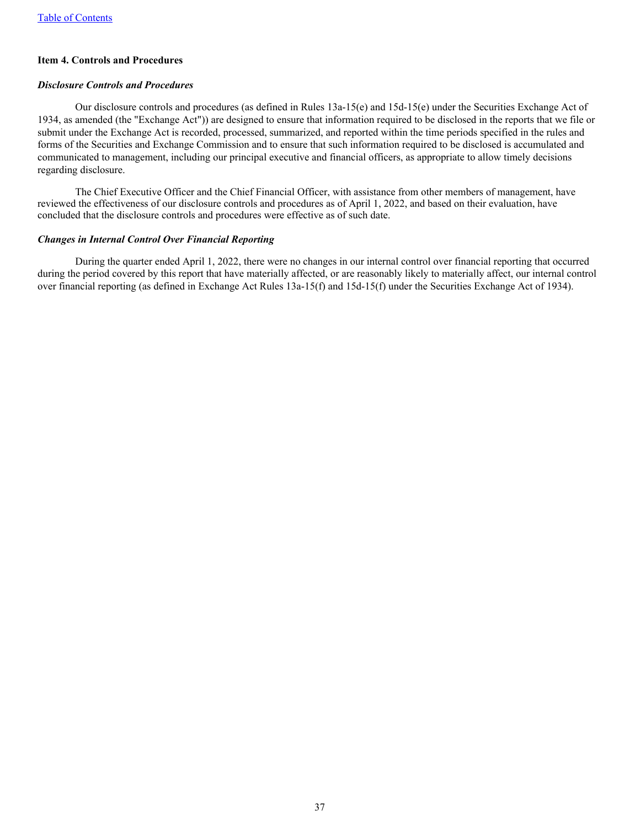## <span id="page-37-0"></span>**Item 4. Controls and Procedures**

#### *Disclosure Controls and Procedures*

 Our disclosure controls and procedures (as defined in Rules 13a-15(e) and 15d-15(e) under the Securities Exchange Act of 1934, as amended (the "Exchange Act")) are designed to ensure that information required to be disclosed in the reports that we file or submit under the Exchange Act is recorded, processed, summarized, and reported within the time periods specified in the rules and forms of the Securities and Exchange Commission and to ensure that such information required to be disclosed is accumulated and communicated to management, including our principal executive and financial officers, as appropriate to allow timely decisions regarding disclosure.

 The Chief Executive Officer and the Chief Financial Officer, with assistance from other members of management, have reviewed the effectiveness of our disclosure controls and procedures as of April 1, 2022, and based on their evaluation, have concluded that the disclosure controls and procedures were effective as of such date.

#### *Changes in Internal Control Over Financial Reporting*

 During the quarter ended April 1, 2022, there were no changes in our internal control over financial reporting that occurred during the period covered by this report that have materially affected, or are reasonably likely to materially affect, our internal control over financial reporting (as defined in Exchange Act Rules 13a-15(f) and 15d-15(f) under the Securities Exchange Act of 1934).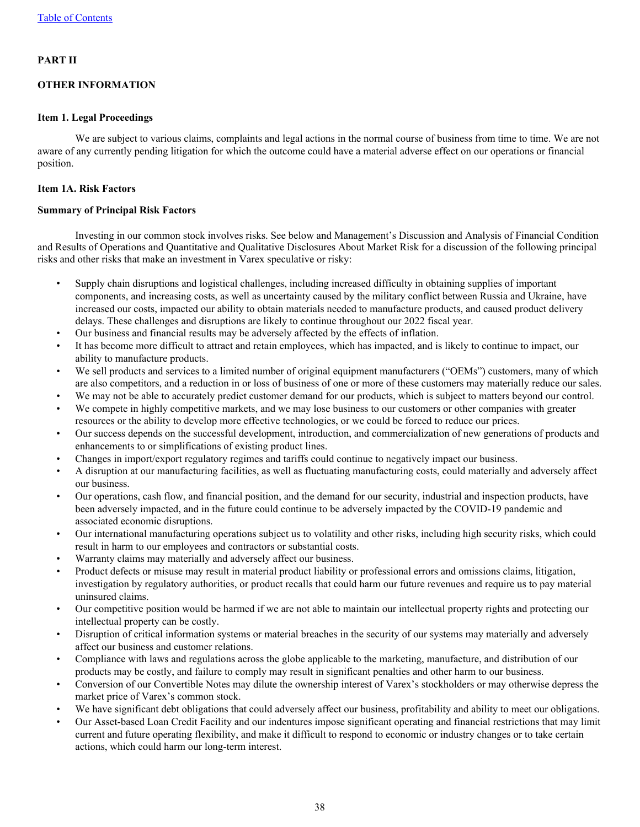## <span id="page-38-0"></span>**PART II**

## **OTHER INFORMATION**

## **Item 1. Legal Proceedings**

We are subject to various claims, complaints and legal actions in the normal course of business from time to time. We are not aware of any currently pending litigation for which the outcome could have a material adverse effect on our operations or financial position.

## **Item 1A. Risk Factors**

#### **Summary of Principal Risk Factors**

Investing in our common stock involves risks. See below and Management's Discussion and Analysis of Financial Condition and Results of Operations and Quantitative and Qualitative Disclosures About Market Risk for a discussion of the following principal risks and other risks that make an investment in Varex speculative or risky:

- Supply chain disruptions and logistical challenges, including increased difficulty in obtaining supplies of important components, and increasing costs, as well as uncertainty caused by the military conflict between Russia and Ukraine, have increased our costs, impacted our ability to obtain materials needed to manufacture products, and caused product delivery delays. These challenges and disruptions are likely to continue throughout our 2022 fiscal year.
- Our business and financial results may be adversely affected by the effects of inflation.
- It has become more difficult to attract and retain employees, which has impacted, and is likely to continue to impact, our ability to manufacture products.
- We sell products and services to a limited number of original equipment manufacturers ("OEMs") customers, many of which are also competitors, and a reduction in or loss of business of one or more of these customers may materially reduce our sales.
- We may not be able to accurately predict customer demand for our products, which is subject to matters beyond our control.
- We compete in highly competitive markets, and we may lose business to our customers or other companies with greater resources or the ability to develop more effective technologies, or we could be forced to reduce our prices.
- Our success depends on the successful development, introduction, and commercialization of new generations of products and enhancements to or simplifications of existing product lines.
- Changes in import/export regulatory regimes and tariffs could continue to negatively impact our business.
- A disruption at our manufacturing facilities, as well as fluctuating manufacturing costs, could materially and adversely affect our business.
- Our operations, cash flow, and financial position, and the demand for our security, industrial and inspection products, have been adversely impacted, and in the future could continue to be adversely impacted by the COVID-19 pandemic and associated economic disruptions.
- Our international manufacturing operations subject us to volatility and other risks, including high security risks, which could result in harm to our employees and contractors or substantial costs.
- Warranty claims may materially and adversely affect our business.
- Product defects or misuse may result in material product liability or professional errors and omissions claims, litigation, investigation by regulatory authorities, or product recalls that could harm our future revenues and require us to pay material uninsured claims.
- Our competitive position would be harmed if we are not able to maintain our intellectual property rights and protecting our intellectual property can be costly.
- Disruption of critical information systems or material breaches in the security of our systems may materially and adversely affect our business and customer relations.
- Compliance with laws and regulations across the globe applicable to the marketing, manufacture, and distribution of our products may be costly, and failure to comply may result in significant penalties and other harm to our business.
- Conversion of our Convertible Notes may dilute the ownership interest of Varex's stockholders or may otherwise depress the market price of Varex's common stock.
- We have significant debt obligations that could adversely affect our business, profitability and ability to meet our obligations.
- Our Asset-based Loan Credit Facility and our indentures impose significant operating and financial restrictions that may limit current and future operating flexibility, and make it difficult to respond to economic or industry changes or to take certain actions, which could harm our long-term interest.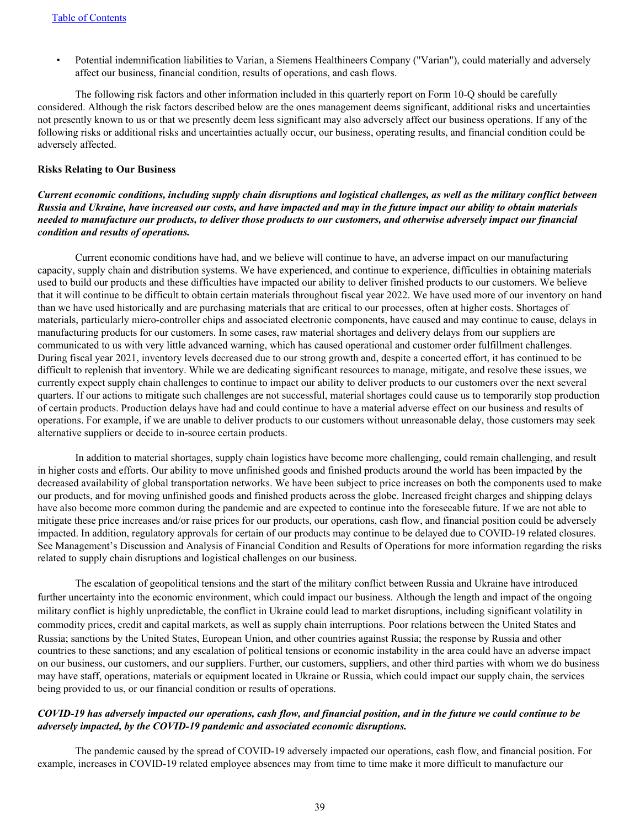• Potential indemnification liabilities to Varian, a Siemens Healthineers Company ("Varian"), could materially and adversely affect our business, financial condition, results of operations, and cash flows.

 The following risk factors and other information included in this quarterly report on Form 10-Q should be carefully considered. Although the risk factors described below are the ones management deems significant, additional risks and uncertainties not presently known to us or that we presently deem less significant may also adversely affect our business operations. If any of the following risks or additional risks and uncertainties actually occur, our business, operating results, and financial condition could be adversely affected.

#### **Risks Relating to Our Business**

*Current economic conditions, including supply chain disruptions and logistical challenges, as well as the military conflict between Russia and Ukraine, have increased our costs, and have impacted and may in the future impact our ability to obtain materials needed to manufacture our products, to deliver those products to our customers, and otherwise adversely impact our financial condition and results of operations.* 

 Current economic conditions have had, and we believe will continue to have, an adverse impact on our manufacturing capacity, supply chain and distribution systems. We have experienced, and continue to experience, difficulties in obtaining materials used to build our products and these difficulties have impacted our ability to deliver finished products to our customers. We believe that it will continue to be difficult to obtain certain materials throughout fiscal year 2022. We have used more of our inventory on hand than we have used historically and are purchasing materials that are critical to our processes, often at higher costs. Shortages of materials, particularly micro-controller chips and associated electronic components, have caused and may continue to cause, delays in manufacturing products for our customers. In some cases, raw material shortages and delivery delays from our suppliers are communicated to us with very little advanced warning, which has caused operational and customer order fulfillment challenges. During fiscal year 2021, inventory levels decreased due to our strong growth and, despite a concerted effort, it has continued to be difficult to replenish that inventory. While we are dedicating significant resources to manage, mitigate, and resolve these issues, we currently expect supply chain challenges to continue to impact our ability to deliver products to our customers over the next several quarters. If our actions to mitigate such challenges are not successful, material shortages could cause us to temporarily stop production of certain products. Production delays have had and could continue to have a material adverse effect on our business and results of operations. For example, if we are unable to deliver products to our customers without unreasonable delay, those customers may seek alternative suppliers or decide to in-source certain products.

 In addition to material shortages, supply chain logistics have become more challenging, could remain challenging, and result in higher costs and efforts. Our ability to move unfinished goods and finished products around the world has been impacted by the decreased availability of global transportation networks. We have been subject to price increases on both the components used to make our products, and for moving unfinished goods and finished products across the globe. Increased freight charges and shipping delays have also become more common during the pandemic and are expected to continue into the foreseeable future. If we are not able to mitigate these price increases and/or raise prices for our products, our operations, cash flow, and financial position could be adversely impacted. In addition, regulatory approvals for certain of our products may continue to be delayed due to COVID-19 related closures. See Management's Discussion and Analysis of Financial Condition and Results of Operations for more information regarding the risks related to supply chain disruptions and logistical challenges on our business.

The escalation of geopolitical tensions and the start of the military conflict between Russia and Ukraine have introduced further uncertainty into the economic environment, which could impact our business. Although the length and impact of the ongoing military conflict is highly unpredictable, the conflict in Ukraine could lead to market disruptions, including significant volatility in commodity prices, credit and capital markets, as well as supply chain interruptions. Poor relations between the United States and Russia; sanctions by the United States, European Union, and other countries against Russia; the response by Russia and other countries to these sanctions; and any escalation of political tensions or economic instability in the area could have an adverse impact on our business, our customers, and our suppliers. Further, our customers, suppliers, and other third parties with whom we do business may have staff, operations, materials or equipment located in Ukraine or Russia, which could impact our supply chain, the services being provided to us, or our financial condition or results of operations.

#### *COVID-19 has adversely impacted our operations, cash flow, and financial position, and in the future we could continue to be adversely impacted, by the COVID-19 pandemic and associated economic disruptions.*

 The pandemic caused by the spread of COVID-19 adversely impacted our operations, cash flow, and financial position. For example, increases in COVID-19 related employee absences may from time to time make it more difficult to manufacture our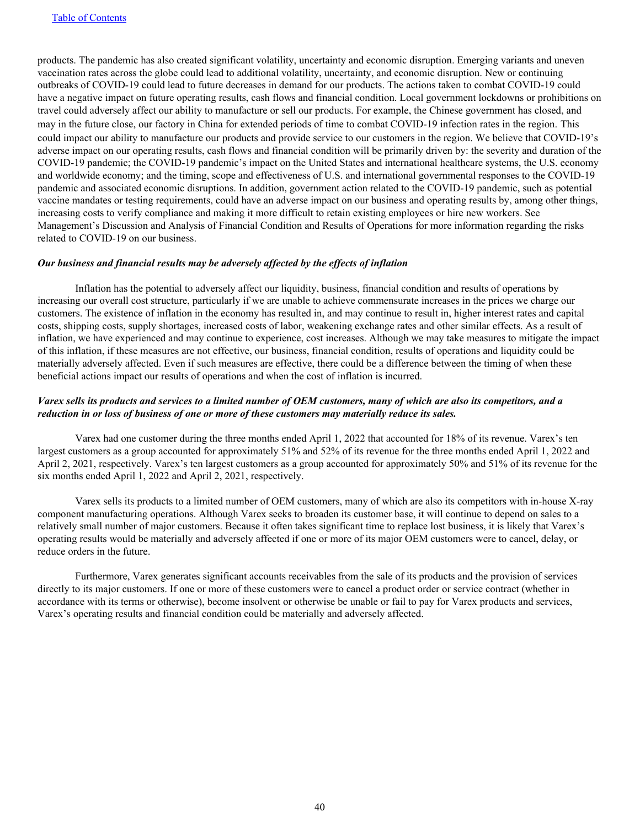products. The pandemic has also created significant volatility, uncertainty and economic disruption. Emerging variants and uneven vaccination rates across the globe could lead to additional volatility, uncertainty, and economic disruption. New or continuing outbreaks of COVID-19 could lead to future decreases in demand for our products. The actions taken to combat COVID-19 could have a negative impact on future operating results, cash flows and financial condition. Local government lockdowns or prohibitions on travel could adversely affect our ability to manufacture or sell our products. For example, the Chinese government has closed, and may in the future close, our factory in China for extended periods of time to combat COVID-19 infection rates in the region. This could impact our ability to manufacture our products and provide service to our customers in the region. We believe that COVID-19's adverse impact on our operating results, cash flows and financial condition will be primarily driven by: the severity and duration of the COVID-19 pandemic; the COVID-19 pandemic's impact on the United States and international healthcare systems, the U.S. economy and worldwide economy; and the timing, scope and effectiveness of U.S. and international governmental responses to the COVID-19 pandemic and associated economic disruptions. In addition, government action related to the COVID-19 pandemic, such as potential vaccine mandates or testing requirements, could have an adverse impact on our business and operating results by, among other things, increasing costs to verify compliance and making it more difficult to retain existing employees or hire new workers. See Management's Discussion and Analysis of Financial Condition and Results of Operations for more information regarding the risks related to COVID-19 on our business.

#### *Our business and financial results may be adversely affected by the effects of inflation*

Inflation has the potential to adversely affect our liquidity, business, financial condition and results of operations by increasing our overall cost structure, particularly if we are unable to achieve commensurate increases in the prices we charge our customers. The existence of inflation in the economy has resulted in, and may continue to result in, higher interest rates and capital costs, shipping costs, supply shortages, increased costs of labor, weakening exchange rates and other similar effects. As a result of inflation, we have experienced and may continue to experience, cost increases. Although we may take measures to mitigate the impact of this inflation, if these measures are not effective, our business, financial condition, results of operations and liquidity could be materially adversely affected. Even if such measures are effective, there could be a difference between the timing of when these beneficial actions impact our results of operations and when the cost of inflation is incurred.

## *Varex sells its products and services to a limited number of OEM customers, many of which are also its competitors, and a reduction in or loss of business of one or more of these customers may materially reduce its sales.*

Varex had one customer during the three months ended April 1, 2022 that accounted for 18% of its revenue. Varex's ten largest customers as a group accounted for approximately 51% and 52% of its revenue for the three months ended April 1, 2022 and April 2, 2021, respectively. Varex's ten largest customers as a group accounted for approximately 50% and 51% of its revenue for the six months ended April 1, 2022 and April 2, 2021, respectively.

 Varex sells its products to a limited number of OEM customers, many of which are also its competitors with in-house X-ray component manufacturing operations. Although Varex seeks to broaden its customer base, it will continue to depend on sales to a relatively small number of major customers. Because it often takes significant time to replace lost business, it is likely that Varex's operating results would be materially and adversely affected if one or more of its major OEM customers were to cancel, delay, or reduce orders in the future.

 Furthermore, Varex generates significant accounts receivables from the sale of its products and the provision of services directly to its major customers. If one or more of these customers were to cancel a product order or service contract (whether in accordance with its terms or otherwise), become insolvent or otherwise be unable or fail to pay for Varex products and services, Varex's operating results and financial condition could be materially and adversely affected.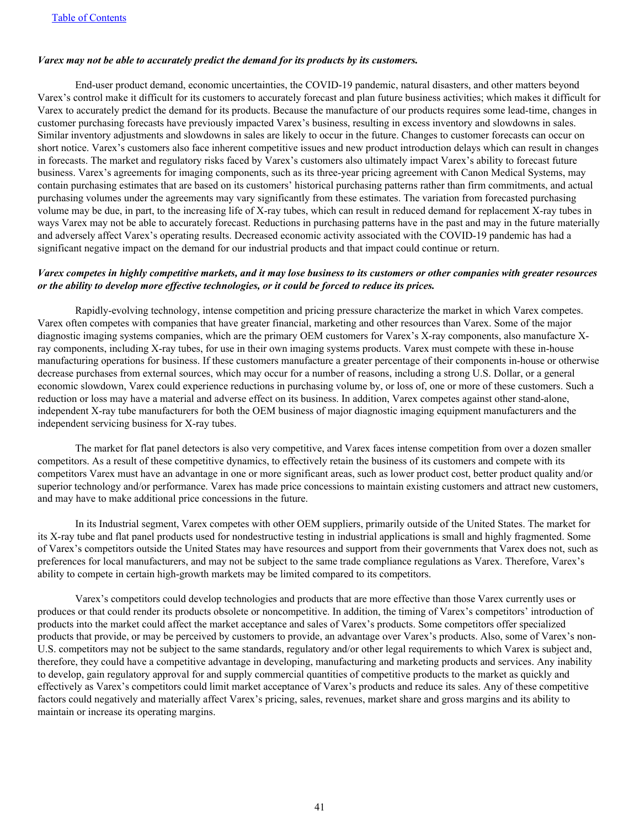#### *Varex may not be able to accurately predict the demand for its products by its customers.*

 End-user product demand, economic uncertainties, the COVID-19 pandemic, natural disasters, and other matters beyond Varex's control make it difficult for its customers to accurately forecast and plan future business activities; which makes it difficult for Varex to accurately predict the demand for its products. Because the manufacture of our products requires some lead-time, changes in customer purchasing forecasts have previously impacted Varex's business, resulting in excess inventory and slowdowns in sales. Similar inventory adjustments and slowdowns in sales are likely to occur in the future. Changes to customer forecasts can occur on short notice. Varex's customers also face inherent competitive issues and new product introduction delays which can result in changes in forecasts. The market and regulatory risks faced by Varex's customers also ultimately impact Varex's ability to forecast future business. Varex's agreements for imaging components, such as its three-year pricing agreement with Canon Medical Systems, may contain purchasing estimates that are based on its customers' historical purchasing patterns rather than firm commitments, and actual purchasing volumes under the agreements may vary significantly from these estimates. The variation from forecasted purchasing volume may be due, in part, to the increasing life of X-ray tubes, which can result in reduced demand for replacement X-ray tubes in ways Varex may not be able to accurately forecast. Reductions in purchasing patterns have in the past and may in the future materially and adversely affect Varex's operating results. Decreased economic activity associated with the COVID-19 pandemic has had a significant negative impact on the demand for our industrial products and that impact could continue or return.

#### *Varex competes in highly competitive markets, and it may lose business to its customers or other companies with greater resources or the ability to develop more effective technologies, or it could be forced to reduce its prices.*

 Rapidly-evolving technology, intense competition and pricing pressure characterize the market in which Varex competes. Varex often competes with companies that have greater financial, marketing and other resources than Varex. Some of the major diagnostic imaging systems companies, which are the primary OEM customers for Varex's X-ray components, also manufacture Xray components, including X-ray tubes, for use in their own imaging systems products. Varex must compete with these in-house manufacturing operations for business. If these customers manufacture a greater percentage of their components in-house or otherwise decrease purchases from external sources, which may occur for a number of reasons, including a strong U.S. Dollar, or a general economic slowdown, Varex could experience reductions in purchasing volume by, or loss of, one or more of these customers. Such a reduction or loss may have a material and adverse effect on its business. In addition, Varex competes against other stand-alone, independent X-ray tube manufacturers for both the OEM business of major diagnostic imaging equipment manufacturers and the independent servicing business for X-ray tubes.

 The market for flat panel detectors is also very competitive, and Varex faces intense competition from over a dozen smaller competitors. As a result of these competitive dynamics, to effectively retain the business of its customers and compete with its competitors Varex must have an advantage in one or more significant areas, such as lower product cost, better product quality and/or superior technology and/or performance. Varex has made price concessions to maintain existing customers and attract new customers, and may have to make additional price concessions in the future.

 In its Industrial segment, Varex competes with other OEM suppliers, primarily outside of the United States. The market for its X-ray tube and flat panel products used for nondestructive testing in industrial applications is small and highly fragmented. Some of Varex's competitors outside the United States may have resources and support from their governments that Varex does not, such as preferences for local manufacturers, and may not be subject to the same trade compliance regulations as Varex. Therefore, Varex's ability to compete in certain high-growth markets may be limited compared to its competitors.

 Varex's competitors could develop technologies and products that are more effective than those Varex currently uses or produces or that could render its products obsolete or noncompetitive. In addition, the timing of Varex's competitors' introduction of products into the market could affect the market acceptance and sales of Varex's products. Some competitors offer specialized products that provide, or may be perceived by customers to provide, an advantage over Varex's products. Also, some of Varex's non-U.S. competitors may not be subject to the same standards, regulatory and/or other legal requirements to which Varex is subject and, therefore, they could have a competitive advantage in developing, manufacturing and marketing products and services. Any inability to develop, gain regulatory approval for and supply commercial quantities of competitive products to the market as quickly and effectively as Varex's competitors could limit market acceptance of Varex's products and reduce its sales. Any of these competitive factors could negatively and materially affect Varex's pricing, sales, revenues, market share and gross margins and its ability to maintain or increase its operating margins.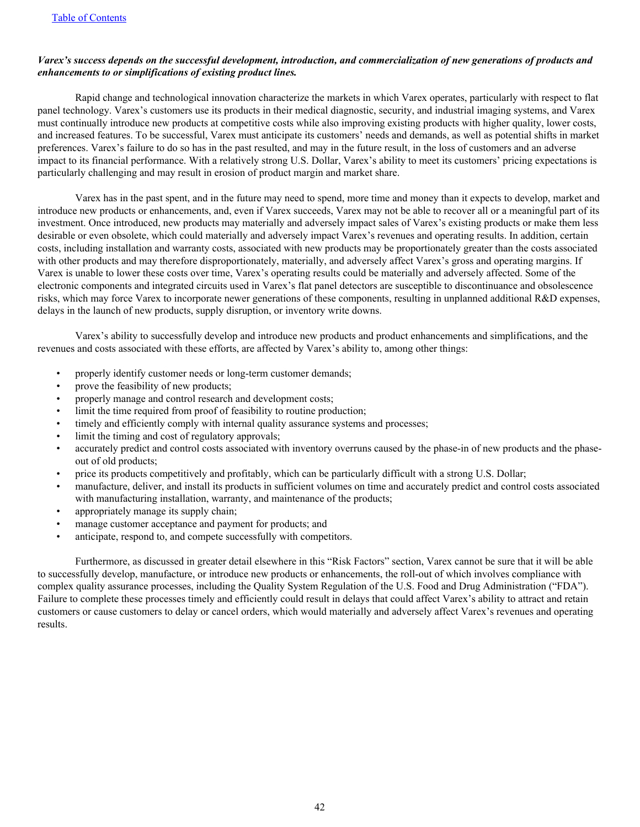## *Varex's success depends on the successful development, introduction, and commercialization of new generations of products and enhancements to or simplifications of existing product lines.*

 Rapid change and technological innovation characterize the markets in which Varex operates, particularly with respect to flat panel technology. Varex's customers use its products in their medical diagnostic, security, and industrial imaging systems, and Varex must continually introduce new products at competitive costs while also improving existing products with higher quality, lower costs, and increased features. To be successful, Varex must anticipate its customers' needs and demands, as well as potential shifts in market preferences. Varex's failure to do so has in the past resulted, and may in the future result, in the loss of customers and an adverse impact to its financial performance. With a relatively strong U.S. Dollar, Varex's ability to meet its customers' pricing expectations is particularly challenging and may result in erosion of product margin and market share.

 Varex has in the past spent, and in the future may need to spend, more time and money than it expects to develop, market and introduce new products or enhancements, and, even if Varex succeeds, Varex may not be able to recover all or a meaningful part of its investment. Once introduced, new products may materially and adversely impact sales of Varex's existing products or make them less desirable or even obsolete, which could materially and adversely impact Varex's revenues and operating results. In addition, certain costs, including installation and warranty costs, associated with new products may be proportionately greater than the costs associated with other products and may therefore disproportionately, materially, and adversely affect Varex's gross and operating margins. If Varex is unable to lower these costs over time, Varex's operating results could be materially and adversely affected. Some of the electronic components and integrated circuits used in Varex's flat panel detectors are susceptible to discontinuance and obsolescence risks, which may force Varex to incorporate newer generations of these components, resulting in unplanned additional R&D expenses, delays in the launch of new products, supply disruption, or inventory write downs.

 Varex's ability to successfully develop and introduce new products and product enhancements and simplifications, and the revenues and costs associated with these efforts, are affected by Varex's ability to, among other things:

- properly identify customer needs or long-term customer demands;
- prove the feasibility of new products;
- properly manage and control research and development costs;
- limit the time required from proof of feasibility to routine production;
- timely and efficiently comply with internal quality assurance systems and processes;
- limit the timing and cost of regulatory approvals;
- accurately predict and control costs associated with inventory overruns caused by the phase-in of new products and the phaseout of old products;
- price its products competitively and profitably, which can be particularly difficult with a strong U.S. Dollar;
- manufacture, deliver, and install its products in sufficient volumes on time and accurately predict and control costs associated with manufacturing installation, warranty, and maintenance of the products;
- appropriately manage its supply chain;
- manage customer acceptance and payment for products; and
- anticipate, respond to, and compete successfully with competitors.

 Furthermore, as discussed in greater detail elsewhere in this "Risk Factors" section, Varex cannot be sure that it will be able to successfully develop, manufacture, or introduce new products or enhancements, the roll-out of which involves compliance with complex quality assurance processes, including the Quality System Regulation of the U.S. Food and Drug Administration ("FDA"). Failure to complete these processes timely and efficiently could result in delays that could affect Varex's ability to attract and retain customers or cause customers to delay or cancel orders, which would materially and adversely affect Varex's revenues and operating results.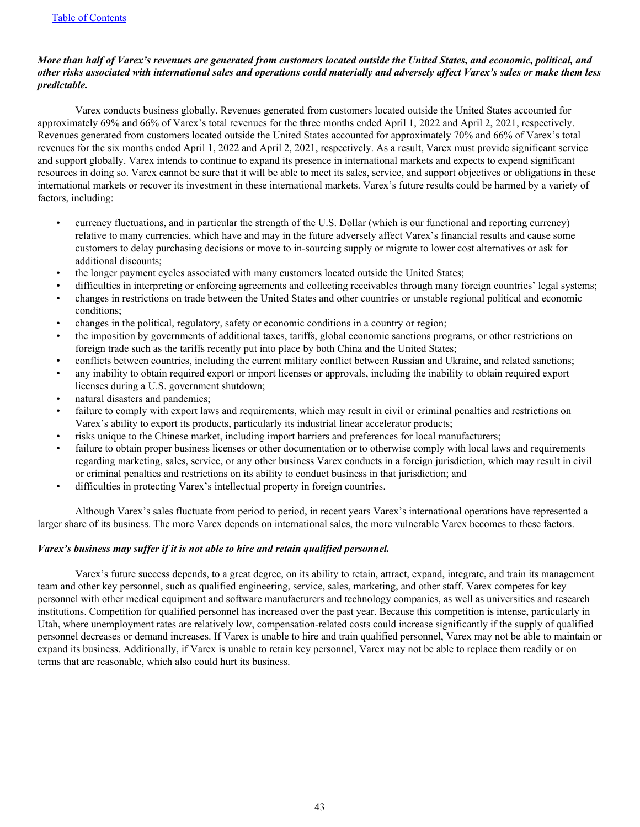## *More than half of Varex's revenues are generated from customers located outside the United States, and economic, political, and other risks associated with international sales and operations could materially and adversely affect Varex's sales or make them less predictable.*

 Varex conducts business globally. Revenues generated from customers located outside the United States accounted for approximately 69% and 66% of Varex's total revenues for the three months ended April 1, 2022 and April 2, 2021, respectively. Revenues generated from customers located outside the United States accounted for approximately 70% and 66% of Varex's total revenues for the six months ended April 1, 2022 and April 2, 2021, respectively. As a result, Varex must provide significant service and support globally. Varex intends to continue to expand its presence in international markets and expects to expend significant resources in doing so. Varex cannot be sure that it will be able to meet its sales, service, and support objectives or obligations in these international markets or recover its investment in these international markets. Varex's future results could be harmed by a variety of factors, including:

- currency fluctuations, and in particular the strength of the U.S. Dollar (which is our functional and reporting currency) relative to many currencies, which have and may in the future adversely affect Varex's financial results and cause some customers to delay purchasing decisions or move to in-sourcing supply or migrate to lower cost alternatives or ask for additional discounts;
- the longer payment cycles associated with many customers located outside the United States;
- difficulties in interpreting or enforcing agreements and collecting receivables through many foreign countries' legal systems;
- changes in restrictions on trade between the United States and other countries or unstable regional political and economic conditions;
- changes in the political, regulatory, safety or economic conditions in a country or region;
- the imposition by governments of additional taxes, tariffs, global economic sanctions programs, or other restrictions on foreign trade such as the tariffs recently put into place by both China and the United States;
- conflicts between countries, including the current military conflict between Russian and Ukraine, and related sanctions;
- any inability to obtain required export or import licenses or approvals, including the inability to obtain required export licenses during a U.S. government shutdown;
- natural disasters and pandemics;
- failure to comply with export laws and requirements, which may result in civil or criminal penalties and restrictions on Varex's ability to export its products, particularly its industrial linear accelerator products;
- risks unique to the Chinese market, including import barriers and preferences for local manufacturers;
- failure to obtain proper business licenses or other documentation or to otherwise comply with local laws and requirements regarding marketing, sales, service, or any other business Varex conducts in a foreign jurisdiction, which may result in civil or criminal penalties and restrictions on its ability to conduct business in that jurisdiction; and
- difficulties in protecting Varex's intellectual property in foreign countries.

 Although Varex's sales fluctuate from period to period, in recent years Varex's international operations have represented a larger share of its business. The more Varex depends on international sales, the more vulnerable Varex becomes to these factors.

## *Varex's business may suffer if it is not able to hire and retain qualified personnel.*

 Varex's future success depends, to a great degree, on its ability to retain, attract, expand, integrate, and train its management team and other key personnel, such as qualified engineering, service, sales, marketing, and other staff. Varex competes for key personnel with other medical equipment and software manufacturers and technology companies, as well as universities and research institutions. Competition for qualified personnel has increased over the past year. Because this competition is intense, particularly in Utah, where unemployment rates are relatively low, compensation-related costs could increase significantly if the supply of qualified personnel decreases or demand increases. If Varex is unable to hire and train qualified personnel, Varex may not be able to maintain or expand its business. Additionally, if Varex is unable to retain key personnel, Varex may not be able to replace them readily or on terms that are reasonable, which also could hurt its business.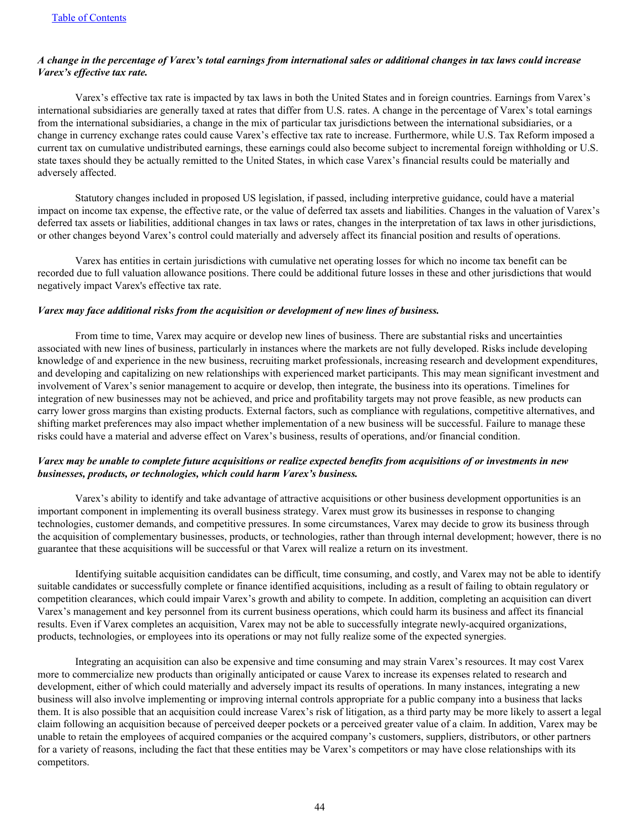## *A change in the percentage of Varex's total earnings from international sales or additional changes in tax laws could increase Varex's effective tax rate.*

 Varex's effective tax rate is impacted by tax laws in both the United States and in foreign countries. Earnings from Varex's international subsidiaries are generally taxed at rates that differ from U.S. rates. A change in the percentage of Varex's total earnings from the international subsidiaries, a change in the mix of particular tax jurisdictions between the international subsidiaries, or a change in currency exchange rates could cause Varex's effective tax rate to increase. Furthermore, while U.S. Tax Reform imposed a current tax on cumulative undistributed earnings, these earnings could also become subject to incremental foreign withholding or U.S. state taxes should they be actually remitted to the United States, in which case Varex's financial results could be materially and adversely affected.

 Statutory changes included in proposed US legislation, if passed, including interpretive guidance, could have a material impact on income tax expense, the effective rate, or the value of deferred tax assets and liabilities. Changes in the valuation of Varex's deferred tax assets or liabilities, additional changes in tax laws or rates, changes in the interpretation of tax laws in other jurisdictions, or other changes beyond Varex's control could materially and adversely affect its financial position and results of operations.

 Varex has entities in certain jurisdictions with cumulative net operating losses for which no income tax benefit can be recorded due to full valuation allowance positions. There could be additional future losses in these and other jurisdictions that would negatively impact Varex's effective tax rate.

#### *Varex may face additional risks from the acquisition or development of new lines of business.*

 From time to time, Varex may acquire or develop new lines of business. There are substantial risks and uncertainties associated with new lines of business, particularly in instances where the markets are not fully developed. Risks include developing knowledge of and experience in the new business, recruiting market professionals, increasing research and development expenditures, and developing and capitalizing on new relationships with experienced market participants. This may mean significant investment and involvement of Varex's senior management to acquire or develop, then integrate, the business into its operations. Timelines for integration of new businesses may not be achieved, and price and profitability targets may not prove feasible, as new products can carry lower gross margins than existing products. External factors, such as compliance with regulations, competitive alternatives, and shifting market preferences may also impact whether implementation of a new business will be successful. Failure to manage these risks could have a material and adverse effect on Varex's business, results of operations, and/or financial condition.

## *Varex may be unable to complete future acquisitions or realize expected benefits from acquisitions of or investments in new businesses, products, or technologies, which could harm Varex's business.*

 Varex's ability to identify and take advantage of attractive acquisitions or other business development opportunities is an important component in implementing its overall business strategy. Varex must grow its businesses in response to changing technologies, customer demands, and competitive pressures. In some circumstances, Varex may decide to grow its business through the acquisition of complementary businesses, products, or technologies, rather than through internal development; however, there is no guarantee that these acquisitions will be successful or that Varex will realize a return on its investment.

 Identifying suitable acquisition candidates can be difficult, time consuming, and costly, and Varex may not be able to identify suitable candidates or successfully complete or finance identified acquisitions, including as a result of failing to obtain regulatory or competition clearances, which could impair Varex's growth and ability to compete. In addition, completing an acquisition can divert Varex's management and key personnel from its current business operations, which could harm its business and affect its financial results. Even if Varex completes an acquisition, Varex may not be able to successfully integrate newly-acquired organizations, products, technologies, or employees into its operations or may not fully realize some of the expected synergies.

 Integrating an acquisition can also be expensive and time consuming and may strain Varex's resources. It may cost Varex more to commercialize new products than originally anticipated or cause Varex to increase its expenses related to research and development, either of which could materially and adversely impact its results of operations. In many instances, integrating a new business will also involve implementing or improving internal controls appropriate for a public company into a business that lacks them. It is also possible that an acquisition could increase Varex's risk of litigation, as a third party may be more likely to assert a legal claim following an acquisition because of perceived deeper pockets or a perceived greater value of a claim. In addition, Varex may be unable to retain the employees of acquired companies or the acquired company's customers, suppliers, distributors, or other partners for a variety of reasons, including the fact that these entities may be Varex's competitors or may have close relationships with its competitors.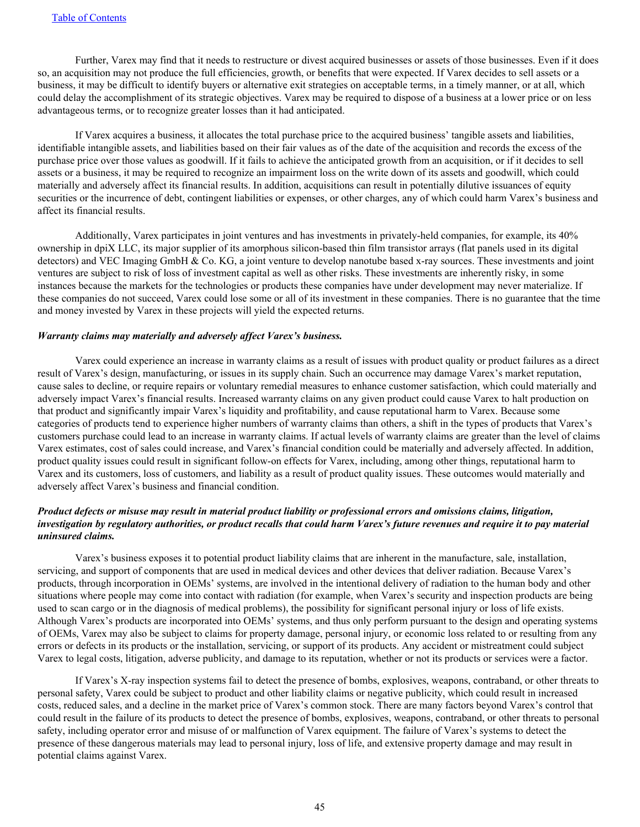Further, Varex may find that it needs to restructure or divest acquired businesses or assets of those businesses. Even if it does so, an acquisition may not produce the full efficiencies, growth, or benefits that were expected. If Varex decides to sell assets or a business, it may be difficult to identify buyers or alternative exit strategies on acceptable terms, in a timely manner, or at all, which could delay the accomplishment of its strategic objectives. Varex may be required to dispose of a business at a lower price or on less advantageous terms, or to recognize greater losses than it had anticipated.

 If Varex acquires a business, it allocates the total purchase price to the acquired business' tangible assets and liabilities, identifiable intangible assets, and liabilities based on their fair values as of the date of the acquisition and records the excess of the purchase price over those values as goodwill. If it fails to achieve the anticipated growth from an acquisition, or if it decides to sell assets or a business, it may be required to recognize an impairment loss on the write down of its assets and goodwill, which could materially and adversely affect its financial results. In addition, acquisitions can result in potentially dilutive issuances of equity securities or the incurrence of debt, contingent liabilities or expenses, or other charges, any of which could harm Varex's business and affect its financial results.

 Additionally, Varex participates in joint ventures and has investments in privately-held companies, for example, its 40% ownership in dpiX LLC, its major supplier of its amorphous silicon-based thin film transistor arrays (flat panels used in its digital detectors) and VEC Imaging GmbH & Co. KG, a joint venture to develop nanotube based x-ray sources. These investments and joint ventures are subject to risk of loss of investment capital as well as other risks. These investments are inherently risky, in some instances because the markets for the technologies or products these companies have under development may never materialize. If these companies do not succeed, Varex could lose some or all of its investment in these companies. There is no guarantee that the time and money invested by Varex in these projects will yield the expected returns.

#### *Warranty claims may materially and adversely affect Varex's business.*

 Varex could experience an increase in warranty claims as a result of issues with product quality or product failures as a direct result of Varex's design, manufacturing, or issues in its supply chain. Such an occurrence may damage Varex's market reputation, cause sales to decline, or require repairs or voluntary remedial measures to enhance customer satisfaction, which could materially and adversely impact Varex's financial results. Increased warranty claims on any given product could cause Varex to halt production on that product and significantly impair Varex's liquidity and profitability, and cause reputational harm to Varex. Because some categories of products tend to experience higher numbers of warranty claims than others, a shift in the types of products that Varex's customers purchase could lead to an increase in warranty claims. If actual levels of warranty claims are greater than the level of claims Varex estimates, cost of sales could increase, and Varex's financial condition could be materially and adversely affected. In addition, product quality issues could result in significant follow-on effects for Varex, including, among other things, reputational harm to Varex and its customers, loss of customers, and liability as a result of product quality issues. These outcomes would materially and adversely affect Varex's business and financial condition.

## *Product defects or misuse may result in material product liability or professional errors and omissions claims, litigation, investigation by regulatory authorities, or product recalls that could harm Varex's future revenues and require it to pay material uninsured claims.*

 Varex's business exposes it to potential product liability claims that are inherent in the manufacture, sale, installation, servicing, and support of components that are used in medical devices and other devices that deliver radiation. Because Varex's products, through incorporation in OEMs' systems, are involved in the intentional delivery of radiation to the human body and other situations where people may come into contact with radiation (for example, when Varex's security and inspection products are being used to scan cargo or in the diagnosis of medical problems), the possibility for significant personal injury or loss of life exists. Although Varex's products are incorporated into OEMs' systems, and thus only perform pursuant to the design and operating systems of OEMs, Varex may also be subject to claims for property damage, personal injury, or economic loss related to or resulting from any errors or defects in its products or the installation, servicing, or support of its products. Any accident or mistreatment could subject Varex to legal costs, litigation, adverse publicity, and damage to its reputation, whether or not its products or services were a factor.

 If Varex's X-ray inspection systems fail to detect the presence of bombs, explosives, weapons, contraband, or other threats to personal safety, Varex could be subject to product and other liability claims or negative publicity, which could result in increased costs, reduced sales, and a decline in the market price of Varex's common stock. There are many factors beyond Varex's control that could result in the failure of its products to detect the presence of bombs, explosives, weapons, contraband, or other threats to personal safety, including operator error and misuse of or malfunction of Varex equipment. The failure of Varex's systems to detect the presence of these dangerous materials may lead to personal injury, loss of life, and extensive property damage and may result in potential claims against Varex.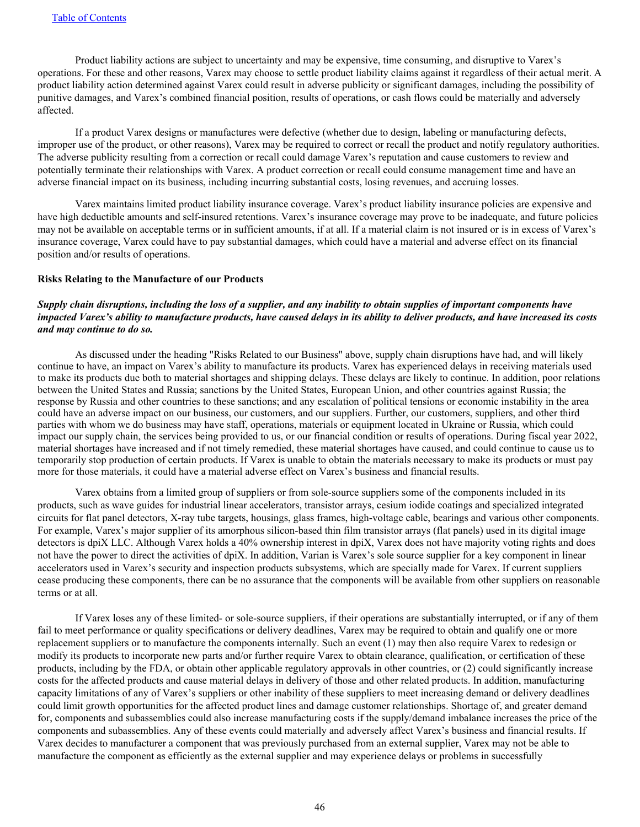Product liability actions are subject to uncertainty and may be expensive, time consuming, and disruptive to Varex's operations. For these and other reasons, Varex may choose to settle product liability claims against it regardless of their actual merit. A product liability action determined against Varex could result in adverse publicity or significant damages, including the possibility of punitive damages, and Varex's combined financial position, results of operations, or cash flows could be materially and adversely affected.

 If a product Varex designs or manufactures were defective (whether due to design, labeling or manufacturing defects, improper use of the product, or other reasons), Varex may be required to correct or recall the product and notify regulatory authorities. The adverse publicity resulting from a correction or recall could damage Varex's reputation and cause customers to review and potentially terminate their relationships with Varex. A product correction or recall could consume management time and have an adverse financial impact on its business, including incurring substantial costs, losing revenues, and accruing losses.

 Varex maintains limited product liability insurance coverage. Varex's product liability insurance policies are expensive and have high deductible amounts and self-insured retentions. Varex's insurance coverage may prove to be inadequate, and future policies may not be available on acceptable terms or in sufficient amounts, if at all. If a material claim is not insured or is in excess of Varex's insurance coverage, Varex could have to pay substantial damages, which could have a material and adverse effect on its financial position and/or results of operations.

#### **Risks Relating to the Manufacture of our Products**

## *Supply chain disruptions, including the loss of a supplier, and any inability to obtain supplies of important components have impacted Varex's ability to manufacture products, have caused delays in its ability to deliver products, and have increased its costs and may continue to do so.*

 As discussed under the heading "Risks Related to our Business" above, supply chain disruptions have had, and will likely continue to have, an impact on Varex's ability to manufacture its products. Varex has experienced delays in receiving materials used to make its products due both to material shortages and shipping delays. These delays are likely to continue. In addition, poor relations between the United States and Russia; sanctions by the United States, European Union, and other countries against Russia; the response by Russia and other countries to these sanctions; and any escalation of political tensions or economic instability in the area could have an adverse impact on our business, our customers, and our suppliers. Further, our customers, suppliers, and other third parties with whom we do business may have staff, operations, materials or equipment located in Ukraine or Russia, which could impact our supply chain, the services being provided to us, or our financial condition or results of operations. During fiscal year 2022, material shortages have increased and if not timely remedied, these material shortages have caused, and could continue to cause us to temporarily stop production of certain products. If Varex is unable to obtain the materials necessary to make its products or must pay more for those materials, it could have a material adverse effect on Varex's business and financial results.

 Varex obtains from a limited group of suppliers or from sole-source suppliers some of the components included in its products, such as wave guides for industrial linear accelerators, transistor arrays, cesium iodide coatings and specialized integrated circuits for flat panel detectors, X-ray tube targets, housings, glass frames, high-voltage cable, bearings and various other components. For example, Varex's major supplier of its amorphous silicon-based thin film transistor arrays (flat panels) used in its digital image detectors is dpiX LLC. Although Varex holds a 40% ownership interest in dpiX, Varex does not have majority voting rights and does not have the power to direct the activities of dpiX. In addition, Varian is Varex's sole source supplier for a key component in linear accelerators used in Varex's security and inspection products subsystems, which are specially made for Varex. If current suppliers cease producing these components, there can be no assurance that the components will be available from other suppliers on reasonable terms or at all.

 If Varex loses any of these limited- or sole-source suppliers, if their operations are substantially interrupted, or if any of them fail to meet performance or quality specifications or delivery deadlines, Varex may be required to obtain and qualify one or more replacement suppliers or to manufacture the components internally. Such an event (1) may then also require Varex to redesign or modify its products to incorporate new parts and/or further require Varex to obtain clearance, qualification, or certification of these products, including by the FDA, or obtain other applicable regulatory approvals in other countries, or (2) could significantly increase costs for the affected products and cause material delays in delivery of those and other related products. In addition, manufacturing capacity limitations of any of Varex's suppliers or other inability of these suppliers to meet increasing demand or delivery deadlines could limit growth opportunities for the affected product lines and damage customer relationships. Shortage of, and greater demand for, components and subassemblies could also increase manufacturing costs if the supply/demand imbalance increases the price of the components and subassemblies. Any of these events could materially and adversely affect Varex's business and financial results. If Varex decides to manufacturer a component that was previously purchased from an external supplier, Varex may not be able to manufacture the component as efficiently as the external supplier and may experience delays or problems in successfully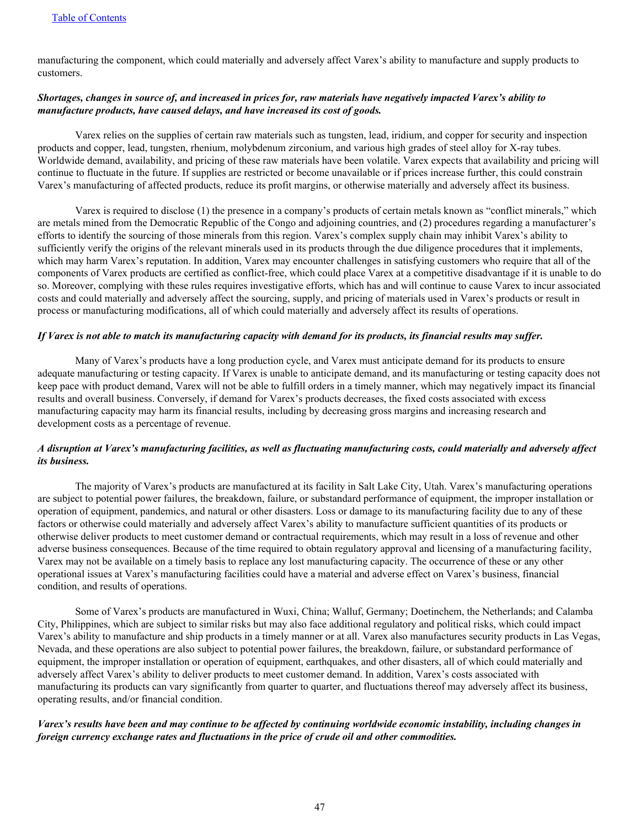manufacturing the component, which could materially and adversely affect Varex's ability to manufacture and supply products to customers.

## *Shortages, changes in source of, and increased in prices for, raw materials have negatively impacted Varex's ability to manufacture products, have caused delays, and have increased its cost of goods.*

 Varex relies on the supplies of certain raw materials such as tungsten, lead, iridium, and copper for security and inspection products and copper, lead, tungsten, rhenium, molybdenum zirconium, and various high grades of steel alloy for X-ray tubes. Worldwide demand, availability, and pricing of these raw materials have been volatile. Varex expects that availability and pricing will continue to fluctuate in the future. If supplies are restricted or become unavailable or if prices increase further, this could constrain Varex's manufacturing of affected products, reduce its profit margins, or otherwise materially and adversely affect its business.

 Varex is required to disclose (1) the presence in a company's products of certain metals known as "conflict minerals," which are metals mined from the Democratic Republic of the Congo and adjoining countries, and (2) procedures regarding a manufacturer's efforts to identify the sourcing of those minerals from this region. Varex's complex supply chain may inhibit Varex's ability to sufficiently verify the origins of the relevant minerals used in its products through the due diligence procedures that it implements, which may harm Varex's reputation. In addition, Varex may encounter challenges in satisfying customers who require that all of the components of Varex products are certified as conflict-free, which could place Varex at a competitive disadvantage if it is unable to do so. Moreover, complying with these rules requires investigative efforts, which has and will continue to cause Varex to incur associated costs and could materially and adversely affect the sourcing, supply, and pricing of materials used in Varex's products or result in process or manufacturing modifications, all of which could materially and adversely affect its results of operations.

#### *If Varex is not able to match its manufacturing capacity with demand for its products, its financial results may suffer.*

 Many of Varex's products have a long production cycle, and Varex must anticipate demand for its products to ensure adequate manufacturing or testing capacity. If Varex is unable to anticipate demand, and its manufacturing or testing capacity does not keep pace with product demand, Varex will not be able to fulfill orders in a timely manner, which may negatively impact its financial results and overall business. Conversely, if demand for Varex's products decreases, the fixed costs associated with excess manufacturing capacity may harm its financial results, including by decreasing gross margins and increasing research and development costs as a percentage of revenue.

## *A disruption at Varex's manufacturing facilities, as well as fluctuating manufacturing costs, could materially and adversely affect its business.*

 The majority of Varex's products are manufactured at its facility in Salt Lake City, Utah. Varex's manufacturing operations are subject to potential power failures, the breakdown, failure, or substandard performance of equipment, the improper installation or operation of equipment, pandemics, and natural or other disasters. Loss or damage to its manufacturing facility due to any of these factors or otherwise could materially and adversely affect Varex's ability to manufacture sufficient quantities of its products or otherwise deliver products to meet customer demand or contractual requirements, which may result in a loss of revenue and other adverse business consequences. Because of the time required to obtain regulatory approval and licensing of a manufacturing facility, Varex may not be available on a timely basis to replace any lost manufacturing capacity. The occurrence of these or any other operational issues at Varex's manufacturing facilities could have a material and adverse effect on Varex's business, financial condition, and results of operations.

 Some of Varex's products are manufactured in Wuxi, China; Walluf, Germany; Doetinchem, the Netherlands; and Calamba City, Philippines, which are subject to similar risks but may also face additional regulatory and political risks, which could impact Varex's ability to manufacture and ship products in a timely manner or at all. Varex also manufactures security products in Las Vegas, Nevada, and these operations are also subject to potential power failures, the breakdown, failure, or substandard performance of equipment, the improper installation or operation of equipment, earthquakes, and other disasters, all of which could materially and adversely affect Varex's ability to deliver products to meet customer demand. In addition, Varex's costs associated with manufacturing its products can vary significantly from quarter to quarter, and fluctuations thereof may adversely affect its business, operating results, and/or financial condition.

## *Varex's results have been and may continue to be affected by continuing worldwide economic instability, including changes in foreign currency exchange rates and fluctuations in the price of crude oil and other commodities.*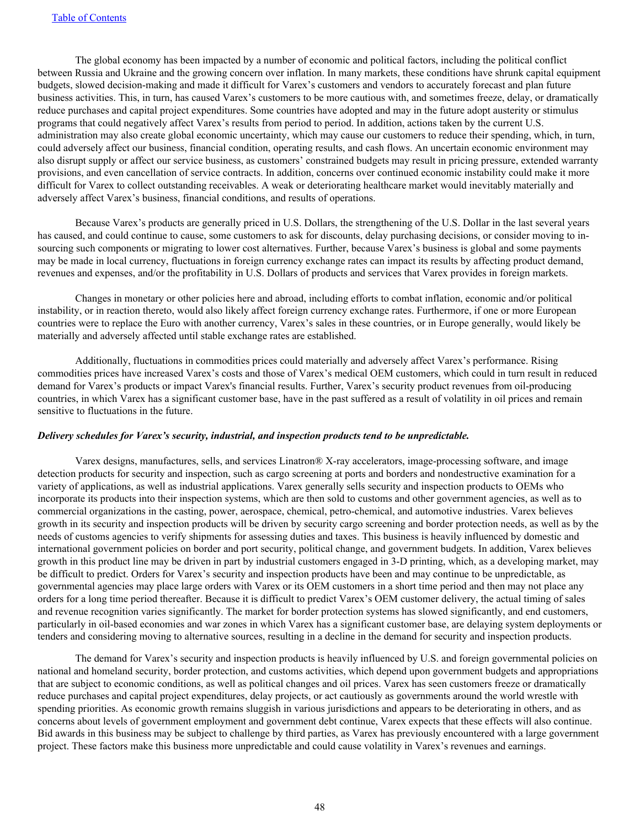The global economy has been impacted by a number of economic and political factors, including the political conflict between Russia and Ukraine and the growing concern over inflation. In many markets, these conditions have shrunk capital equipment budgets, slowed decision-making and made it difficult for Varex's customers and vendors to accurately forecast and plan future business activities. This, in turn, has caused Varex's customers to be more cautious with, and sometimes freeze, delay, or dramatically reduce purchases and capital project expenditures. Some countries have adopted and may in the future adopt austerity or stimulus programs that could negatively affect Varex's results from period to period. In addition, actions taken by the current U.S. administration may also create global economic uncertainty, which may cause our customers to reduce their spending, which, in turn, could adversely affect our business, financial condition, operating results, and cash flows. An uncertain economic environment may also disrupt supply or affect our service business, as customers' constrained budgets may result in pricing pressure, extended warranty provisions, and even cancellation of service contracts. In addition, concerns over continued economic instability could make it more difficult for Varex to collect outstanding receivables. A weak or deteriorating healthcare market would inevitably materially and adversely affect Varex's business, financial conditions, and results of operations.

 Because Varex's products are generally priced in U.S. Dollars, the strengthening of the U.S. Dollar in the last several years has caused, and could continue to cause, some customers to ask for discounts, delay purchasing decisions, or consider moving to insourcing such components or migrating to lower cost alternatives. Further, because Varex's business is global and some payments may be made in local currency, fluctuations in foreign currency exchange rates can impact its results by affecting product demand, revenues and expenses, and/or the profitability in U.S. Dollars of products and services that Varex provides in foreign markets.

 Changes in monetary or other policies here and abroad, including efforts to combat inflation, economic and/or political instability, or in reaction thereto, would also likely affect foreign currency exchange rates. Furthermore, if one or more European countries were to replace the Euro with another currency, Varex's sales in these countries, or in Europe generally, would likely be materially and adversely affected until stable exchange rates are established.

 Additionally, fluctuations in commodities prices could materially and adversely affect Varex's performance. Rising commodities prices have increased Varex's costs and those of Varex's medical OEM customers, which could in turn result in reduced demand for Varex's products or impact Varex's financial results. Further, Varex's security product revenues from oil-producing countries, in which Varex has a significant customer base, have in the past suffered as a result of volatility in oil prices and remain sensitive to fluctuations in the future.

#### *Delivery schedules for Varex's security, industrial, and inspection products tend to be unpredictable.*

 Varex designs, manufactures, sells, and services Linatron® X-ray accelerators, image-processing software, and image detection products for security and inspection, such as cargo screening at ports and borders and nondestructive examination for a variety of applications, as well as industrial applications. Varex generally sells security and inspection products to OEMs who incorporate its products into their inspection systems, which are then sold to customs and other government agencies, as well as to commercial organizations in the casting, power, aerospace, chemical, petro-chemical, and automotive industries. Varex believes growth in its security and inspection products will be driven by security cargo screening and border protection needs, as well as by the needs of customs agencies to verify shipments for assessing duties and taxes. This business is heavily influenced by domestic and international government policies on border and port security, political change, and government budgets. In addition, Varex believes growth in this product line may be driven in part by industrial customers engaged in 3-D printing, which, as a developing market, may be difficult to predict. Orders for Varex's security and inspection products have been and may continue to be unpredictable, as governmental agencies may place large orders with Varex or its OEM customers in a short time period and then may not place any orders for a long time period thereafter. Because it is difficult to predict Varex's OEM customer delivery, the actual timing of sales and revenue recognition varies significantly. The market for border protection systems has slowed significantly, and end customers, particularly in oil-based economies and war zones in which Varex has a significant customer base, are delaying system deployments or tenders and considering moving to alternative sources, resulting in a decline in the demand for security and inspection products.

 The demand for Varex's security and inspection products is heavily influenced by U.S. and foreign governmental policies on national and homeland security, border protection, and customs activities, which depend upon government budgets and appropriations that are subject to economic conditions, as well as political changes and oil prices. Varex has seen customers freeze or dramatically reduce purchases and capital project expenditures, delay projects, or act cautiously as governments around the world wrestle with spending priorities. As economic growth remains sluggish in various jurisdictions and appears to be deteriorating in others, and as concerns about levels of government employment and government debt continue, Varex expects that these effects will also continue. Bid awards in this business may be subject to challenge by third parties, as Varex has previously encountered with a large government project. These factors make this business more unpredictable and could cause volatility in Varex's revenues and earnings.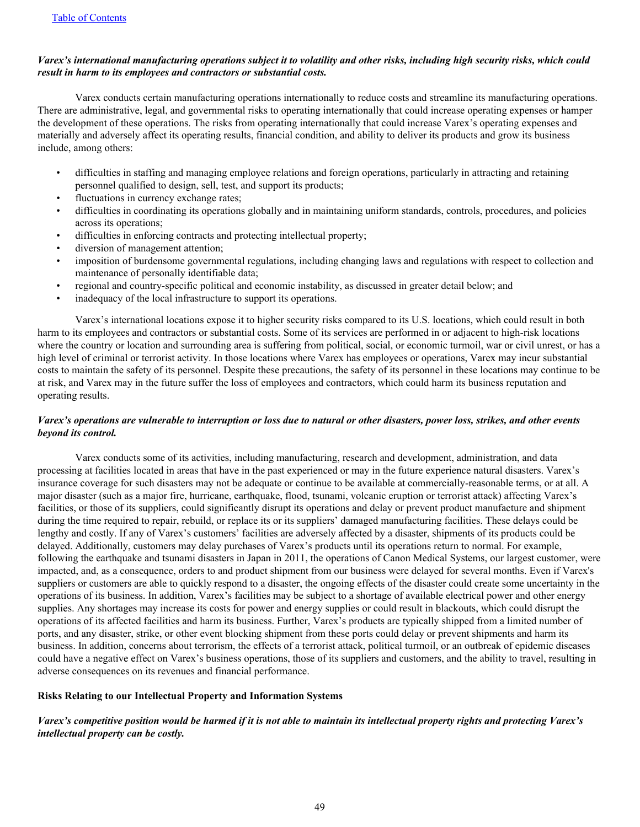## *Varex's international manufacturing operations subject it to volatility and other risks, including high security risks, which could result in harm to its employees and contractors or substantial costs.*

 Varex conducts certain manufacturing operations internationally to reduce costs and streamline its manufacturing operations. There are administrative, legal, and governmental risks to operating internationally that could increase operating expenses or hamper the development of these operations. The risks from operating internationally that could increase Varex's operating expenses and materially and adversely affect its operating results, financial condition, and ability to deliver its products and grow its business include, among others:

- difficulties in staffing and managing employee relations and foreign operations, particularly in attracting and retaining personnel qualified to design, sell, test, and support its products;
- fluctuations in currency exchange rates;
- difficulties in coordinating its operations globally and in maintaining uniform standards, controls, procedures, and policies across its operations;
- difficulties in enforcing contracts and protecting intellectual property;
- diversion of management attention;
- imposition of burdensome governmental regulations, including changing laws and regulations with respect to collection and maintenance of personally identifiable data;
- regional and country-specific political and economic instability, as discussed in greater detail below; and
- inadequacy of the local infrastructure to support its operations.

 Varex's international locations expose it to higher security risks compared to its U.S. locations, which could result in both harm to its employees and contractors or substantial costs. Some of its services are performed in or adjacent to high-risk locations where the country or location and surrounding area is suffering from political, social, or economic turmoil, war or civil unrest, or has a high level of criminal or terrorist activity. In those locations where Varex has employees or operations, Varex may incur substantial costs to maintain the safety of its personnel. Despite these precautions, the safety of its personnel in these locations may continue to be at risk, and Varex may in the future suffer the loss of employees and contractors, which could harm its business reputation and operating results.

## *Varex's operations are vulnerable to interruption or loss due to natural or other disasters, power loss, strikes, and other events beyond its control.*

 Varex conducts some of its activities, including manufacturing, research and development, administration, and data processing at facilities located in areas that have in the past experienced or may in the future experience natural disasters. Varex's insurance coverage for such disasters may not be adequate or continue to be available at commercially-reasonable terms, or at all. A major disaster (such as a major fire, hurricane, earthquake, flood, tsunami, volcanic eruption or terrorist attack) affecting Varex's facilities, or those of its suppliers, could significantly disrupt its operations and delay or prevent product manufacture and shipment during the time required to repair, rebuild, or replace its or its suppliers' damaged manufacturing facilities. These delays could be lengthy and costly. If any of Varex's customers' facilities are adversely affected by a disaster, shipments of its products could be delayed. Additionally, customers may delay purchases of Varex's products until its operations return to normal. For example, following the earthquake and tsunami disasters in Japan in 2011, the operations of Canon Medical Systems, our largest customer, were impacted, and, as a consequence, orders to and product shipment from our business were delayed for several months. Even if Varex's suppliers or customers are able to quickly respond to a disaster, the ongoing effects of the disaster could create some uncertainty in the operations of its business. In addition, Varex's facilities may be subject to a shortage of available electrical power and other energy supplies. Any shortages may increase its costs for power and energy supplies or could result in blackouts, which could disrupt the operations of its affected facilities and harm its business. Further, Varex's products are typically shipped from a limited number of ports, and any disaster, strike, or other event blocking shipment from these ports could delay or prevent shipments and harm its business. In addition, concerns about terrorism, the effects of a terrorist attack, political turmoil, or an outbreak of epidemic diseases could have a negative effect on Varex's business operations, those of its suppliers and customers, and the ability to travel, resulting in adverse consequences on its revenues and financial performance.

## **Risks Relating to our Intellectual Property and Information Systems**

## *Varex's competitive position would be harmed if it is not able to maintain its intellectual property rights and protecting Varex's intellectual property can be costly.*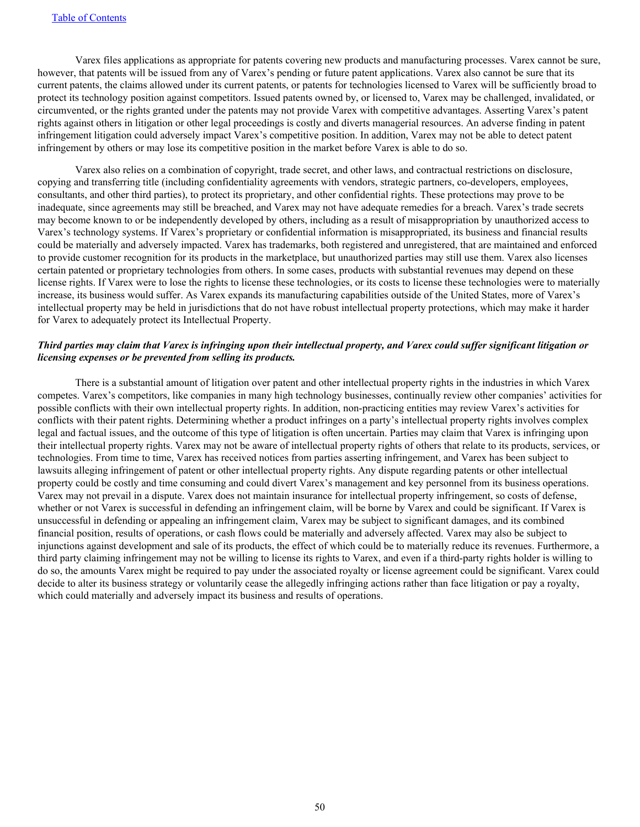Varex files applications as appropriate for patents covering new products and manufacturing processes. Varex cannot be sure, however, that patents will be issued from any of Varex's pending or future patent applications. Varex also cannot be sure that its current patents, the claims allowed under its current patents, or patents for technologies licensed to Varex will be sufficiently broad to protect its technology position against competitors. Issued patents owned by, or licensed to, Varex may be challenged, invalidated, or circumvented, or the rights granted under the patents may not provide Varex with competitive advantages. Asserting Varex's patent rights against others in litigation or other legal proceedings is costly and diverts managerial resources. An adverse finding in patent infringement litigation could adversely impact Varex's competitive position. In addition, Varex may not be able to detect patent infringement by others or may lose its competitive position in the market before Varex is able to do so.

 Varex also relies on a combination of copyright, trade secret, and other laws, and contractual restrictions on disclosure, copying and transferring title (including confidentiality agreements with vendors, strategic partners, co-developers, employees, consultants, and other third parties), to protect its proprietary, and other confidential rights. These protections may prove to be inadequate, since agreements may still be breached, and Varex may not have adequate remedies for a breach. Varex's trade secrets may become known to or be independently developed by others, including as a result of misappropriation by unauthorized access to Varex's technology systems. If Varex's proprietary or confidential information is misappropriated, its business and financial results could be materially and adversely impacted. Varex has trademarks, both registered and unregistered, that are maintained and enforced to provide customer recognition for its products in the marketplace, but unauthorized parties may still use them. Varex also licenses certain patented or proprietary technologies from others. In some cases, products with substantial revenues may depend on these license rights. If Varex were to lose the rights to license these technologies, or its costs to license these technologies were to materially increase, its business would suffer. As Varex expands its manufacturing capabilities outside of the United States, more of Varex's intellectual property may be held in jurisdictions that do not have robust intellectual property protections, which may make it harder for Varex to adequately protect its Intellectual Property.

## *Third parties may claim that Varex is infringing upon their intellectual property, and Varex could suffer significant litigation or licensing expenses or be prevented from selling its products.*

 There is a substantial amount of litigation over patent and other intellectual property rights in the industries in which Varex competes. Varex's competitors, like companies in many high technology businesses, continually review other companies' activities for possible conflicts with their own intellectual property rights. In addition, non-practicing entities may review Varex's activities for conflicts with their patent rights. Determining whether a product infringes on a party's intellectual property rights involves complex legal and factual issues, and the outcome of this type of litigation is often uncertain. Parties may claim that Varex is infringing upon their intellectual property rights. Varex may not be aware of intellectual property rights of others that relate to its products, services, or technologies. From time to time, Varex has received notices from parties asserting infringement, and Varex has been subject to lawsuits alleging infringement of patent or other intellectual property rights. Any dispute regarding patents or other intellectual property could be costly and time consuming and could divert Varex's management and key personnel from its business operations. Varex may not prevail in a dispute. Varex does not maintain insurance for intellectual property infringement, so costs of defense, whether or not Varex is successful in defending an infringement claim, will be borne by Varex and could be significant. If Varex is unsuccessful in defending or appealing an infringement claim, Varex may be subject to significant damages, and its combined financial position, results of operations, or cash flows could be materially and adversely affected. Varex may also be subject to injunctions against development and sale of its products, the effect of which could be to materially reduce its revenues. Furthermore, a third party claiming infringement may not be willing to license its rights to Varex, and even if a third-party rights holder is willing to do so, the amounts Varex might be required to pay under the associated royalty or license agreement could be significant. Varex could decide to alter its business strategy or voluntarily cease the allegedly infringing actions rather than face litigation or pay a royalty, which could materially and adversely impact its business and results of operations.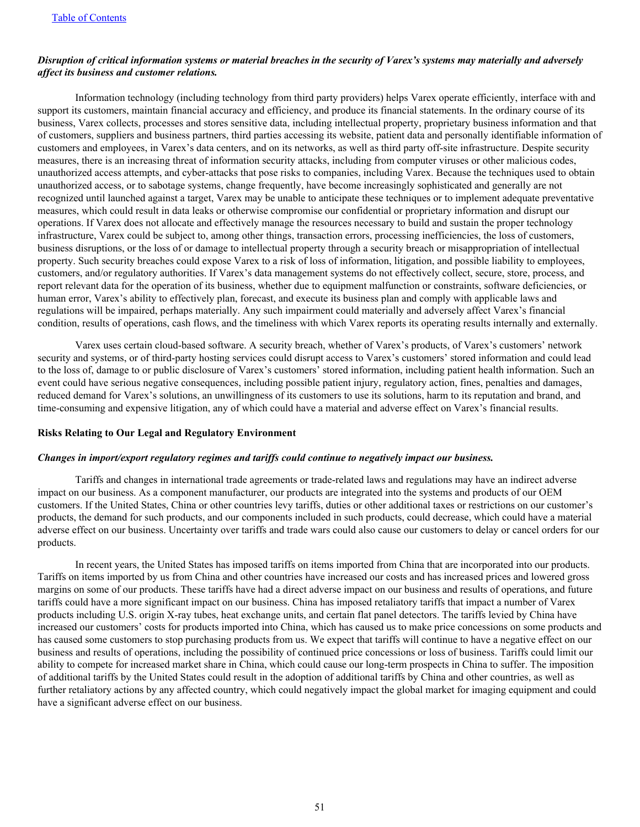### *Disruption of critical information systems or material breaches in the security of Varex's systems may materially and adversely affect its business and customer relations.*

 Information technology (including technology from third party providers) helps Varex operate efficiently, interface with and support its customers, maintain financial accuracy and efficiency, and produce its financial statements. In the ordinary course of its business, Varex collects, processes and stores sensitive data, including intellectual property, proprietary business information and that of customers, suppliers and business partners, third parties accessing its website, patient data and personally identifiable information of customers and employees, in Varex's data centers, and on its networks, as well as third party off-site infrastructure. Despite security measures, there is an increasing threat of information security attacks, including from computer viruses or other malicious codes, unauthorized access attempts, and cyber-attacks that pose risks to companies, including Varex. Because the techniques used to obtain unauthorized access, or to sabotage systems, change frequently, have become increasingly sophisticated and generally are not recognized until launched against a target, Varex may be unable to anticipate these techniques or to implement adequate preventative measures, which could result in data leaks or otherwise compromise our confidential or proprietary information and disrupt our operations. If Varex does not allocate and effectively manage the resources necessary to build and sustain the proper technology infrastructure, Varex could be subject to, among other things, transaction errors, processing inefficiencies, the loss of customers, business disruptions, or the loss of or damage to intellectual property through a security breach or misappropriation of intellectual property. Such security breaches could expose Varex to a risk of loss of information, litigation, and possible liability to employees, customers, and/or regulatory authorities. If Varex's data management systems do not effectively collect, secure, store, process, and report relevant data for the operation of its business, whether due to equipment malfunction or constraints, software deficiencies, or human error, Varex's ability to effectively plan, forecast, and execute its business plan and comply with applicable laws and regulations will be impaired, perhaps materially. Any such impairment could materially and adversely affect Varex's financial condition, results of operations, cash flows, and the timeliness with which Varex reports its operating results internally and externally.

 Varex uses certain cloud-based software. A security breach, whether of Varex's products, of Varex's customers' network security and systems, or of third-party hosting services could disrupt access to Varex's customers' stored information and could lead to the loss of, damage to or public disclosure of Varex's customers' stored information, including patient health information. Such an event could have serious negative consequences, including possible patient injury, regulatory action, fines, penalties and damages, reduced demand for Varex's solutions, an unwillingness of its customers to use its solutions, harm to its reputation and brand, and time-consuming and expensive litigation, any of which could have a material and adverse effect on Varex's financial results.

#### **Risks Relating to Our Legal and Regulatory Environment**

#### *Changes in import/export regulatory regimes and tariffs could continue to negatively impact our business.*

 Tariffs and changes in international trade agreements or trade-related laws and regulations may have an indirect adverse impact on our business. As a component manufacturer, our products are integrated into the systems and products of our OEM customers. If the United States, China or other countries levy tariffs, duties or other additional taxes or restrictions on our customer's products, the demand for such products, and our components included in such products, could decrease, which could have a material adverse effect on our business. Uncertainty over tariffs and trade wars could also cause our customers to delay or cancel orders for our products.

 In recent years, the United States has imposed tariffs on items imported from China that are incorporated into our products. Tariffs on items imported by us from China and other countries have increased our costs and has increased prices and lowered gross margins on some of our products. These tariffs have had a direct adverse impact on our business and results of operations, and future tariffs could have a more significant impact on our business. China has imposed retaliatory tariffs that impact a number of Varex products including U.S. origin X-ray tubes, heat exchange units, and certain flat panel detectors. The tariffs levied by China have increased our customers' costs for products imported into China, which has caused us to make price concessions on some products and has caused some customers to stop purchasing products from us. We expect that tariffs will continue to have a negative effect on our business and results of operations, including the possibility of continued price concessions or loss of business. Tariffs could limit our ability to compete for increased market share in China, which could cause our long-term prospects in China to suffer. The imposition of additional tariffs by the United States could result in the adoption of additional tariffs by China and other countries, as well as further retaliatory actions by any affected country, which could negatively impact the global market for imaging equipment and could have a significant adverse effect on our business.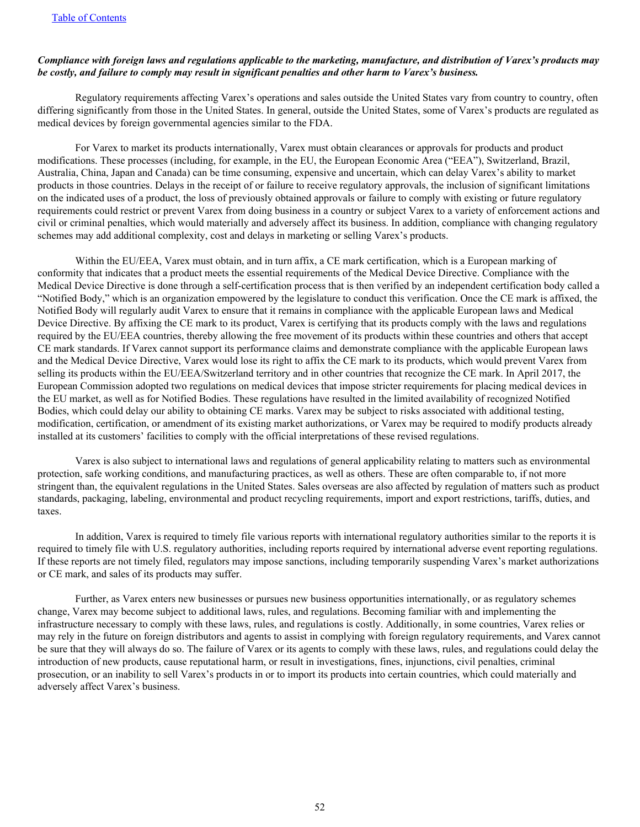### *Compliance with foreign laws and regulations applicable to the marketing, manufacture, and distribution of Varex's products may be costly, and failure to comply may result in significant penalties and other harm to Varex's business.*

 Regulatory requirements affecting Varex's operations and sales outside the United States vary from country to country, often differing significantly from those in the United States. In general, outside the United States, some of Varex's products are regulated as medical devices by foreign governmental agencies similar to the FDA.

 For Varex to market its products internationally, Varex must obtain clearances or approvals for products and product modifications. These processes (including, for example, in the EU, the European Economic Area ("EEA"), Switzerland, Brazil, Australia, China, Japan and Canada) can be time consuming, expensive and uncertain, which can delay Varex's ability to market products in those countries. Delays in the receipt of or failure to receive regulatory approvals, the inclusion of significant limitations on the indicated uses of a product, the loss of previously obtained approvals or failure to comply with existing or future regulatory requirements could restrict or prevent Varex from doing business in a country or subject Varex to a variety of enforcement actions and civil or criminal penalties, which would materially and adversely affect its business. In addition, compliance with changing regulatory schemes may add additional complexity, cost and delays in marketing or selling Varex's products.

 Within the EU/EEA, Varex must obtain, and in turn affix, a CE mark certification, which is a European marking of conformity that indicates that a product meets the essential requirements of the Medical Device Directive. Compliance with the Medical Device Directive is done through a self-certification process that is then verified by an independent certification body called a "Notified Body," which is an organization empowered by the legislature to conduct this verification. Once the CE mark is affixed, the Notified Body will regularly audit Varex to ensure that it remains in compliance with the applicable European laws and Medical Device Directive. By affixing the CE mark to its product, Varex is certifying that its products comply with the laws and regulations required by the EU/EEA countries, thereby allowing the free movement of its products within these countries and others that accept CE mark standards. If Varex cannot support its performance claims and demonstrate compliance with the applicable European laws and the Medical Device Directive, Varex would lose its right to affix the CE mark to its products, which would prevent Varex from selling its products within the EU/EEA/Switzerland territory and in other countries that recognize the CE mark. In April 2017, the European Commission adopted two regulations on medical devices that impose stricter requirements for placing medical devices in the EU market, as well as for Notified Bodies. These regulations have resulted in the limited availability of recognized Notified Bodies, which could delay our ability to obtaining CE marks. Varex may be subject to risks associated with additional testing, modification, certification, or amendment of its existing market authorizations, or Varex may be required to modify products already installed at its customers' facilities to comply with the official interpretations of these revised regulations.

 Varex is also subject to international laws and regulations of general applicability relating to matters such as environmental protection, safe working conditions, and manufacturing practices, as well as others. These are often comparable to, if not more stringent than, the equivalent regulations in the United States. Sales overseas are also affected by regulation of matters such as product standards, packaging, labeling, environmental and product recycling requirements, import and export restrictions, tariffs, duties, and taxes.

 In addition, Varex is required to timely file various reports with international regulatory authorities similar to the reports it is required to timely file with U.S. regulatory authorities, including reports required by international adverse event reporting regulations. If these reports are not timely filed, regulators may impose sanctions, including temporarily suspending Varex's market authorizations or CE mark, and sales of its products may suffer.

 Further, as Varex enters new businesses or pursues new business opportunities internationally, or as regulatory schemes change, Varex may become subject to additional laws, rules, and regulations. Becoming familiar with and implementing the infrastructure necessary to comply with these laws, rules, and regulations is costly. Additionally, in some countries, Varex relies or may rely in the future on foreign distributors and agents to assist in complying with foreign regulatory requirements, and Varex cannot be sure that they will always do so. The failure of Varex or its agents to comply with these laws, rules, and regulations could delay the introduction of new products, cause reputational harm, or result in investigations, fines, injunctions, civil penalties, criminal prosecution, or an inability to sell Varex's products in or to import its products into certain countries, which could materially and adversely affect Varex's business.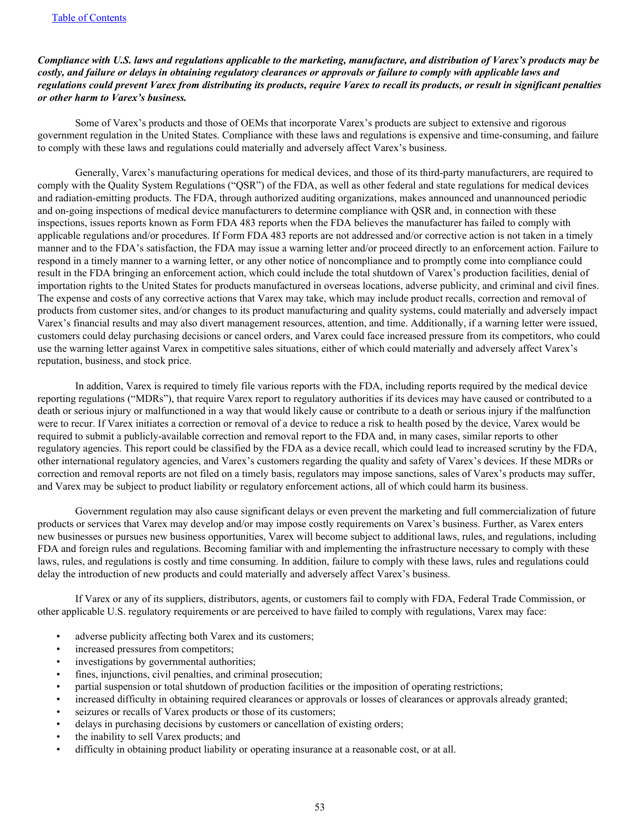## *Compliance with U.S. laws and regulations applicable to the marketing, manufacture, and distribution of Varex's products may be costly, and failure or delays in obtaining regulatory clearances or approvals or failure to comply with applicable laws and regulations could prevent Varex from distributing its products, require Varex to recall its products, or result in significant penalties or other harm to Varex's business.*

 Some of Varex's products and those of OEMs that incorporate Varex's products are subject to extensive and rigorous government regulation in the United States. Compliance with these laws and regulations is expensive and time-consuming, and failure to comply with these laws and regulations could materially and adversely affect Varex's business.

 Generally, Varex's manufacturing operations for medical devices, and those of its third-party manufacturers, are required to comply with the Quality System Regulations ("QSR") of the FDA, as well as other federal and state regulations for medical devices and radiation-emitting products. The FDA, through authorized auditing organizations, makes announced and unannounced periodic and on-going inspections of medical device manufacturers to determine compliance with QSR and, in connection with these inspections, issues reports known as Form FDA 483 reports when the FDA believes the manufacturer has failed to comply with applicable regulations and/or procedures. If Form FDA 483 reports are not addressed and/or corrective action is not taken in a timely manner and to the FDA's satisfaction, the FDA may issue a warning letter and/or proceed directly to an enforcement action. Failure to respond in a timely manner to a warning letter, or any other notice of noncompliance and to promptly come into compliance could result in the FDA bringing an enforcement action, which could include the total shutdown of Varex's production facilities, denial of importation rights to the United States for products manufactured in overseas locations, adverse publicity, and criminal and civil fines. The expense and costs of any corrective actions that Varex may take, which may include product recalls, correction and removal of products from customer sites, and/or changes to its product manufacturing and quality systems, could materially and adversely impact Varex's financial results and may also divert management resources, attention, and time. Additionally, if a warning letter were issued, customers could delay purchasing decisions or cancel orders, and Varex could face increased pressure from its competitors, who could use the warning letter against Varex in competitive sales situations, either of which could materially and adversely affect Varex's reputation, business, and stock price.

 In addition, Varex is required to timely file various reports with the FDA, including reports required by the medical device reporting regulations ("MDRs"), that require Varex report to regulatory authorities if its devices may have caused or contributed to a death or serious injury or malfunctioned in a way that would likely cause or contribute to a death or serious injury if the malfunction were to recur. If Varex initiates a correction or removal of a device to reduce a risk to health posed by the device, Varex would be required to submit a publicly-available correction and removal report to the FDA and, in many cases, similar reports to other regulatory agencies. This report could be classified by the FDA as a device recall, which could lead to increased scrutiny by the FDA, other international regulatory agencies, and Varex's customers regarding the quality and safety of Varex's devices. If these MDRs or correction and removal reports are not filed on a timely basis, regulators may impose sanctions, sales of Varex's products may suffer, and Varex may be subject to product liability or regulatory enforcement actions, all of which could harm its business.

 Government regulation may also cause significant delays or even prevent the marketing and full commercialization of future products or services that Varex may develop and/or may impose costly requirements on Varex's business. Further, as Varex enters new businesses or pursues new business opportunities, Varex will become subject to additional laws, rules, and regulations, including FDA and foreign rules and regulations. Becoming familiar with and implementing the infrastructure necessary to comply with these laws, rules, and regulations is costly and time consuming. In addition, failure to comply with these laws, rules and regulations could delay the introduction of new products and could materially and adversely affect Varex's business.

 If Varex or any of its suppliers, distributors, agents, or customers fail to comply with FDA, Federal Trade Commission, or other applicable U.S. regulatory requirements or are perceived to have failed to comply with regulations, Varex may face:

- adverse publicity affecting both Varex and its customers;
- increased pressures from competitors;
- investigations by governmental authorities;
- fines, injunctions, civil penalties, and criminal prosecution;
- partial suspension or total shutdown of production facilities or the imposition of operating restrictions;
- increased difficulty in obtaining required clearances or approvals or losses of clearances or approvals already granted;
- seizures or recalls of Varex products or those of its customers;
- delays in purchasing decisions by customers or cancellation of existing orders;
- the inability to sell Varex products; and
- difficulty in obtaining product liability or operating insurance at a reasonable cost, or at all.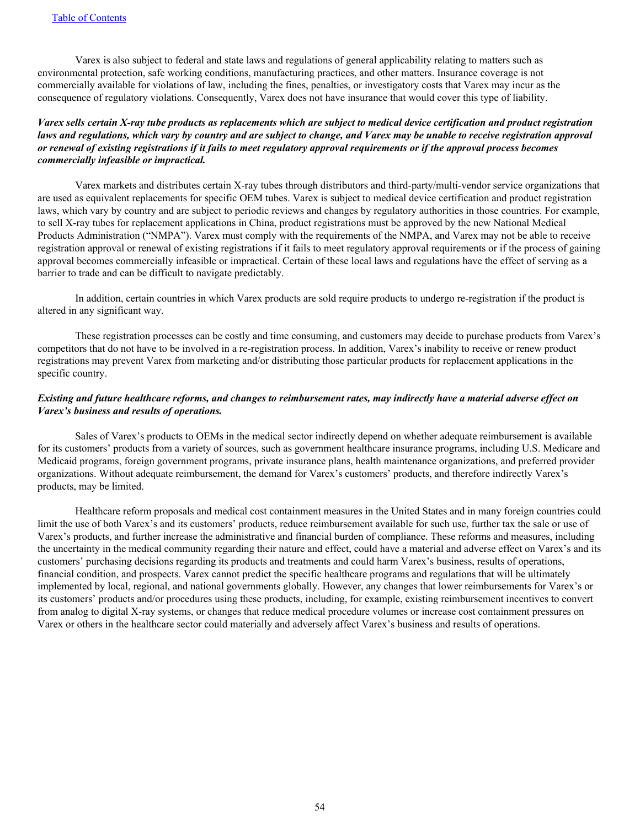Varex is also subject to federal and state laws and regulations of general applicability relating to matters such as environmental protection, safe working conditions, manufacturing practices, and other matters. Insurance coverage is not commercially available for violations of law, including the fines, penalties, or investigatory costs that Varex may incur as the consequence of regulatory violations. Consequently, Varex does not have insurance that would cover this type of liability.

## *Varex sells certain X-ray tube products as replacements which are subject to medical device certification and product registration laws and regulations, which vary by country and are subject to change, and Varex may be unable to receive registration approval or renewal of existing registrations if it fails to meet regulatory approval requirements or if the approval process becomes commercially infeasible or impractical.*

 Varex markets and distributes certain X-ray tubes through distributors and third-party/multi-vendor service organizations that are used as equivalent replacements for specific OEM tubes. Varex is subject to medical device certification and product registration laws, which vary by country and are subject to periodic reviews and changes by regulatory authorities in those countries. For example, to sell X-ray tubes for replacement applications in China, product registrations must be approved by the new National Medical Products Administration ("NMPA"). Varex must comply with the requirements of the NMPA, and Varex may not be able to receive registration approval or renewal of existing registrations if it fails to meet regulatory approval requirements or if the process of gaining approval becomes commercially infeasible or impractical. Certain of these local laws and regulations have the effect of serving as a barrier to trade and can be difficult to navigate predictably.

 In addition, certain countries in which Varex products are sold require products to undergo re-registration if the product is altered in any significant way.

 These registration processes can be costly and time consuming, and customers may decide to purchase products from Varex's competitors that do not have to be involved in a re-registration process. In addition, Varex's inability to receive or renew product registrations may prevent Varex from marketing and/or distributing those particular products for replacement applications in the specific country.

## *Existing and future healthcare reforms, and changes to reimbursement rates, may indirectly have a material adverse effect on Varex's business and results of operations.*

 Sales of Varex's products to OEMs in the medical sector indirectly depend on whether adequate reimbursement is available for its customers' products from a variety of sources, such as government healthcare insurance programs, including U.S. Medicare and Medicaid programs, foreign government programs, private insurance plans, health maintenance organizations, and preferred provider organizations. Without adequate reimbursement, the demand for Varex's customers' products, and therefore indirectly Varex's products, may be limited.

 Healthcare reform proposals and medical cost containment measures in the United States and in many foreign countries could limit the use of both Varex's and its customers' products, reduce reimbursement available for such use, further tax the sale or use of Varex's products, and further increase the administrative and financial burden of compliance. These reforms and measures, including the uncertainty in the medical community regarding their nature and effect, could have a material and adverse effect on Varex's and its customers' purchasing decisions regarding its products and treatments and could harm Varex's business, results of operations, financial condition, and prospects. Varex cannot predict the specific healthcare programs and regulations that will be ultimately implemented by local, regional, and national governments globally. However, any changes that lower reimbursements for Varex's or its customers' products and/or procedures using these products, including, for example, existing reimbursement incentives to convert from analog to digital X-ray systems, or changes that reduce medical procedure volumes or increase cost containment pressures on Varex or others in the healthcare sector could materially and adversely affect Varex's business and results of operations.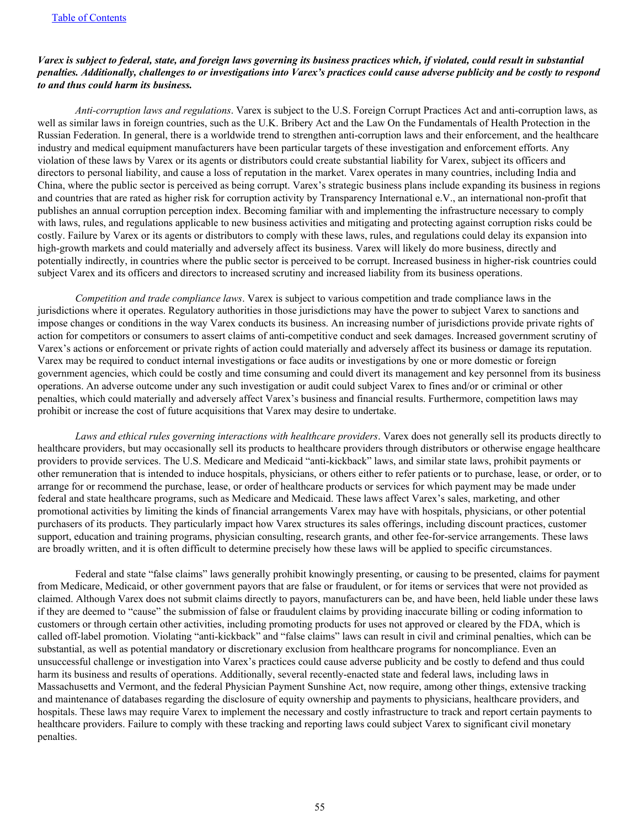## *Varex is subject to federal, state, and foreign laws governing its business practices which, if violated, could result in substantial penalties. Additionally, challenges to or investigations into Varex's practices could cause adverse publicity and be costly to respond to and thus could harm its business.*

*Anti-corruption laws and regulations*. Varex is subject to the U.S. Foreign Corrupt Practices Act and anti-corruption laws, as well as similar laws in foreign countries, such as the U.K. Bribery Act and the Law On the Fundamentals of Health Protection in the Russian Federation. In general, there is a worldwide trend to strengthen anti-corruption laws and their enforcement, and the healthcare industry and medical equipment manufacturers have been particular targets of these investigation and enforcement efforts. Any violation of these laws by Varex or its agents or distributors could create substantial liability for Varex, subject its officers and directors to personal liability, and cause a loss of reputation in the market. Varex operates in many countries, including India and China, where the public sector is perceived as being corrupt. Varex's strategic business plans include expanding its business in regions and countries that are rated as higher risk for corruption activity by Transparency International e.V., an international non-profit that publishes an annual corruption perception index. Becoming familiar with and implementing the infrastructure necessary to comply with laws, rules, and regulations applicable to new business activities and mitigating and protecting against corruption risks could be costly. Failure by Varex or its agents or distributors to comply with these laws, rules, and regulations could delay its expansion into high-growth markets and could materially and adversely affect its business. Varex will likely do more business, directly and potentially indirectly, in countries where the public sector is perceived to be corrupt. Increased business in higher-risk countries could subject Varex and its officers and directors to increased scrutiny and increased liability from its business operations.

*Competition and trade compliance laws*. Varex is subject to various competition and trade compliance laws in the jurisdictions where it operates. Regulatory authorities in those jurisdictions may have the power to subject Varex to sanctions and impose changes or conditions in the way Varex conducts its business. An increasing number of jurisdictions provide private rights of action for competitors or consumers to assert claims of anti-competitive conduct and seek damages. Increased government scrutiny of Varex's actions or enforcement or private rights of action could materially and adversely affect its business or damage its reputation. Varex may be required to conduct internal investigations or face audits or investigations by one or more domestic or foreign government agencies, which could be costly and time consuming and could divert its management and key personnel from its business operations. An adverse outcome under any such investigation or audit could subject Varex to fines and/or or criminal or other penalties, which could materially and adversely affect Varex's business and financial results. Furthermore, competition laws may prohibit or increase the cost of future acquisitions that Varex may desire to undertake.

*Laws and ethical rules governing interactions with healthcare providers*. Varex does not generally sell its products directly to healthcare providers, but may occasionally sell its products to healthcare providers through distributors or otherwise engage healthcare providers to provide services. The U.S. Medicare and Medicaid "anti-kickback" laws, and similar state laws, prohibit payments or other remuneration that is intended to induce hospitals, physicians, or others either to refer patients or to purchase, lease, or order, or to arrange for or recommend the purchase, lease, or order of healthcare products or services for which payment may be made under federal and state healthcare programs, such as Medicare and Medicaid. These laws affect Varex's sales, marketing, and other promotional activities by limiting the kinds of financial arrangements Varex may have with hospitals, physicians, or other potential purchasers of its products. They particularly impact how Varex structures its sales offerings, including discount practices, customer support, education and training programs, physician consulting, research grants, and other fee-for-service arrangements. These laws are broadly written, and it is often difficult to determine precisely how these laws will be applied to specific circumstances.

 Federal and state "false claims" laws generally prohibit knowingly presenting, or causing to be presented, claims for payment from Medicare, Medicaid, or other government payors that are false or fraudulent, or for items or services that were not provided as claimed. Although Varex does not submit claims directly to payors, manufacturers can be, and have been, held liable under these laws if they are deemed to "cause" the submission of false or fraudulent claims by providing inaccurate billing or coding information to customers or through certain other activities, including promoting products for uses not approved or cleared by the FDA, which is called off-label promotion. Violating "anti-kickback" and "false claims" laws can result in civil and criminal penalties, which can be substantial, as well as potential mandatory or discretionary exclusion from healthcare programs for noncompliance. Even an unsuccessful challenge or investigation into Varex's practices could cause adverse publicity and be costly to defend and thus could harm its business and results of operations. Additionally, several recently-enacted state and federal laws, including laws in Massachusetts and Vermont, and the federal Physician Payment Sunshine Act, now require, among other things, extensive tracking and maintenance of databases regarding the disclosure of equity ownership and payments to physicians, healthcare providers, and hospitals. These laws may require Varex to implement the necessary and costly infrastructure to track and report certain payments to healthcare providers. Failure to comply with these tracking and reporting laws could subject Varex to significant civil monetary penalties.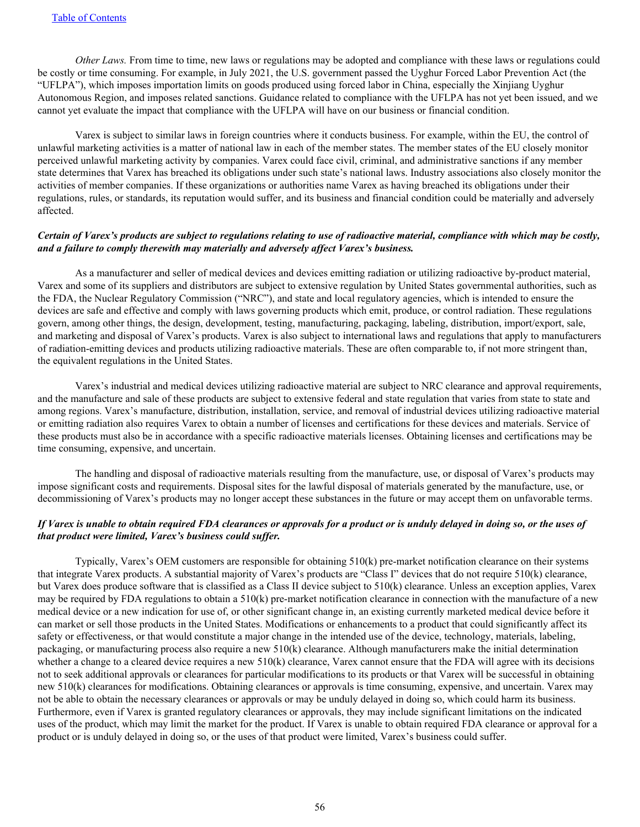*Other Laws.* From time to time, new laws or regulations may be adopted and compliance with these laws or regulations could be costly or time consuming. For example, in July 2021, the U.S. government passed the Uyghur Forced Labor Prevention Act (the "UFLPA"), which imposes importation limits on goods produced using forced labor in China, especially the Xinjiang Uyghur Autonomous Region, and imposes related sanctions. Guidance related to compliance with the UFLPA has not yet been issued, and we cannot yet evaluate the impact that compliance with the UFLPA will have on our business or financial condition.

 Varex is subject to similar laws in foreign countries where it conducts business. For example, within the EU, the control of unlawful marketing activities is a matter of national law in each of the member states. The member states of the EU closely monitor perceived unlawful marketing activity by companies. Varex could face civil, criminal, and administrative sanctions if any member state determines that Varex has breached its obligations under such state's national laws. Industry associations also closely monitor the activities of member companies. If these organizations or authorities name Varex as having breached its obligations under their regulations, rules, or standards, its reputation would suffer, and its business and financial condition could be materially and adversely affected.

## *Certain of Varex's products are subject to regulations relating to use of radioactive material, compliance with which may be costly, and a failure to comply therewith may materially and adversely affect Varex's business.*

As a manufacturer and seller of medical devices and devices emitting radiation or utilizing radioactive by-product material, Varex and some of its suppliers and distributors are subject to extensive regulation by United States governmental authorities, such as the FDA, the Nuclear Regulatory Commission ("NRC"), and state and local regulatory agencies, which is intended to ensure the devices are safe and effective and comply with laws governing products which emit, produce, or control radiation. These regulations govern, among other things, the design, development, testing, manufacturing, packaging, labeling, distribution, import/export, sale, and marketing and disposal of Varex's products. Varex is also subject to international laws and regulations that apply to manufacturers of radiation-emitting devices and products utilizing radioactive materials. These are often comparable to, if not more stringent than, the equivalent regulations in the United States.

 Varex's industrial and medical devices utilizing radioactive material are subject to NRC clearance and approval requirements, and the manufacture and sale of these products are subject to extensive federal and state regulation that varies from state to state and among regions. Varex's manufacture, distribution, installation, service, and removal of industrial devices utilizing radioactive material or emitting radiation also requires Varex to obtain a number of licenses and certifications for these devices and materials. Service of these products must also be in accordance with a specific radioactive materials licenses. Obtaining licenses and certifications may be time consuming, expensive, and uncertain.

 The handling and disposal of radioactive materials resulting from the manufacture, use, or disposal of Varex's products may impose significant costs and requirements. Disposal sites for the lawful disposal of materials generated by the manufacture, use, or decommissioning of Varex's products may no longer accept these substances in the future or may accept them on unfavorable terms.

## *If Varex is unable to obtain required FDA clearances or approvals for a product or is unduly delayed in doing so, or the uses of that product were limited, Varex's business could suffer.*

 Typically, Varex's OEM customers are responsible for obtaining 510(k) pre-market notification clearance on their systems that integrate Varex products. A substantial majority of Varex's products are "Class I" devices that do not require 510(k) clearance, but Varex does produce software that is classified as a Class II device subject to 510(k) clearance. Unless an exception applies, Varex may be required by FDA regulations to obtain a 510(k) pre-market notification clearance in connection with the manufacture of a new medical device or a new indication for use of, or other significant change in, an existing currently marketed medical device before it can market or sell those products in the United States. Modifications or enhancements to a product that could significantly affect its safety or effectiveness, or that would constitute a major change in the intended use of the device, technology, materials, labeling, packaging, or manufacturing process also require a new 510(k) clearance. Although manufacturers make the initial determination whether a change to a cleared device requires a new  $510(k)$  clearance, Varex cannot ensure that the FDA will agree with its decisions not to seek additional approvals or clearances for particular modifications to its products or that Varex will be successful in obtaining new 510(k) clearances for modifications. Obtaining clearances or approvals is time consuming, expensive, and uncertain. Varex may not be able to obtain the necessary clearances or approvals or may be unduly delayed in doing so, which could harm its business. Furthermore, even if Varex is granted regulatory clearances or approvals, they may include significant limitations on the indicated uses of the product, which may limit the market for the product. If Varex is unable to obtain required FDA clearance or approval for a product or is unduly delayed in doing so, or the uses of that product were limited, Varex's business could suffer.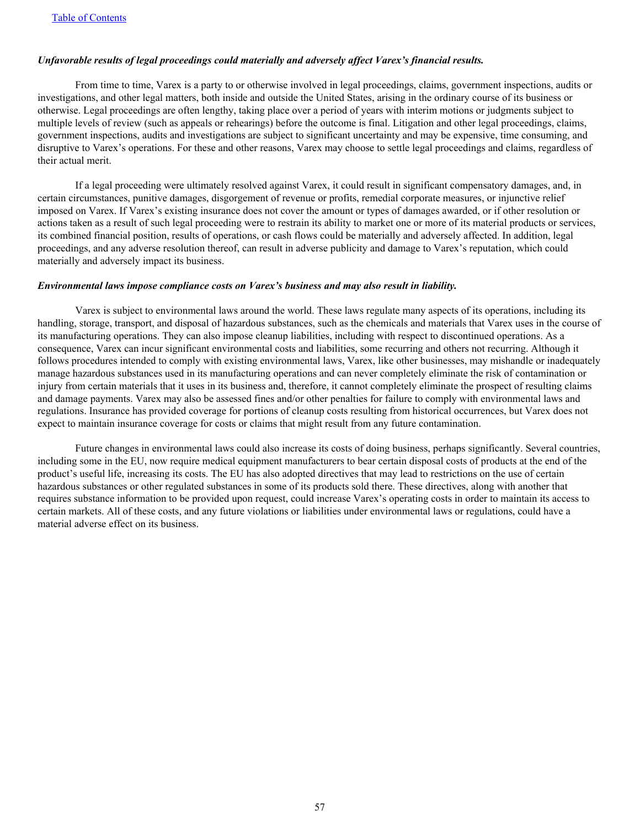## *Unfavorable results of legal proceedings could materially and adversely affect Varex's financial results.*

 From time to time, Varex is a party to or otherwise involved in legal proceedings, claims, government inspections, audits or investigations, and other legal matters, both inside and outside the United States, arising in the ordinary course of its business or otherwise. Legal proceedings are often lengthy, taking place over a period of years with interim motions or judgments subject to multiple levels of review (such as appeals or rehearings) before the outcome is final. Litigation and other legal proceedings, claims, government inspections, audits and investigations are subject to significant uncertainty and may be expensive, time consuming, and disruptive to Varex's operations. For these and other reasons, Varex may choose to settle legal proceedings and claims, regardless of their actual merit.

 If a legal proceeding were ultimately resolved against Varex, it could result in significant compensatory damages, and, in certain circumstances, punitive damages, disgorgement of revenue or profits, remedial corporate measures, or injunctive relief imposed on Varex. If Varex's existing insurance does not cover the amount or types of damages awarded, or if other resolution or actions taken as a result of such legal proceeding were to restrain its ability to market one or more of its material products or services, its combined financial position, results of operations, or cash flows could be materially and adversely affected. In addition, legal proceedings, and any adverse resolution thereof, can result in adverse publicity and damage to Varex's reputation, which could materially and adversely impact its business.

#### *Environmental laws impose compliance costs on Varex's business and may also result in liability.*

 Varex is subject to environmental laws around the world. These laws regulate many aspects of its operations, including its handling, storage, transport, and disposal of hazardous substances, such as the chemicals and materials that Varex uses in the course of its manufacturing operations. They can also impose cleanup liabilities, including with respect to discontinued operations. As a consequence, Varex can incur significant environmental costs and liabilities, some recurring and others not recurring. Although it follows procedures intended to comply with existing environmental laws, Varex, like other businesses, may mishandle or inadequately manage hazardous substances used in its manufacturing operations and can never completely eliminate the risk of contamination or injury from certain materials that it uses in its business and, therefore, it cannot completely eliminate the prospect of resulting claims and damage payments. Varex may also be assessed fines and/or other penalties for failure to comply with environmental laws and regulations. Insurance has provided coverage for portions of cleanup costs resulting from historical occurrences, but Varex does not expect to maintain insurance coverage for costs or claims that might result from any future contamination.

 Future changes in environmental laws could also increase its costs of doing business, perhaps significantly. Several countries, including some in the EU, now require medical equipment manufacturers to bear certain disposal costs of products at the end of the product's useful life, increasing its costs. The EU has also adopted directives that may lead to restrictions on the use of certain hazardous substances or other regulated substances in some of its products sold there. These directives, along with another that requires substance information to be provided upon request, could increase Varex's operating costs in order to maintain its access to certain markets. All of these costs, and any future violations or liabilities under environmental laws or regulations, could have a material adverse effect on its business.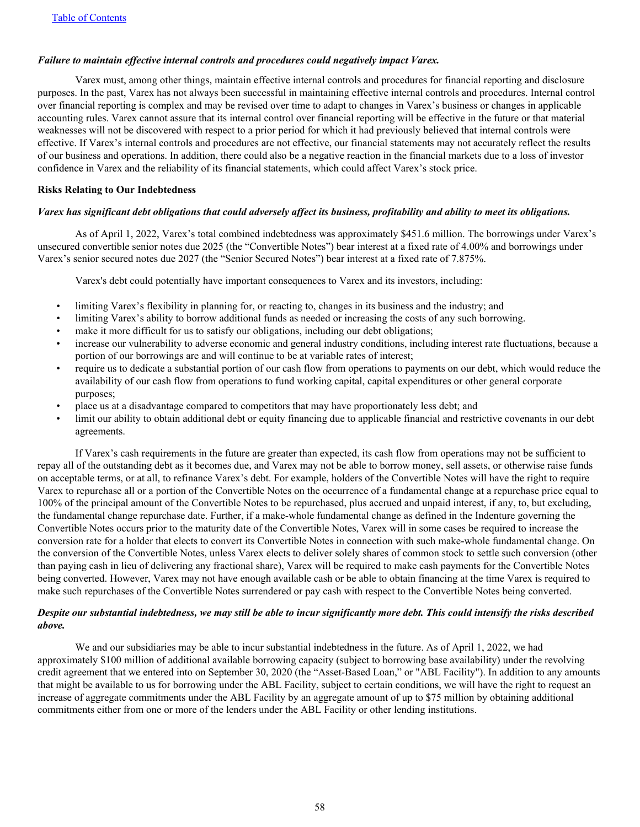## *Failure to maintain effective internal controls and procedures could negatively impact Varex.*

 Varex must, among other things, maintain effective internal controls and procedures for financial reporting and disclosure purposes. In the past, Varex has not always been successful in maintaining effective internal controls and procedures. Internal control over financial reporting is complex and may be revised over time to adapt to changes in Varex's business or changes in applicable accounting rules. Varex cannot assure that its internal control over financial reporting will be effective in the future or that material weaknesses will not be discovered with respect to a prior period for which it had previously believed that internal controls were effective. If Varex's internal controls and procedures are not effective, our financial statements may not accurately reflect the results of our business and operations. In addition, there could also be a negative reaction in the financial markets due to a loss of investor confidence in Varex and the reliability of its financial statements, which could affect Varex's stock price.

## **Risks Relating to Our Indebtedness**

## *Varex has significant debt obligations that could adversely affect its business, profitability and ability to meet its obligations.*

 As of April 1, 2022, Varex's total combined indebtedness was approximately \$451.6 million. The borrowings under Varex's unsecured convertible senior notes due 2025 (the "Convertible Notes") bear interest at a fixed rate of 4.00% and borrowings under Varex's senior secured notes due 2027 (the "Senior Secured Notes") bear interest at a fixed rate of 7.875%.

Varex's debt could potentially have important consequences to Varex and its investors, including:

- limiting Varex's flexibility in planning for, or reacting to, changes in its business and the industry; and
- limiting Varex's ability to borrow additional funds as needed or increasing the costs of any such borrowing.
- make it more difficult for us to satisfy our obligations, including our debt obligations;
- increase our vulnerability to adverse economic and general industry conditions, including interest rate fluctuations, because a portion of our borrowings are and will continue to be at variable rates of interest;
- require us to dedicate a substantial portion of our cash flow from operations to payments on our debt, which would reduce the availability of our cash flow from operations to fund working capital, capital expenditures or other general corporate purposes;
- place us at a disadvantage compared to competitors that may have proportionately less debt; and
- limit our ability to obtain additional debt or equity financing due to applicable financial and restrictive covenants in our debt agreements.

 If Varex's cash requirements in the future are greater than expected, its cash flow from operations may not be sufficient to repay all of the outstanding debt as it becomes due, and Varex may not be able to borrow money, sell assets, or otherwise raise funds on acceptable terms, or at all, to refinance Varex's debt. For example, holders of the Convertible Notes will have the right to require Varex to repurchase all or a portion of the Convertible Notes on the occurrence of a fundamental change at a repurchase price equal to 100% of the principal amount of the Convertible Notes to be repurchased, plus accrued and unpaid interest, if any, to, but excluding, the fundamental change repurchase date. Further, if a make-whole fundamental change as defined in the Indenture governing the Convertible Notes occurs prior to the maturity date of the Convertible Notes, Varex will in some cases be required to increase the conversion rate for a holder that elects to convert its Convertible Notes in connection with such make-whole fundamental change. On the conversion of the Convertible Notes, unless Varex elects to deliver solely shares of common stock to settle such conversion (other than paying cash in lieu of delivering any fractional share), Varex will be required to make cash payments for the Convertible Notes being converted. However, Varex may not have enough available cash or be able to obtain financing at the time Varex is required to make such repurchases of the Convertible Notes surrendered or pay cash with respect to the Convertible Notes being converted.

## *Despite our substantial indebtedness, we may still be able to incur significantly more debt. This could intensify the risks described above.*

We and our subsidiaries may be able to incur substantial indebtedness in the future. As of April 1, 2022, we had approximately \$100 million of additional available borrowing capacity (subject to borrowing base availability) under the revolving credit agreement that we entered into on September 30, 2020 (the "Asset-Based Loan," or "ABL Facility"). In addition to any amounts that might be available to us for borrowing under the ABL Facility, subject to certain conditions, we will have the right to request an increase of aggregate commitments under the ABL Facility by an aggregate amount of up to \$75 million by obtaining additional commitments either from one or more of the lenders under the ABL Facility or other lending institutions.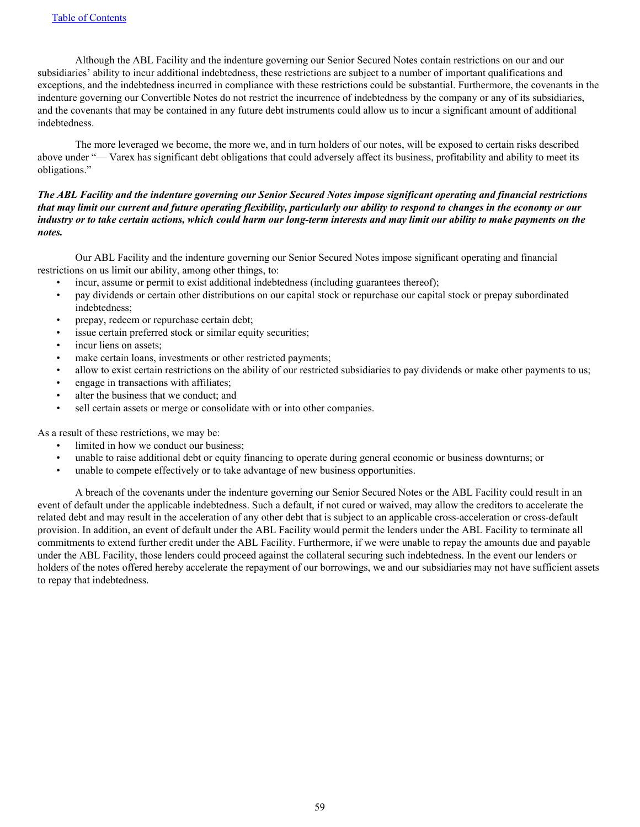Although the ABL Facility and the indenture governing our Senior Secured Notes contain restrictions on our and our subsidiaries' ability to incur additional indebtedness, these restrictions are subject to a number of important qualifications and exceptions, and the indebtedness incurred in compliance with these restrictions could be substantial. Furthermore, the covenants in the indenture governing our Convertible Notes do not restrict the incurrence of indebtedness by the company or any of its subsidiaries, and the covenants that may be contained in any future debt instruments could allow us to incur a significant amount of additional indebtedness.

 The more leveraged we become, the more we, and in turn holders of our notes, will be exposed to certain risks described above under "— Varex has significant debt obligations that could adversely affect its business, profitability and ability to meet its obligations."

## *The ABL Facility and the indenture governing our Senior Secured Notes impose significant operating and financial restrictions that may limit our current and future operating flexibility, particularly our ability to respond to changes in the economy or our industry or to take certain actions, which could harm our long-term interests and may limit our ability to make payments on the notes.*

 Our ABL Facility and the indenture governing our Senior Secured Notes impose significant operating and financial restrictions on us limit our ability, among other things, to:

- incur, assume or permit to exist additional indebtedness (including guarantees thereof);
- pay dividends or certain other distributions on our capital stock or repurchase our capital stock or prepay subordinated indebtedness;
- prepay, redeem or repurchase certain debt;
- issue certain preferred stock or similar equity securities;
- incur liens on assets;
- make certain loans, investments or other restricted payments;
- allow to exist certain restrictions on the ability of our restricted subsidiaries to pay dividends or make other payments to us;
- engage in transactions with affiliates;
- alter the business that we conduct; and
- sell certain assets or merge or consolidate with or into other companies.

As a result of these restrictions, we may be:

- limited in how we conduct our business:
- unable to raise additional debt or equity financing to operate during general economic or business downturns; or
- unable to compete effectively or to take advantage of new business opportunities.

 A breach of the covenants under the indenture governing our Senior Secured Notes or the ABL Facility could result in an event of default under the applicable indebtedness. Such a default, if not cured or waived, may allow the creditors to accelerate the related debt and may result in the acceleration of any other debt that is subject to an applicable cross-acceleration or cross-default provision. In addition, an event of default under the ABL Facility would permit the lenders under the ABL Facility to terminate all commitments to extend further credit under the ABL Facility. Furthermore, if we were unable to repay the amounts due and payable under the ABL Facility, those lenders could proceed against the collateral securing such indebtedness. In the event our lenders or holders of the notes offered hereby accelerate the repayment of our borrowings, we and our subsidiaries may not have sufficient assets to repay that indebtedness.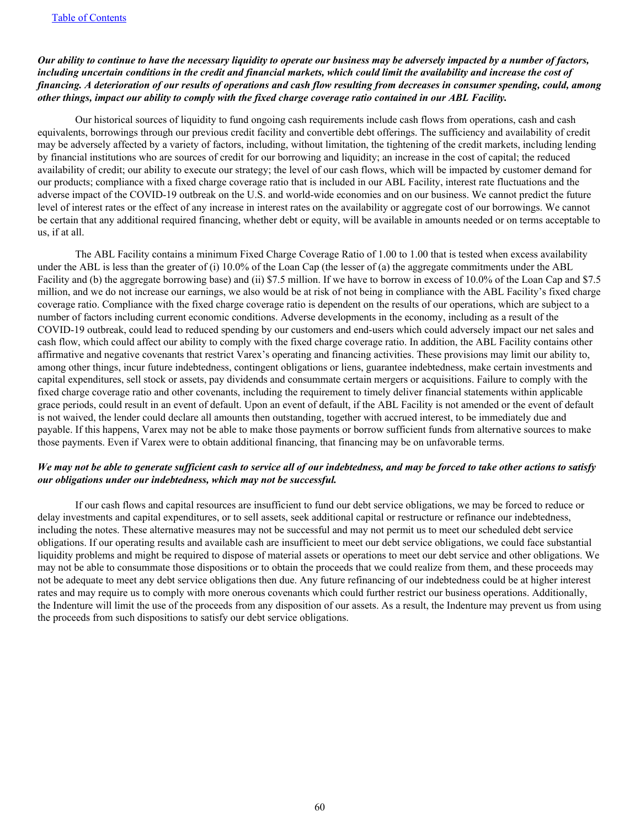## *Our ability to continue to have the necessary liquidity to operate our business may be adversely impacted by a number of factors, including uncertain conditions in the credit and financial markets, which could limit the availability and increase the cost of financing. A deterioration of our results of operations and cash flow resulting from decreases in consumer spending, could, among other things, impact our ability to comply with the fixed charge coverage ratio contained in our ABL Facility.*

 Our historical sources of liquidity to fund ongoing cash requirements include cash flows from operations, cash and cash equivalents, borrowings through our previous credit facility and convertible debt offerings. The sufficiency and availability of credit may be adversely affected by a variety of factors, including, without limitation, the tightening of the credit markets, including lending by financial institutions who are sources of credit for our borrowing and liquidity; an increase in the cost of capital; the reduced availability of credit; our ability to execute our strategy; the level of our cash flows, which will be impacted by customer demand for our products; compliance with a fixed charge coverage ratio that is included in our ABL Facility, interest rate fluctuations and the adverse impact of the COVID-19 outbreak on the U.S. and world-wide economies and on our business. We cannot predict the future level of interest rates or the effect of any increase in interest rates on the availability or aggregate cost of our borrowings. We cannot be certain that any additional required financing, whether debt or equity, will be available in amounts needed or on terms acceptable to us, if at all.

 The ABL Facility contains a minimum Fixed Charge Coverage Ratio of 1.00 to 1.00 that is tested when excess availability under the ABL is less than the greater of (i) 10.0% of the Loan Cap (the lesser of (a) the aggregate commitments under the ABL Facility and (b) the aggregate borrowing base) and (ii) \$7.5 million. If we have to borrow in excess of 10.0% of the Loan Cap and \$7.5 million, and we do not increase our earnings, we also would be at risk of not being in compliance with the ABL Facility's fixed charge coverage ratio. Compliance with the fixed charge coverage ratio is dependent on the results of our operations, which are subject to a number of factors including current economic conditions. Adverse developments in the economy, including as a result of the COVID-19 outbreak, could lead to reduced spending by our customers and end-users which could adversely impact our net sales and cash flow, which could affect our ability to comply with the fixed charge coverage ratio. In addition, the ABL Facility contains other affirmative and negative covenants that restrict Varex's operating and financing activities. These provisions may limit our ability to, among other things, incur future indebtedness, contingent obligations or liens, guarantee indebtedness, make certain investments and capital expenditures, sell stock or assets, pay dividends and consummate certain mergers or acquisitions. Failure to comply with the fixed charge coverage ratio and other covenants, including the requirement to timely deliver financial statements within applicable grace periods, could result in an event of default. Upon an event of default, if the ABL Facility is not amended or the event of default is not waived, the lender could declare all amounts then outstanding, together with accrued interest, to be immediately due and payable. If this happens, Varex may not be able to make those payments or borrow sufficient funds from alternative sources to make those payments. Even if Varex were to obtain additional financing, that financing may be on unfavorable terms.

## *We may not be able to generate sufficient cash to service all of our indebtedness, and may be forced to take other actions to satisfy our obligations under our indebtedness, which may not be successful.*

 If our cash flows and capital resources are insufficient to fund our debt service obligations, we may be forced to reduce or delay investments and capital expenditures, or to sell assets, seek additional capital or restructure or refinance our indebtedness, including the notes. These alternative measures may not be successful and may not permit us to meet our scheduled debt service obligations. If our operating results and available cash are insufficient to meet our debt service obligations, we could face substantial liquidity problems and might be required to dispose of material assets or operations to meet our debt service and other obligations. We may not be able to consummate those dispositions or to obtain the proceeds that we could realize from them, and these proceeds may not be adequate to meet any debt service obligations then due. Any future refinancing of our indebtedness could be at higher interest rates and may require us to comply with more onerous covenants which could further restrict our business operations. Additionally, the Indenture will limit the use of the proceeds from any disposition of our assets. As a result, the Indenture may prevent us from using the proceeds from such dispositions to satisfy our debt service obligations.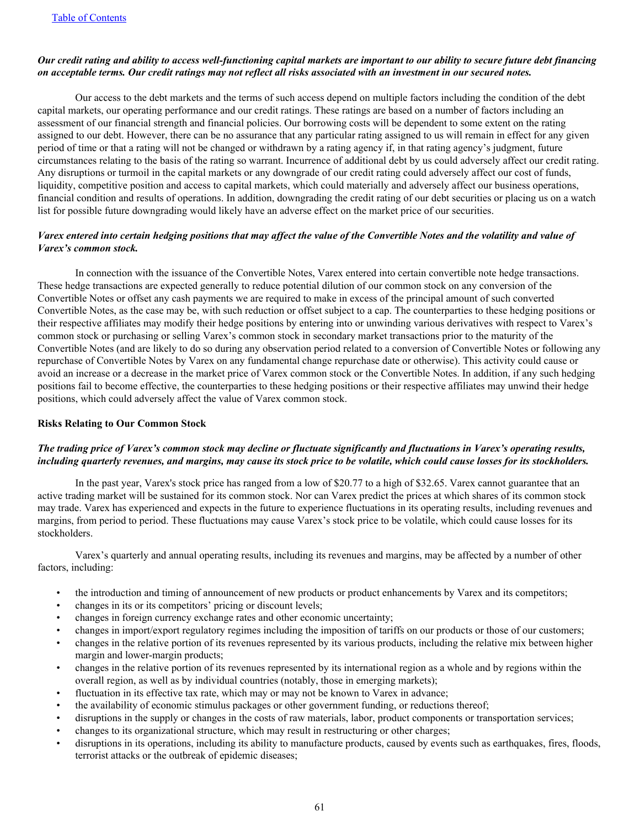## *Our credit rating and ability to access well-functioning capital markets are important to our ability to secure future debt financing on acceptable terms. Our credit ratings may not reflect all risks associated with an investment in our secured notes.*

 Our access to the debt markets and the terms of such access depend on multiple factors including the condition of the debt capital markets, our operating performance and our credit ratings. These ratings are based on a number of factors including an assessment of our financial strength and financial policies. Our borrowing costs will be dependent to some extent on the rating assigned to our debt. However, there can be no assurance that any particular rating assigned to us will remain in effect for any given period of time or that a rating will not be changed or withdrawn by a rating agency if, in that rating agency's judgment, future circumstances relating to the basis of the rating so warrant. Incurrence of additional debt by us could adversely affect our credit rating. Any disruptions or turmoil in the capital markets or any downgrade of our credit rating could adversely affect our cost of funds, liquidity, competitive position and access to capital markets, which could materially and adversely affect our business operations, financial condition and results of operations. In addition, downgrading the credit rating of our debt securities or placing us on a watch list for possible future downgrading would likely have an adverse effect on the market price of our securities.

## *Varex entered into certain hedging positions that may affect the value of the Convertible Notes and the volatility and value of Varex's common stock.*

 In connection with the issuance of the Convertible Notes, Varex entered into certain convertible note hedge transactions. These hedge transactions are expected generally to reduce potential dilution of our common stock on any conversion of the Convertible Notes or offset any cash payments we are required to make in excess of the principal amount of such converted Convertible Notes, as the case may be, with such reduction or offset subject to a cap. The counterparties to these hedging positions or their respective affiliates may modify their hedge positions by entering into or unwinding various derivatives with respect to Varex's common stock or purchasing or selling Varex's common stock in secondary market transactions prior to the maturity of the Convertible Notes (and are likely to do so during any observation period related to a conversion of Convertible Notes or following any repurchase of Convertible Notes by Varex on any fundamental change repurchase date or otherwise). This activity could cause or avoid an increase or a decrease in the market price of Varex common stock or the Convertible Notes. In addition, if any such hedging positions fail to become effective, the counterparties to these hedging positions or their respective affiliates may unwind their hedge positions, which could adversely affect the value of Varex common stock.

## **Risks Relating to Our Common Stock**

## *The trading price of Varex's common stock may decline or fluctuate significantly and fluctuations in Varex's operating results, including quarterly revenues, and margins, may cause its stock price to be volatile, which could cause losses for its stockholders.*

 In the past year, Varex's stock price has ranged from a low of \$20.77 to a high of \$32.65. Varex cannot guarantee that an active trading market will be sustained for its common stock. Nor can Varex predict the prices at which shares of its common stock may trade. Varex has experienced and expects in the future to experience fluctuations in its operating results, including revenues and margins, from period to period. These fluctuations may cause Varex's stock price to be volatile, which could cause losses for its stockholders.

 Varex's quarterly and annual operating results, including its revenues and margins, may be affected by a number of other factors, including:

- the introduction and timing of announcement of new products or product enhancements by Varex and its competitors;
- changes in its or its competitors' pricing or discount levels;
- changes in foreign currency exchange rates and other economic uncertainty;
- changes in import/export regulatory regimes including the imposition of tariffs on our products or those of our customers;
- changes in the relative portion of its revenues represented by its various products, including the relative mix between higher margin and lower-margin products;
- changes in the relative portion of its revenues represented by its international region as a whole and by regions within the overall region, as well as by individual countries (notably, those in emerging markets);
- fluctuation in its effective tax rate, which may or may not be known to Varex in advance;
- the availability of economic stimulus packages or other government funding, or reductions thereof;
- disruptions in the supply or changes in the costs of raw materials, labor, product components or transportation services;
- changes to its organizational structure, which may result in restructuring or other charges;
- disruptions in its operations, including its ability to manufacture products, caused by events such as earthquakes, fires, floods, terrorist attacks or the outbreak of epidemic diseases;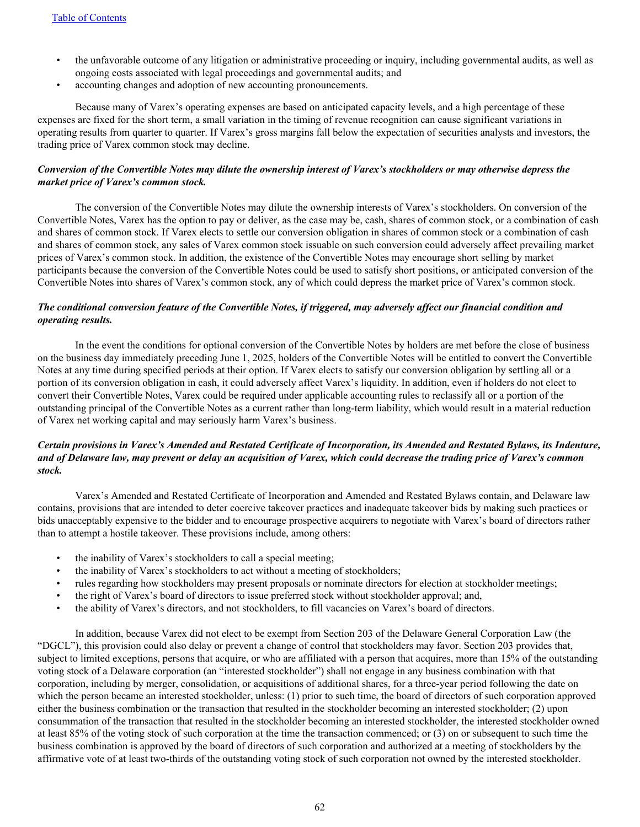- the unfavorable outcome of any litigation or administrative proceeding or inquiry, including governmental audits, as well as ongoing costs associated with legal proceedings and governmental audits; and
- accounting changes and adoption of new accounting pronouncements.

 Because many of Varex's operating expenses are based on anticipated capacity levels, and a high percentage of these expenses are fixed for the short term, a small variation in the timing of revenue recognition can cause significant variations in operating results from quarter to quarter. If Varex's gross margins fall below the expectation of securities analysts and investors, the trading price of Varex common stock may decline.

## *Conversion of the Convertible Notes may dilute the ownership interest of Varex's stockholders or may otherwise depress the market price of Varex's common stock.*

 The conversion of the Convertible Notes may dilute the ownership interests of Varex's stockholders. On conversion of the Convertible Notes, Varex has the option to pay or deliver, as the case may be, cash, shares of common stock, or a combination of cash and shares of common stock. If Varex elects to settle our conversion obligation in shares of common stock or a combination of cash and shares of common stock, any sales of Varex common stock issuable on such conversion could adversely affect prevailing market prices of Varex's common stock. In addition, the existence of the Convertible Notes may encourage short selling by market participants because the conversion of the Convertible Notes could be used to satisfy short positions, or anticipated conversion of the Convertible Notes into shares of Varex's common stock, any of which could depress the market price of Varex's common stock.

## *The conditional conversion feature of the Convertible Notes, if triggered, may adversely affect our financial condition and operating results.*

 In the event the conditions for optional conversion of the Convertible Notes by holders are met before the close of business on the business day immediately preceding June 1, 2025, holders of the Convertible Notes will be entitled to convert the Convertible Notes at any time during specified periods at their option. If Varex elects to satisfy our conversion obligation by settling all or a portion of its conversion obligation in cash, it could adversely affect Varex's liquidity. In addition, even if holders do not elect to convert their Convertible Notes, Varex could be required under applicable accounting rules to reclassify all or a portion of the outstanding principal of the Convertible Notes as a current rather than long-term liability, which would result in a material reduction of Varex net working capital and may seriously harm Varex's business.

## *Certain provisions in Varex's Amended and Restated Certificate of Incorporation, its Amended and Restated Bylaws, its Indenture, and of Delaware law, may prevent or delay an acquisition of Varex, which could decrease the trading price of Varex's common stock.*

 Varex's Amended and Restated Certificate of Incorporation and Amended and Restated Bylaws contain, and Delaware law contains, provisions that are intended to deter coercive takeover practices and inadequate takeover bids by making such practices or bids unacceptably expensive to the bidder and to encourage prospective acquirers to negotiate with Varex's board of directors rather than to attempt a hostile takeover. These provisions include, among others:

- the inability of Varex's stockholders to call a special meeting;
- the inability of Varex's stockholders to act without a meeting of stockholders;
- rules regarding how stockholders may present proposals or nominate directors for election at stockholder meetings;
- the right of Varex's board of directors to issue preferred stock without stockholder approval; and,
- the ability of Varex's directors, and not stockholders, to fill vacancies on Varex's board of directors.

 In addition, because Varex did not elect to be exempt from Section 203 of the Delaware General Corporation Law (the "DGCL"), this provision could also delay or prevent a change of control that stockholders may favor. Section 203 provides that, subject to limited exceptions, persons that acquire, or who are affiliated with a person that acquires, more than 15% of the outstanding voting stock of a Delaware corporation (an "interested stockholder") shall not engage in any business combination with that corporation, including by merger, consolidation, or acquisitions of additional shares, for a three-year period following the date on which the person became an interested stockholder, unless: (1) prior to such time, the board of directors of such corporation approved either the business combination or the transaction that resulted in the stockholder becoming an interested stockholder; (2) upon consummation of the transaction that resulted in the stockholder becoming an interested stockholder, the interested stockholder owned at least 85% of the voting stock of such corporation at the time the transaction commenced; or (3) on or subsequent to such time the business combination is approved by the board of directors of such corporation and authorized at a meeting of stockholders by the affirmative vote of at least two-thirds of the outstanding voting stock of such corporation not owned by the interested stockholder.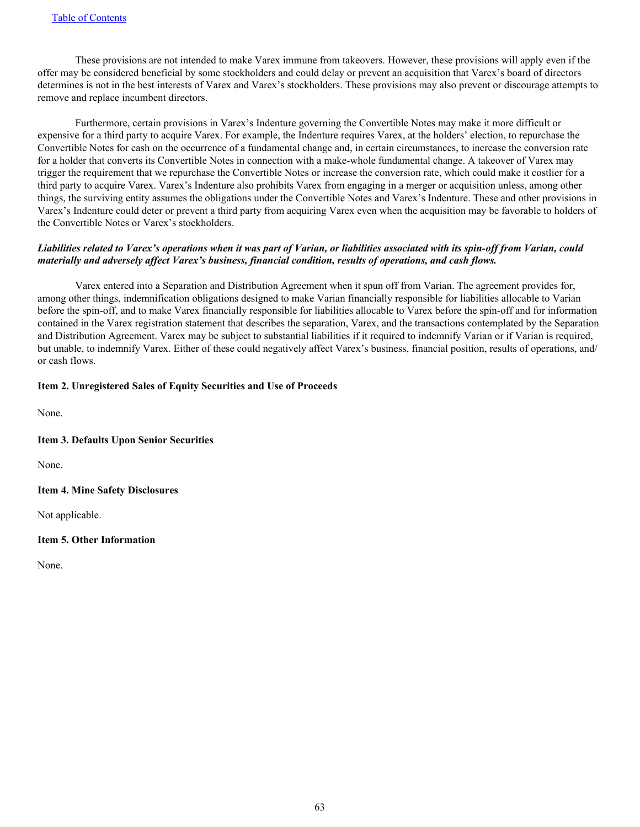<span id="page-63-0"></span> These provisions are not intended to make Varex immune from takeovers. However, these provisions will apply even if the offer may be considered beneficial by some stockholders and could delay or prevent an acquisition that Varex's board of directors determines is not in the best interests of Varex and Varex's stockholders. These provisions may also prevent or discourage attempts to remove and replace incumbent directors.

 Furthermore, certain provisions in Varex's Indenture governing the Convertible Notes may make it more difficult or expensive for a third party to acquire Varex. For example, the Indenture requires Varex, at the holders' election, to repurchase the Convertible Notes for cash on the occurrence of a fundamental change and, in certain circumstances, to increase the conversion rate for a holder that converts its Convertible Notes in connection with a make-whole fundamental change. A takeover of Varex may trigger the requirement that we repurchase the Convertible Notes or increase the conversion rate, which could make it costlier for a third party to acquire Varex. Varex's Indenture also prohibits Varex from engaging in a merger or acquisition unless, among other things, the surviving entity assumes the obligations under the Convertible Notes and Varex's Indenture. These and other provisions in Varex's Indenture could deter or prevent a third party from acquiring Varex even when the acquisition may be favorable to holders of the Convertible Notes or Varex's stockholders.

## *Liabilities related to Varex's operations when it was part of Varian, or liabilities associated with its spin-off from Varian, could materially and adversely affect Varex's business, financial condition, results of operations, and cash flows.*

 Varex entered into a Separation and Distribution Agreement when it spun off from Varian. The agreement provides for, among other things, indemnification obligations designed to make Varian financially responsible for liabilities allocable to Varian before the spin-off, and to make Varex financially responsible for liabilities allocable to Varex before the spin-off and for information contained in the Varex registration statement that describes the separation, Varex, and the transactions contemplated by the Separation and Distribution Agreement. Varex may be subject to substantial liabilities if it required to indemnify Varian or if Varian is required, but unable, to indemnify Varex. Either of these could negatively affect Varex's business, financial position, results of operations, and/ or cash flows.

## **Item 2. Unregistered Sales of Equity Securities and Use of Proceeds**

None.

## **Item 3. Defaults Upon Senior Securities**

None.

## **Item 4. Mine Safety Disclosures**

Not applicable.

## **Item 5. Other Information**

None.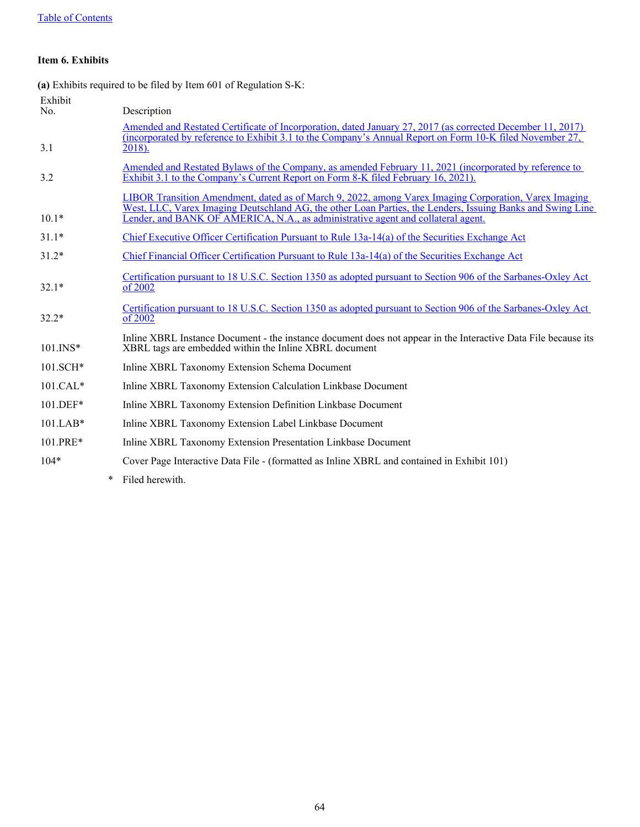## <span id="page-64-0"></span>**Item 6. Exhibits**

**(a)** Exhibits required to be filed by Item 601 of Regulation S-K:

| Exhibit      |   |                                                                                                                                                                                                                                                                                                         |
|--------------|---|---------------------------------------------------------------------------------------------------------------------------------------------------------------------------------------------------------------------------------------------------------------------------------------------------------|
| No.          |   | Description                                                                                                                                                                                                                                                                                             |
|              |   | Amended and Restated Certificate of Incorporation, dated January 27, 2017 (as corrected December 11, 2017)                                                                                                                                                                                              |
| 3.1          |   | (incorporated by reference to Exhibit 3.1 to the Company's Annual Report on Form 10-K filed November 27,<br>2018).                                                                                                                                                                                      |
| 3.2          |   | Amended and Restated Bylaws of the Company, as amended February 11, 2021 (incorporated by reference to<br>Exhibit 3.1 to the Company's Current Report on Form 8-K filed February 16, 2021).                                                                                                             |
| $10.1*$      |   | LIBOR Transition Amendment, dated as of March 9, 2022, among Varex Imaging Corporation, Varex Imaging<br>West, LLC, Varex Imaging Deutschland AG, the other Loan Parties, the Lenders, Issuing Banks and Swing Line<br>Lender, and BANK OF AMERICA, N.A., as administrative agent and collateral agent. |
| $31.1*$      |   | Chief Executive Officer Certification Pursuant to Rule 13a-14(a) of the Securities Exchange Act                                                                                                                                                                                                         |
| $31.2*$      |   | Chief Financial Officer Certification Pursuant to Rule 13a-14(a) of the Securities Exchange Act                                                                                                                                                                                                         |
| $32.1*$      |   | Certification pursuant to 18 U.S.C. Section 1350 as adopted pursuant to Section 906 of the Sarbanes-Oxley Act<br>of 2002                                                                                                                                                                                |
| $32.2*$      |   | Certification pursuant to 18 U.S.C. Section 1350 as adopted pursuant to Section 906 of the Sarbanes-Oxley Act<br>of 2002                                                                                                                                                                                |
| $101$ . INS* |   | Inline XBRL Instance Document - the instance document does not appear in the Interactive Data File because its<br>XBRL tags are embedded within the Inline XBRL document                                                                                                                                |
| 101.SCH*     |   | Inline XBRL Taxonomy Extension Schema Document                                                                                                                                                                                                                                                          |
| $101.CAL*$   |   | Inline XBRL Taxonomy Extension Calculation Linkbase Document                                                                                                                                                                                                                                            |
| 101.DEF*     |   | Inline XBRL Taxonomy Extension Definition Linkbase Document                                                                                                                                                                                                                                             |
| $101$ .LAB*  |   | Inline XBRL Taxonomy Extension Label Linkbase Document                                                                                                                                                                                                                                                  |
| 101.PRE*     |   | Inline XBRL Taxonomy Extension Presentation Linkbase Document                                                                                                                                                                                                                                           |
| $104*$       |   | Cover Page Interactive Data File - (formatted as Inline XBRL and contained in Exhibit 101)                                                                                                                                                                                                              |
|              | * | Filed herewith.                                                                                                                                                                                                                                                                                         |